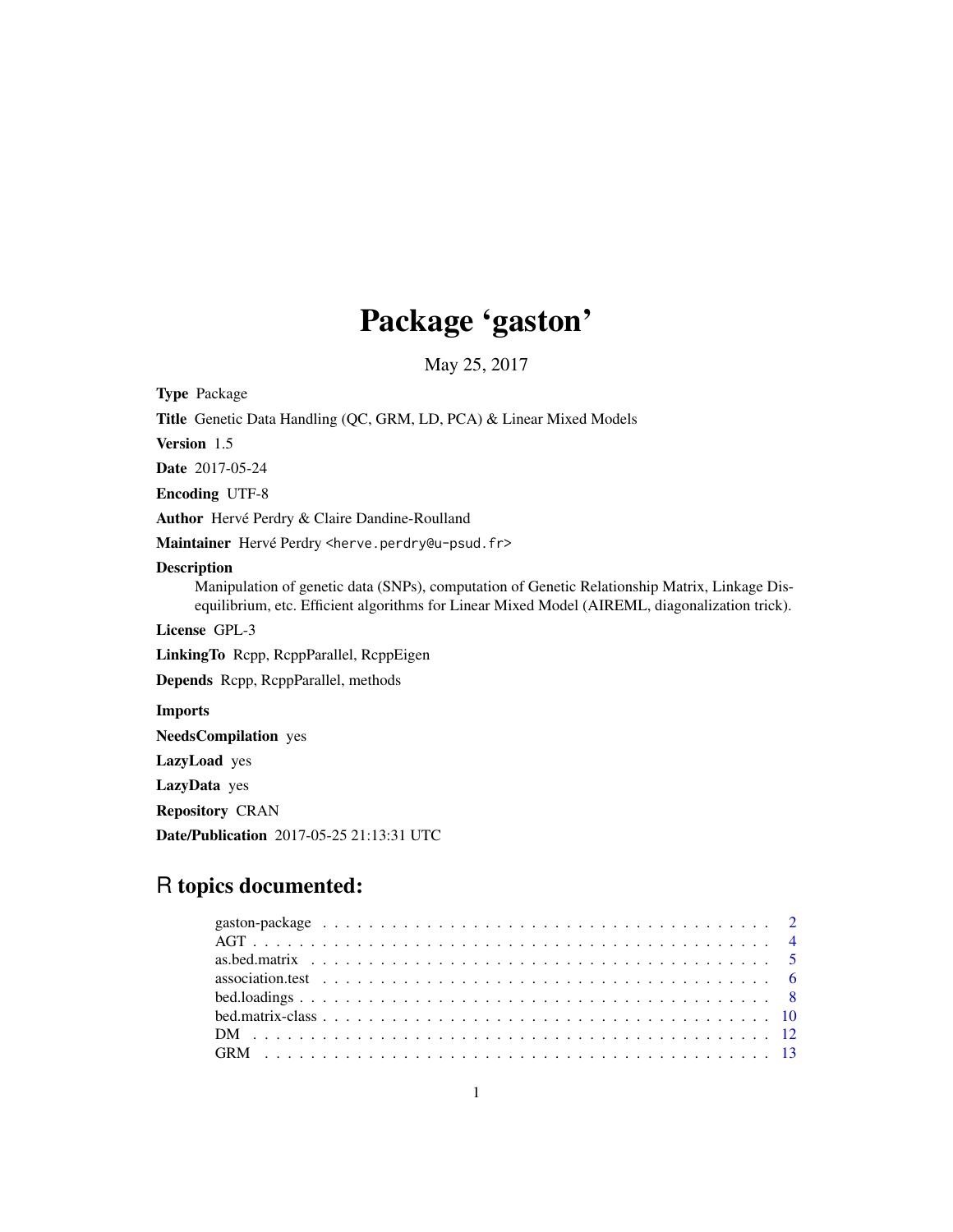# Package 'gaston'

May 25, 2017

<span id="page-0-0"></span>Type Package Title Genetic Data Handling (QC, GRM, LD, PCA) & Linear Mixed Models Version 1.5 Date 2017-05-24 Encoding UTF-8 Author Hervé Perdry & Claire Dandine-Roulland Maintainer Hervé Perdry <herve.perdry@u-psud.fr> Description Manipulation of genetic data (SNPs), computation of Genetic Relationship Matrix, Linkage Disequilibrium, etc. Efficient algorithms for Linear Mixed Model (AIREML, diagonalization trick). License GPL-3 LinkingTo Rcpp, RcppParallel, RcppEigen Depends Rcpp, RcppParallel, methods Imports NeedsCompilation yes LazyLoad yes LazyData yes Repository CRAN Date/Publication 2017-05-25 21:13:31 UTC

# R topics documented: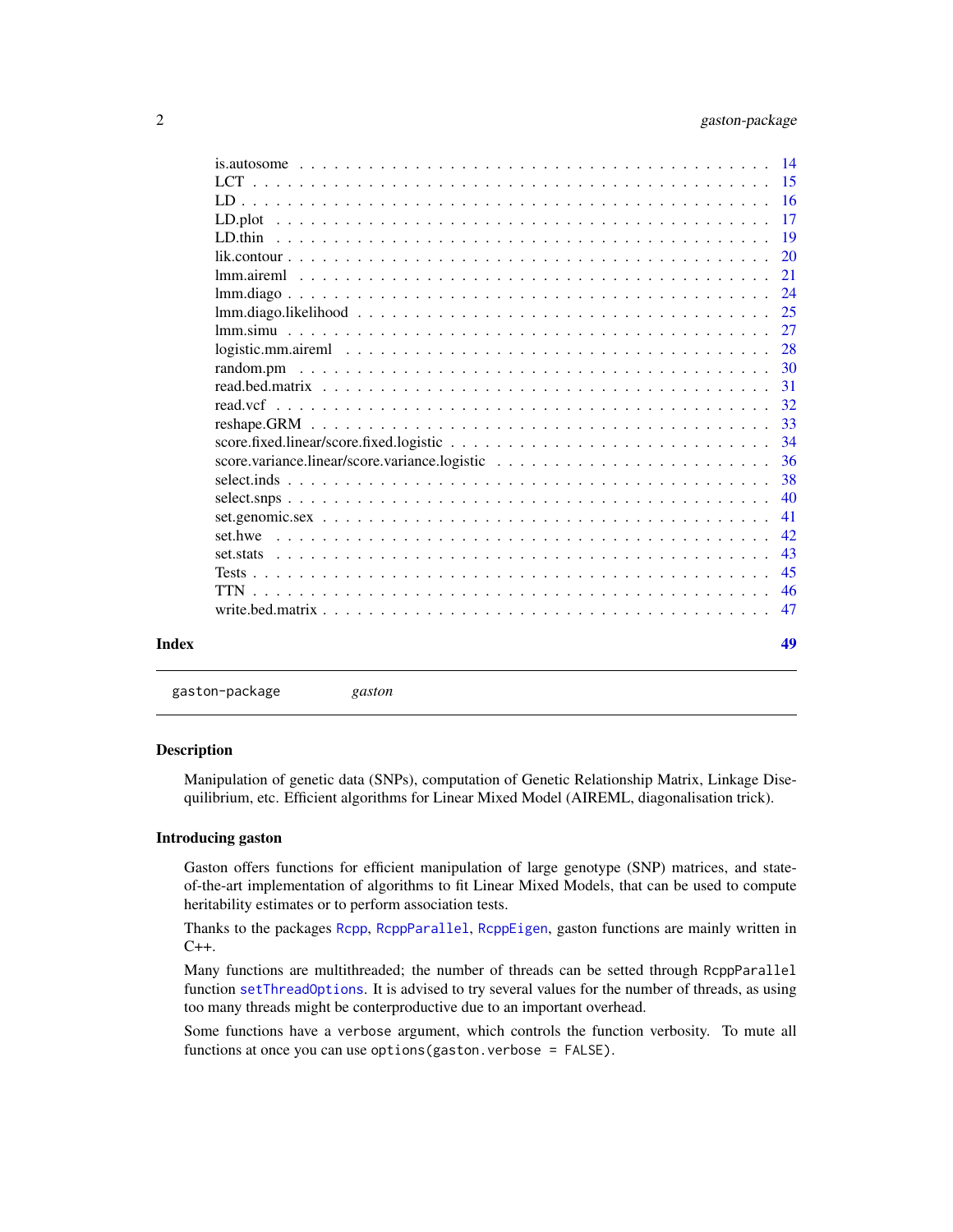<span id="page-1-0"></span>

|                                       | 40<br>41<br>42       |
|---------------------------------------|----------------------|
|                                       | 36<br>38             |
|                                       | 32<br>33<br>34       |
| $logistic.mm.airem1                 $ | 28<br>-30<br>31      |
|                                       | 24<br>25<br>27       |
|                                       | 20<br>21             |
|                                       | $-15$<br>$-16$<br>17 |

gaston-package *gaston*

#### Description

Manipulation of genetic data (SNPs), computation of Genetic Relationship Matrix, Linkage Disequilibrium, etc. Efficient algorithms for Linear Mixed Model (AIREML, diagonalisation trick).

# Introducing gaston

Gaston offers functions for efficient manipulation of large genotype (SNP) matrices, and stateof-the-art implementation of algorithms to fit Linear Mixed Models, that can be used to compute heritability estimates or to perform association tests.

Thanks to the packages [Rcpp](#page-0-0), [RcppParallel](#page-0-0), [RcppEigen](#page-0-0), gaston functions are mainly written in  $C++$ .

Many functions are multithreaded; the number of threads can be setted through RcppParallel function [setThreadOptions](#page-0-0). It is advised to try several values for the number of threads, as using too many threads might be conterproductive due to an important overhead.

Some functions have a verbose argument, which controls the function verbosity. To mute all functions at once you can use options (gaston.verbose = FALSE).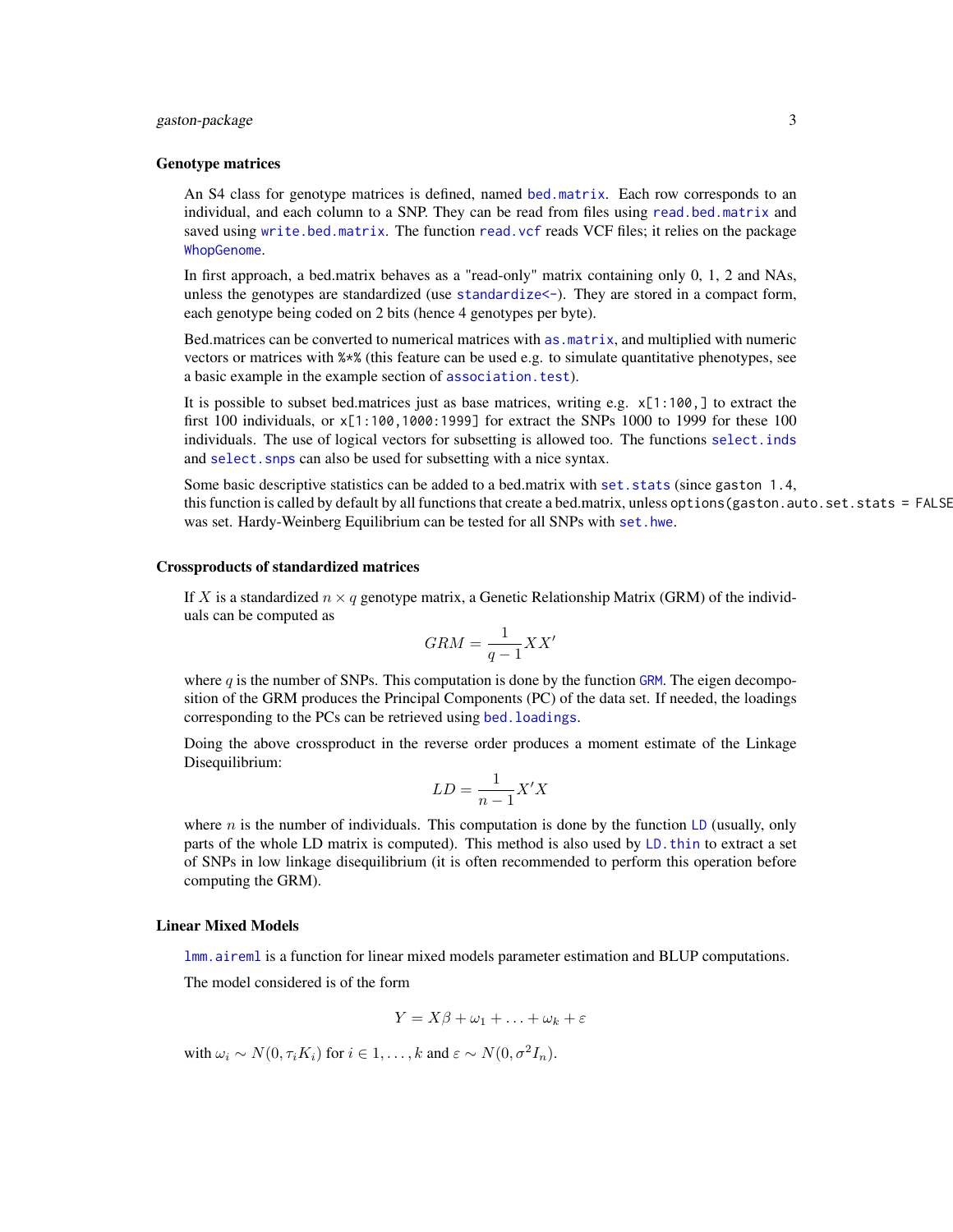#### <span id="page-2-0"></span>gaston-package 3

#### Genotype matrices

An S4 class for genotype matrices is defined, named [bed.matrix](#page-9-1). Each row corresponds to an individual, and each column to a SNP. They can be read from files using [read.bed.matrix](#page-30-1) and saved using [write.bed.matrix](#page-46-1). The function [read.vcf](#page-31-1) reads VCF files; it relies on the package [WhopGenome](#page-0-0).

In first approach, a bed.matrix behaves as a "read-only" matrix containing only 0, 1, 2 and NAs, unless the genotypes are standardized (use [standardize<-](#page-9-1)). They are stored in a compact form, each genotype being coded on 2 bits (hence 4 genotypes per byte).

Bed.matrices can be converted to numerical matrices with [as.matrix](#page-0-0), and multiplied with numeric vectors or matrices with %\*% (this feature can be used e.g. to simulate quantitative phenotypes, see a basic example in the example section of [association.test](#page-5-1)).

It is possible to subset bed.matrices just as base matrices, writing e.g.  $x[1:100,]$  to extract the first 100 individuals, or  $x[1:100,1000:1999]$  for extract the SNPs 1000 to 1999 for these 100 individuals. The use of logical vectors for subsetting is allowed too. The functions [select.inds](#page-37-1) and select. snps can also be used for subsetting with a nice syntax.

Some basic descriptive statistics can be added to a bed.matrix with [set.stats](#page-42-1) (since gaston 1.4, this function is called by default by all functions that create a bed.matrix, unless options (gaston.auto.set.stats = FALSE was set. Hardy-Weinberg Equilibrium can be tested for all SNPs with [set.hwe](#page-41-1).

#### Crossproducts of standardized matrices

If X is a standardized  $n \times q$  genotype matrix, a Genetic Relationship Matrix (GRM) of the individuals can be computed as

$$
GRM = \frac{1}{q-1}XX'
$$

where  $q$  is the number of SNPs. This computation is done by the function [GRM](#page-12-1). The eigen decomposition of the GRM produces the Principal Components (PC) of the data set. If needed, the loadings corresponding to the PCs can be retrieved using bed. loadings.

Doing the above crossproduct in the reverse order produces a moment estimate of the Linkage Disequilibrium:

$$
LD = \frac{1}{n-1}X'X
$$

where n is the number of individuals. This computation is done by the function [LD](#page-15-1) (usually, only parts of the whole LD matrix is computed). This method is also used by [LD.thin](#page-18-1) to extract a set of SNPs in low linkage disequilibrium (it is often recommended to perform this operation before computing the GRM).

#### Linear Mixed Models

[lmm.aireml](#page-20-1) is a function for linear mixed models parameter estimation and BLUP computations.

The model considered is of the form

$$
Y = X\beta + \omega_1 + \ldots + \omega_k + \varepsilon
$$

with  $\omega_i \sim N(0, \tau_i K_i)$  for  $i \in 1, ..., k$  and  $\varepsilon \sim N(0, \sigma^2 I_n)$ .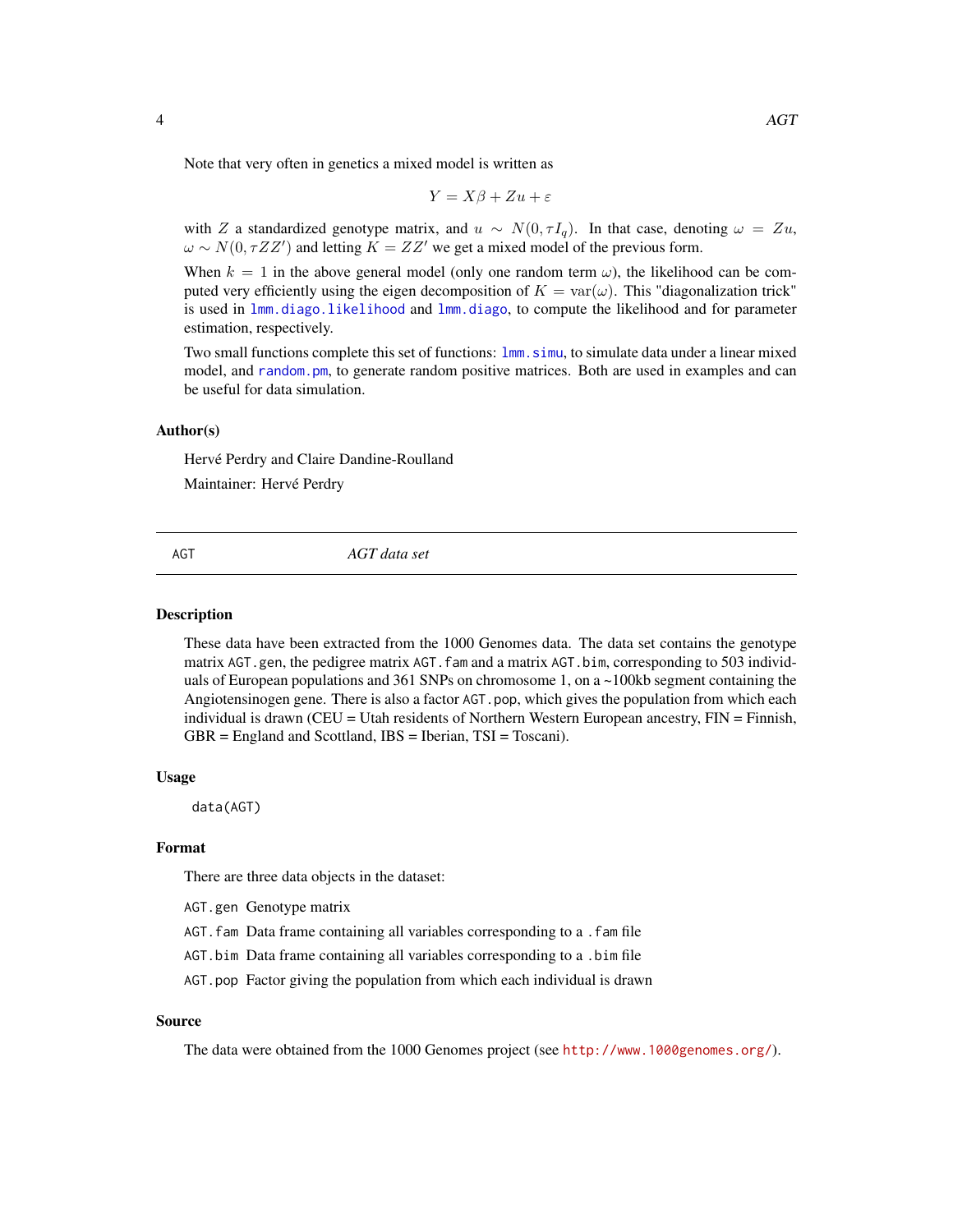<span id="page-3-0"></span>Note that very often in genetics a mixed model is written as

$$
Y = X\beta + Zu + \varepsilon
$$

with Z a standardized genotype matrix, and  $u \sim N(0, \tau I_q)$ . In that case, denoting  $\omega = Zu$ ,  $\omega \sim N(0, \tau ZZ')$  and letting  $K = ZZ'$  we get a mixed model of the previous form.

When  $k = 1$  in the above general model (only one random term  $\omega$ ), the likelihood can be computed very efficiently using the eigen decomposition of  $K = \text{var}(\omega)$ . This "diagonalization trick" is used in [lmm.diago.likelihood](#page-24-1) and [lmm.diago](#page-23-1), to compute the likelihood and for parameter estimation, respectively.

Two small functions complete this set of functions:  $lmm$ , simu, to simulate data under a linear mixed model, and [random.pm](#page-29-1), to generate random positive matrices. Both are used in examples and can be useful for data simulation.

#### Author(s)

Hervé Perdry and Claire Dandine-Roulland Maintainer: Hervé Perdry

#### AGT *AGT data set*

#### Description

These data have been extracted from the 1000 Genomes data. The data set contains the genotype matrix AGT.gen, the pedigree matrix AGT.fam and a matrix AGT.bim, corresponding to 503 individuals of European populations and 361 SNPs on chromosome 1, on a ~100kb segment containing the Angiotensinogen gene. There is also a factor AGT.pop, which gives the population from which each individual is drawn (CEU = Utah residents of Northern Western European ancestry, FIN = Finnish, GBR = England and Scottland, IBS = Iberian, TSI = Toscani).

#### Usage

data(AGT)

# Format

There are three data objects in the dataset:

- AGT.gen Genotype matrix
- AGT.fam Data frame containing all variables corresponding to a .fam file
- AGT.bim Data frame containing all variables corresponding to a .bim file
- AGT.pop Factor giving the population from which each individual is drawn

# Source

The data were obtained from the 1000 Genomes project (see <http://www.1000genomes.org/>).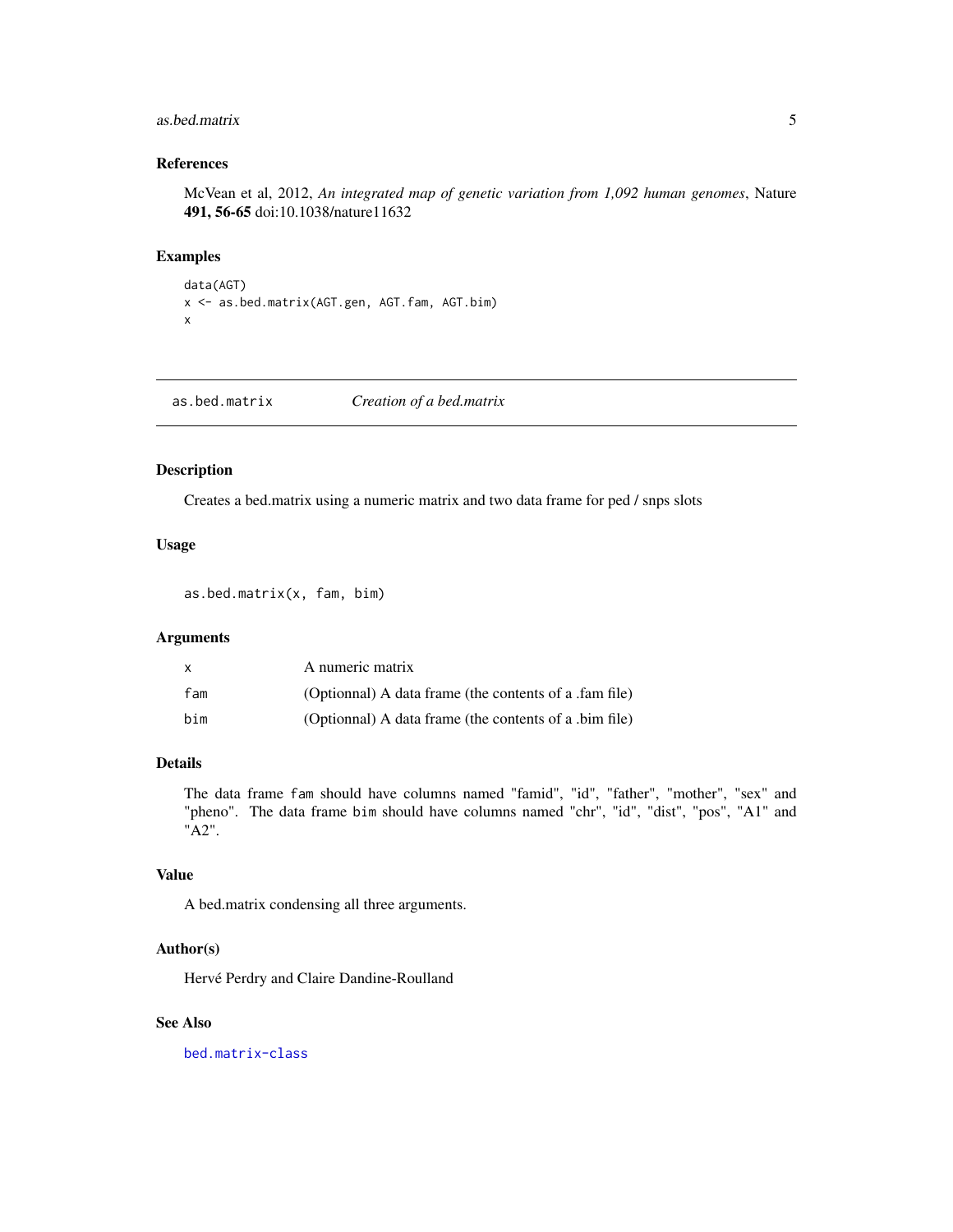#### <span id="page-4-0"></span>as.bed.matrix 5

# References

McVean et al, 2012, *An integrated map of genetic variation from 1,092 human genomes*, Nature 491, 56-65 doi:10.1038/nature11632

# Examples

```
data(AGT)
x <- as.bed.matrix(AGT.gen, AGT.fam, AGT.bim)
x
```
as.bed.matrix *Creation of a bed.matrix*

# Description

Creates a bed.matrix using a numeric matrix and two data frame for ped / snps slots

#### Usage

as.bed.matrix(x, fam, bim)

# Arguments

| x   | A numeric matrix                                       |
|-----|--------------------------------------------------------|
| fam | (Optionnal) A data frame (the contents of a .fam file) |
| bim | (Optionnal) A data frame (the contents of a .bim file) |

# Details

The data frame fam should have columns named "famid", "id", "father", "mother", "sex" and "pheno". The data frame bim should have columns named "chr", "id", "dist", "pos", "A1" and "A2".

#### Value

A bed.matrix condensing all three arguments.

# Author(s)

Hervé Perdry and Claire Dandine-Roulland

#### See Also

[bed.matrix-class](#page-9-2)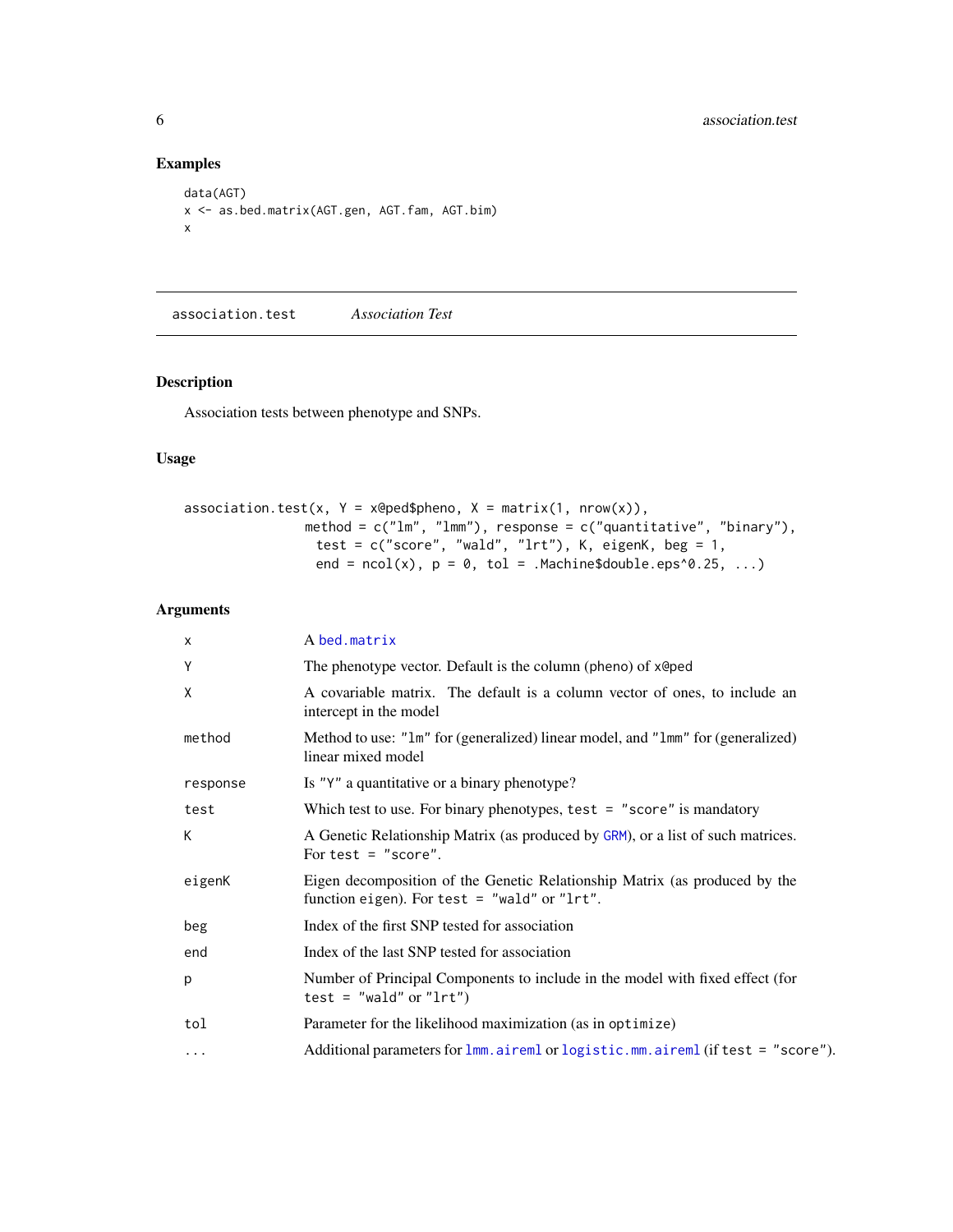# Examples

```
data(AGT)
x <- as.bed.matrix(AGT.gen, AGT.fam, AGT.bim)
x
```
<span id="page-5-1"></span>association.test *Association Test*

# Description

Association tests between phenotype and SNPs.

# Usage

```
association.test(x, Y = x@ped$pheno, X = matrix(1, nrow(x)),method = c("lm", "lmm"), response = c("quantitative", "binary"),
                test = c("score", "wald", "lrt"), K, eigenK, beg = 1,
                end = ncol(x), p = 0, tol = .Machine$double.eps^0.25, ...)
```

| $\times$ | A bed.matrix                                                                                                                 |
|----------|------------------------------------------------------------------------------------------------------------------------------|
| Y        | The phenotype vector. Default is the column (pheno) of x@ped                                                                 |
| X        | A covariable matrix. The default is a column vector of ones, to include an<br>intercept in the model                         |
| method   | Method to use: "1m" for (generalized) linear model, and "1mm" for (generalized)<br>linear mixed model                        |
| response | Is "Y" a quantitative or a binary phenotype?                                                                                 |
| test     | Which test to use. For binary phenotypes, test $=$ "score" is mandatory                                                      |
| K        | A Genetic Relationship Matrix (as produced by GRM), or a list of such matrices.<br>For test $=$ "score".                     |
| eigenK   | Eigen decomposition of the Genetic Relationship Matrix (as produced by the<br>function eigen). For test $=$ "wald" or "lrt". |
| beg      | Index of the first SNP tested for association                                                                                |
| end      | Index of the last SNP tested for association                                                                                 |
| p        | Number of Principal Components to include in the model with fixed effect (for<br>test = $"$ wald" or "lrt")                  |
| tol      | Parameter for the likelihood maximization (as in optimize)                                                                   |
| $\cdots$ | Additional parameters for lmm.aireml or logistic.mm.aireml (if test = "score").                                              |

<span id="page-5-0"></span>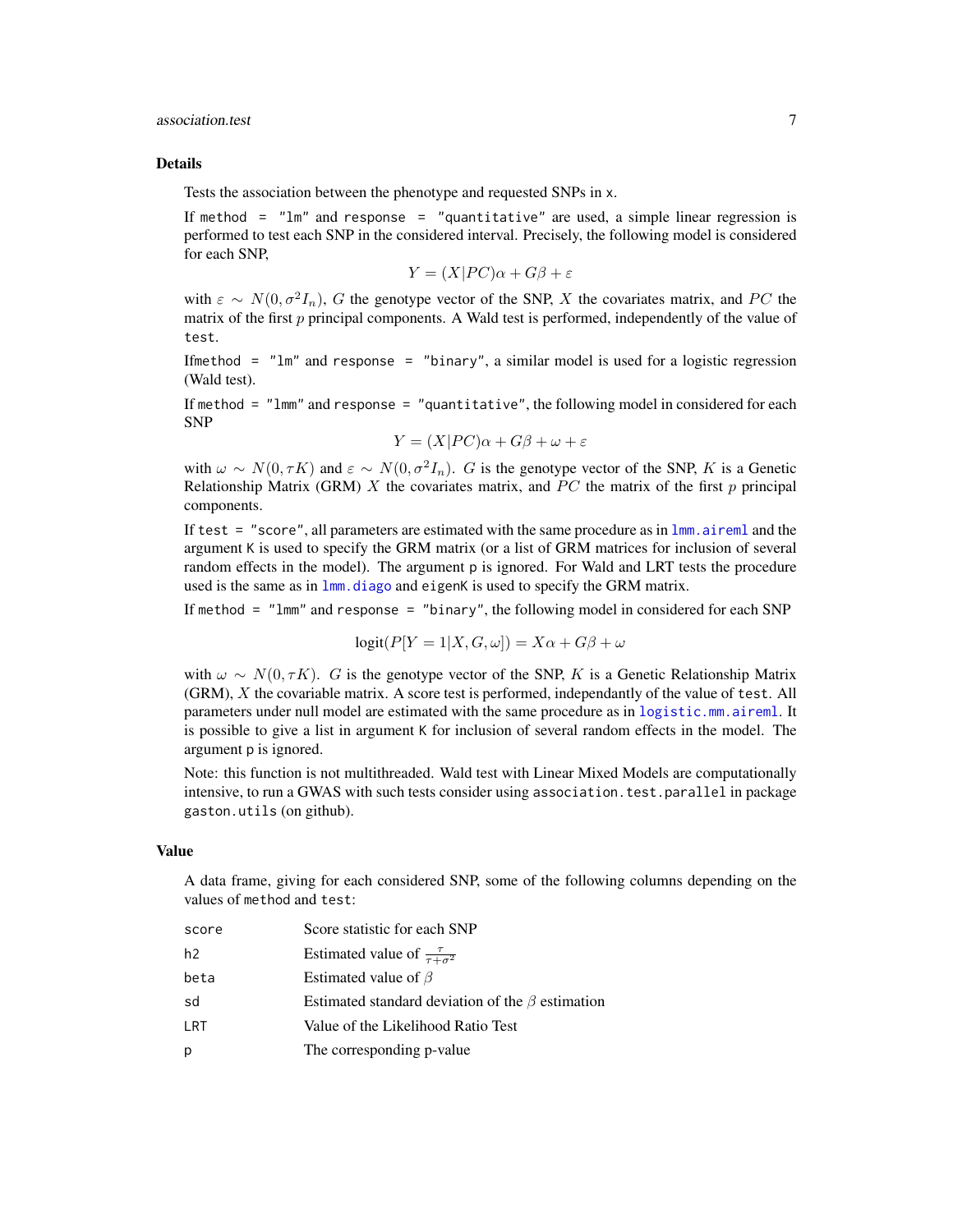# <span id="page-6-0"></span>association.test 7

#### Details

Tests the association between the phenotype and requested SNPs in x.

If method  $=$  " $lm$ " and response  $=$  "quantitative" are used, a simple linear regression is performed to test each SNP in the considered interval. Precisely, the following model is considered for each SNP,

$$
Y = (X|PC)\alpha + G\beta + \varepsilon
$$

with  $\varepsilon \sim N(0, \sigma^2 I_n)$ , G the genotype vector of the SNP, X the covariates matrix, and PC the matrix of the first  $p$  principal components. A Wald test is performed, independently of the value of test.

Ifmethod =  $"lm"$  and response =  $"binary"$ , a similar model is used for a logistic regression (Wald test).

If method  $=$  " $lmm$ " and response  $=$  "quantitative", the following model in considered for each SNP

$$
Y = (X|PC)\alpha + G\beta + \omega + \varepsilon
$$

with  $\omega \sim N(0, \tau K)$  and  $\varepsilon \sim N(0, \sigma^2 I_n)$ . G is the genotype vector of the SNP, K is a Genetic Relationship Matrix (GRM)  $X$  the covariates matrix, and  $PC$  the matrix of the first  $p$  principal components.

If test  $=$  "score", all parameters are estimated with the same procedure as in  $lmm$ . aireml and the argument K is used to specify the GRM matrix (or a list of GRM matrices for inclusion of several random effects in the model). The argument p is ignored. For Wald and LRT tests the procedure used is the same as in  $lmm$ , diago and eigenK is used to specify the GRM matrix.

If method  $=$  "1mm" and response  $=$  "binary", the following model in considered for each SNP

$$
logit(P[Y = 1 | X, G, \omega]) = X\alpha + G\beta + \omega
$$

with  $\omega \sim N(0, \tau K)$ . G is the genotype vector of the SNP, K is a Genetic Relationship Matrix (GRM), X the covariable matrix. A score test is performed, independantly of the value of test. All parameters under null model are estimated with the same procedure as in [logistic.mm.aireml](#page-27-1). It is possible to give a list in argument K for inclusion of several random effects in the model. The argument p is ignored.

Note: this function is not multithreaded. Wald test with Linear Mixed Models are computationally intensive, to run a GWAS with such tests consider using association.test.parallel in package gaston.utils (on github).

#### Value

A data frame, giving for each considered SNP, some of the following columns depending on the values of method and test:

| score          | Score statistic for each SNP                           |
|----------------|--------------------------------------------------------|
| h <sub>2</sub> | Estimated value of $\frac{\tau}{\tau+\sigma^2}$        |
| beta           | Estimated value of $\beta$                             |
| sd             | Estimated standard deviation of the $\beta$ estimation |
| LRT            | Value of the Likelihood Ratio Test                     |
| p              | The corresponding p-value                              |
|                |                                                        |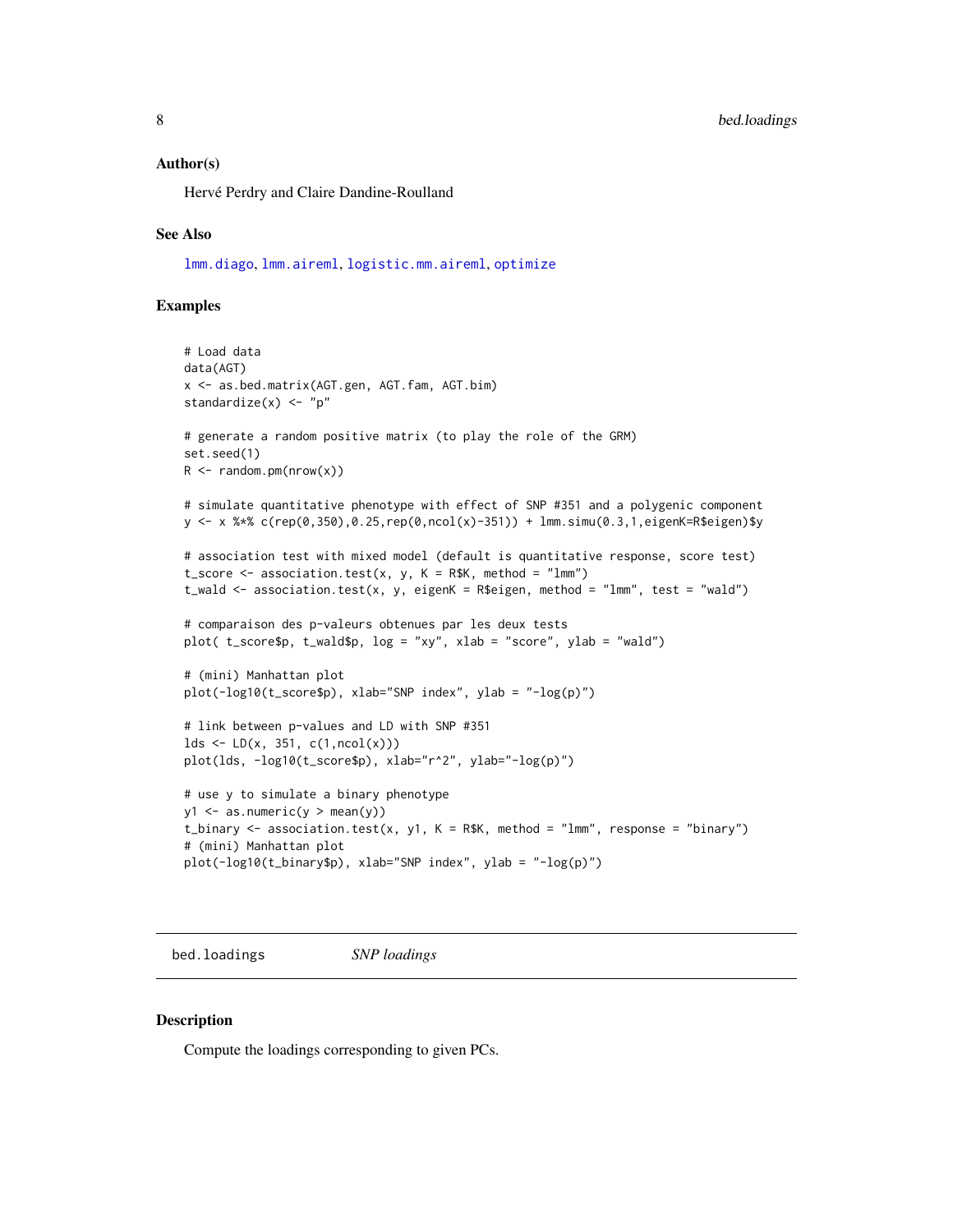#### <span id="page-7-0"></span>Author(s)

Hervé Perdry and Claire Dandine-Roulland

#### See Also

[lmm.diago](#page-23-1), [lmm.aireml](#page-20-1), [logistic.mm.aireml](#page-27-1), [optimize](#page-0-0)

#### Examples

```
# Load data
data(AGT)
x <- as.bed.matrix(AGT.gen, AGT.fam, AGT.bim)
standardize(x) <- "p"
# generate a random positive matrix (to play the role of the GRM)
set.seed(1)
R <- random.pm(nrow(x))
# simulate quantitative phenotype with effect of SNP #351 and a polygenic component
y <- x %*% c(rep(0,350),0.25,rep(0,ncol(x)-351)) + lmm.simu(0.3,1,eigenK=R$eigen)$y
# association test with mixed model (default is quantitative response, score test)
t\_score \leftarrow association.test(x, y, K = R$K, method = "lmm")t_wald \leq association.test(x, y, eigenK = R$eigen, method = "lmm", test = "wald")
# comparaison des p-valeurs obtenues par les deux tests
plot( t_score$p, t_wald$p, log = "xy", xlab = "score", ylab = "wald")
# (mini) Manhattan plot
plot(-log10(t_score$p), xlab="SNP index", ylab = "-log(p)")
# link between p-values and LD with SNP #351
lds \leftarrow LD(x, 351, c(1, ncol(x)))plot(lds, -log10(t_score$p), xlab="r^2", ylab="-log(p)")
# use y to simulate a binary phenotype
y1 \leftarrow as.numeric(y > mean(y))t_binary \leq association.test(x, y1, K = R$K, method = "lmm", response = "binary")
# (mini) Manhattan plot
plot(-log10(t_binary$p), xlab="SNP index", ylab = "-log(p)")
```
<span id="page-7-1"></span>bed.loadings *SNP loadings*

#### **Description**

Compute the loadings corresponding to given PCs.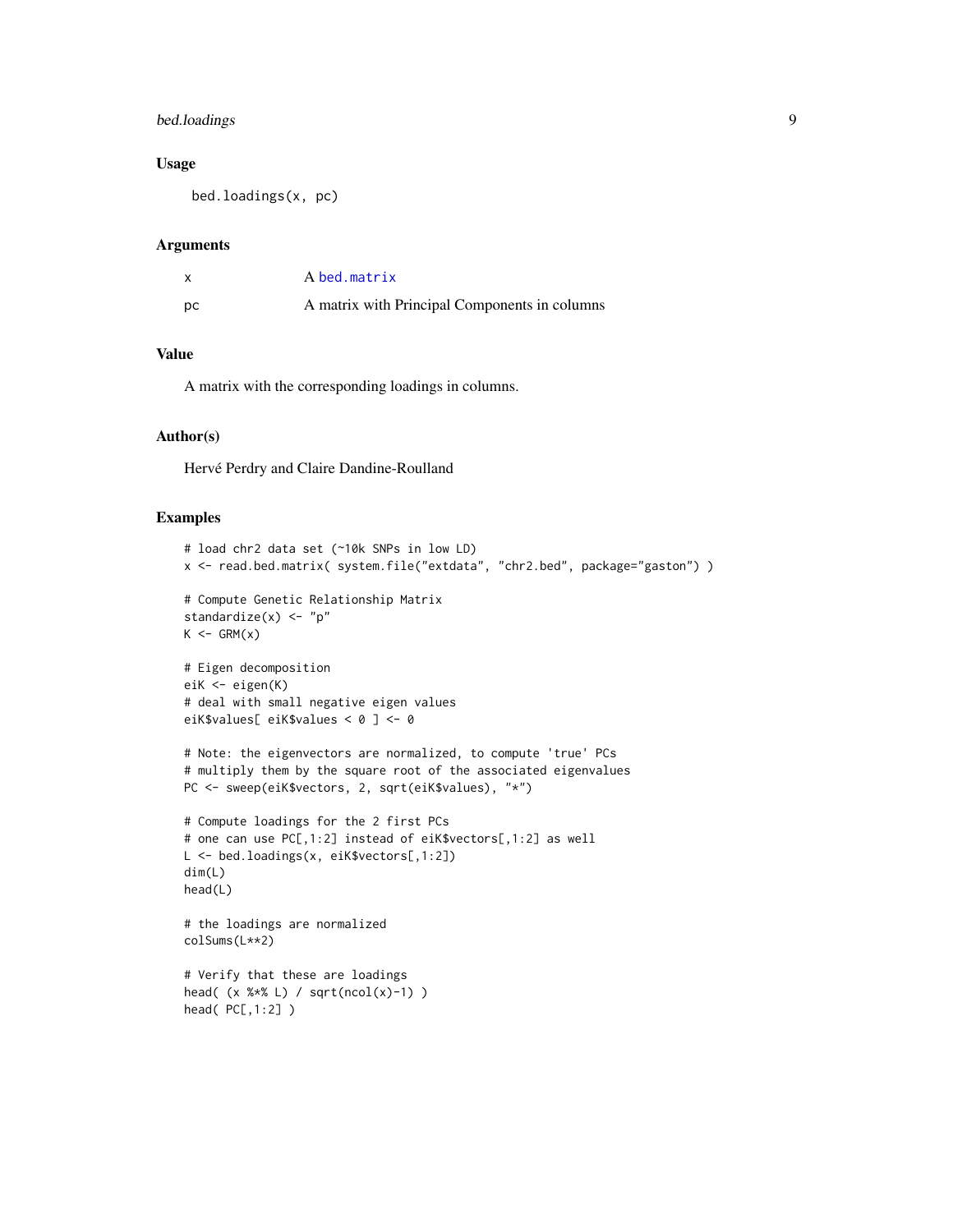# <span id="page-8-0"></span>bed.loadings 9

# Usage

bed.loadings(x, pc)

#### Arguments

|    | A bed.matrix                                  |
|----|-----------------------------------------------|
| рc | A matrix with Principal Components in columns |

# Value

A matrix with the corresponding loadings in columns.

# Author(s)

Hervé Perdry and Claire Dandine-Roulland

#### Examples

```
# load chr2 data set (~10k SNPs in low LD)
x <- read.bed.matrix( system.file("extdata", "chr2.bed", package="gaston") )
# Compute Genetic Relationship Matrix
standardize(x) <- "p"
K \leftarrow \text{GRM}(x)# Eigen decomposition
eiK <- eigen(K)
# deal with small negative eigen values
eiK$values[ eiK$values < 0 ] <- 0
# Note: the eigenvectors are normalized, to compute 'true' PCs
# multiply them by the square root of the associated eigenvalues
PC <- sweep(eiK$vectors, 2, sqrt(eiK$values), "*")
# Compute loadings for the 2 first PCs
# one can use PC[,1:2] instead of eiK$vectors[,1:2] as well
L <- bed.loadings(x, eiK$vectors[,1:2])
dim(L)
head(L)
# the loadings are normalized
colSums(L**2)
# Verify that these are loadings
head( (x %*% L) / sqrt(ncol(x)-1) )
head( PC[,1:2] )
```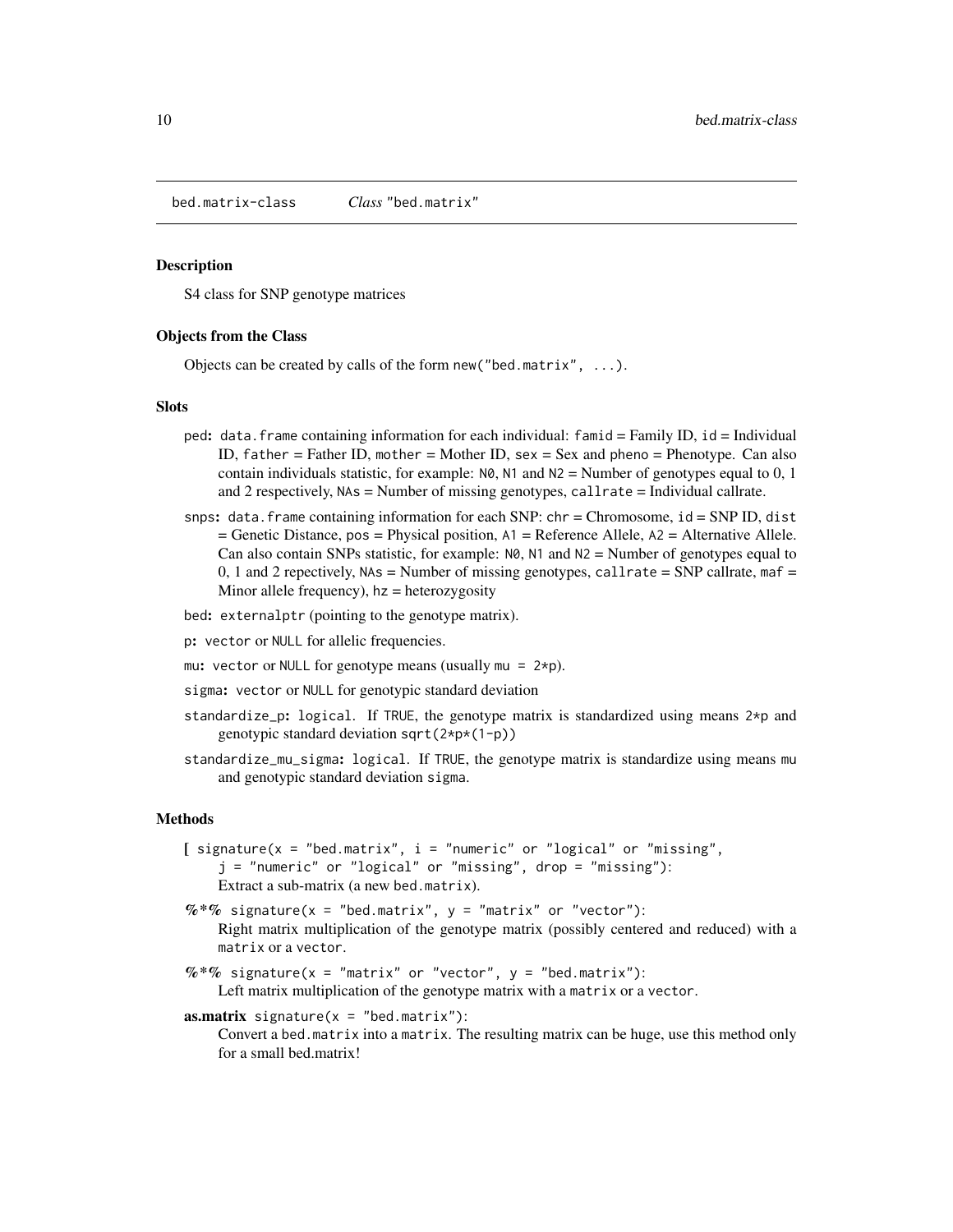<span id="page-9-2"></span><span id="page-9-0"></span>bed.matrix-class *Class* "bed.matrix"

#### <span id="page-9-1"></span>Description

S4 class for SNP genotype matrices

#### Objects from the Class

Objects can be created by calls of the form new ("bed.matrix",  $\dots$ ).

#### **Slots**

- ped: data.frame containing information for each individual: famid = Family ID, id = Individual ID, father = Father ID, mother = Mother ID, sex = Sex and pheno = Phenotype. Can also contain individuals statistic, for example:  $N\theta$ ,  $N1$  and  $N2$  = Number of genotypes equal to 0, 1 and 2 respectively,  $NAs = Number of missing genotypes, call rate = Individual call rate.$
- snps: data.frame containing information for each SNP: chr = Chromosome, id = SNP ID, dist = Genetic Distance, pos = Physical position, A1 = Reference Allele, A2 = Alternative Allele. Can also contain SNPs statistic, for example:  $N\varnothing$ ,  $N1$  and  $N2 =$  Number of genotypes equal to 0, 1 and 2 repectively,  $NAs =$  Number of missing genotypes, callrate = SNP callrate, maf = Minor allele frequency),  $hz = heterozygosity$

bed: externalptr (pointing to the genotype matrix).

- p: vector or NULL for allelic frequencies.
- mu: vector or NULL for genotype means (usually mu =  $2*p$ ).
- sigma: vector or NULL for genotypic standard deviation
- standardize\_p: logical. If TRUE, the genotype matrix is standardized using means 2\*p and genotypic standard deviation sqrt(2\*p\*(1-p))
- standardize\_mu\_sigma: logical. If TRUE, the genotype matrix is standardize using means mu and genotypic standard deviation sigma.

#### **Methods**

- $[$  signature(x = "bed.matrix", i = "numeric" or "logical" or "missing", j = "numeric" or "logical" or "missing", drop = "missing"): Extract a sub-matrix (a new bed.matrix).
- $%$  \*% signature(x = "bed.matrix", y = "matrix" or "vector"): Right matrix multiplication of the genotype matrix (possibly centered and reduced) with a matrix or a vector.
- $%$  \*% signature(x = "matrix" or "vector", y = "bed.matrix"): Left matrix multiplication of the genotype matrix with a matrix or a vector.
- **as.matrix** signature( $x =$ "bed.matrix"):

Convert a bed.matrix into a matrix. The resulting matrix can be huge, use this method only for a small bed.matrix!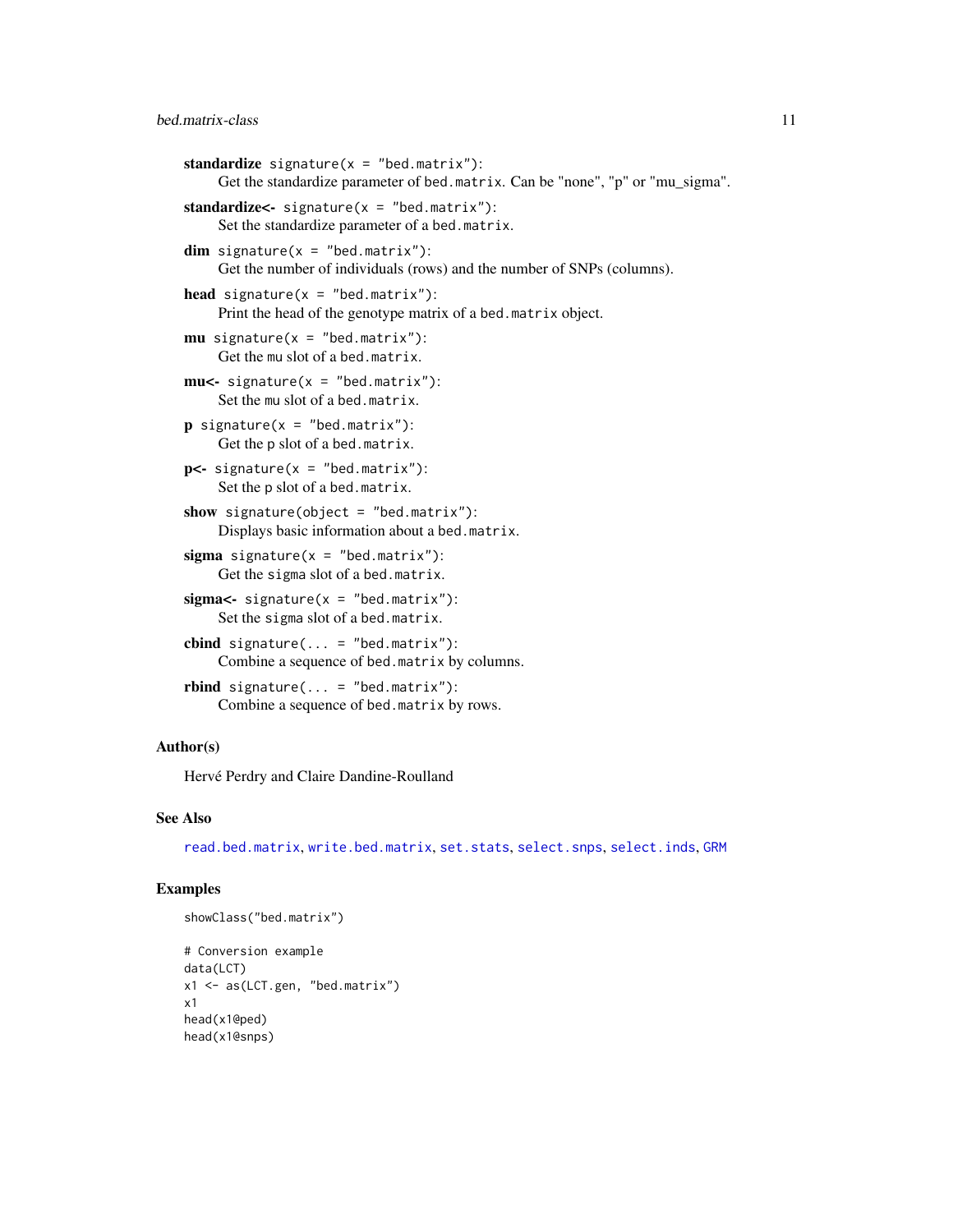```
standardize signature(x = "bed_matrix"):
    Get the standardize parameter of bed.matrix. Can be "none", "p" or "mu_sigma".
standardize \leq signature(x = "bed_matrix"):
    Set the standardize parameter of a bed.matrix.
dim signature(x = "bed_matrix"):
    Get the number of individuals (rows) and the number of SNPs (columns).
head signature(x ="bed.matrix"):
    Print the head of the genotype matrix of a bed.matrix object.
mu signature(x = "bed.matrix"):
    Get the mu slot of a bed.matrix.
mu <- signature(x = "bed.matrix"):
    Set the mu slot of a bed.matrix.
\mathbf{p} signature(x = "bed.matrix"):
    Get the p slot of a bed.matrix.
p <- signature(x = "bed.matrix"):
     Set the p slot of a bed.matrix.
show signature(object = "bed.matrix"):
    Displays basic information about a bed.matrix.
sigma signature(x = "bed.matrix"):
    Get the sigma slot of a bed.matrix.
sigma = signature(x = "bed.matrix"):
    Set the sigma slot of a bed.matrix.
cbind signature(\dots = "bed.matrix"):
    Combine a sequence of bed.matrix by columns.
rbind signature(\dots = "bed.matrix"):
    Combine a sequence of bed.matrix by rows.
```
# Author(s)

Hervé Perdry and Claire Dandine-Roulland

# See Also

[read.bed.matrix](#page-30-1), [write.bed.matrix](#page-46-1), [set.stats](#page-42-1), [select.snps](#page-39-1), [select.inds](#page-37-1), [GRM](#page-12-1)

#### Examples

```
showClass("bed.matrix")
```

```
# Conversion example
data(LCT)
x1 <- as(LCT.gen, "bed.matrix")
x1
head(x1@ped)
head(x1@snps)
```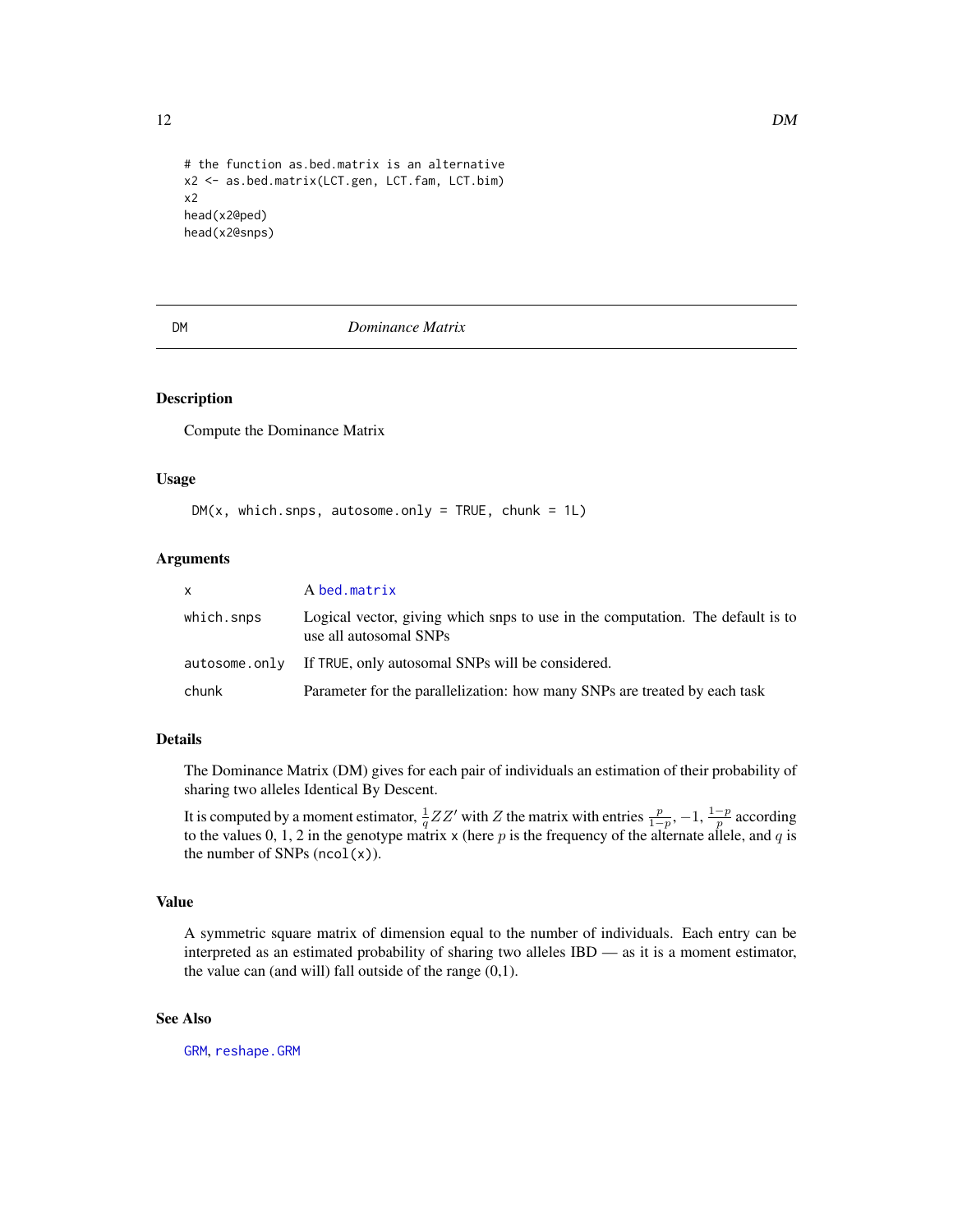```
# the function as.bed.matrix is an alternative
x2 <- as.bed.matrix(LCT.gen, LCT.fam, LCT.bim)
x2
head(x2@ped)
head(x2@snps)
```
#### DM *Dominance Matrix*

#### Description

Compute the Dominance Matrix

#### Usage

```
DM(x, which.saps, autosome-only = TRUE, chunk = 1L)
```
#### Arguments

| <b>X</b>   | A bed.matrix                                                                                             |
|------------|----------------------------------------------------------------------------------------------------------|
| which.snps | Logical vector, giving which snps to use in the computation. The default is to<br>use all autosomal SNPs |
|            | autosome.only If TRUE, only autosomal SNPs will be considered.                                           |
| chunk      | Parameter for the parallelization: how many SNPs are treated by each task                                |

#### Details

The Dominance Matrix (DM) gives for each pair of individuals an estimation of their probability of sharing two alleles Identical By Descent.

It is computed by a moment estimator,  $\frac{1}{q}ZZ'$  with Z the matrix with entries  $\frac{p}{1-p}$ ,  $-1$ ,  $\frac{1-p}{p}$  according to the values 0, 1, 2 in the genotype matrix x (here p is the frequency of the alternate allele, and q is the number of SNPs  $(ncol(x))$ .

# Value

A symmetric square matrix of dimension equal to the number of individuals. Each entry can be interpreted as an estimated probability of sharing two alleles IBD — as it is a moment estimator, the value can (and will) fall outside of the range  $(0,1)$ .

# See Also

[GRM](#page-12-1), [reshape.GRM](#page-32-1)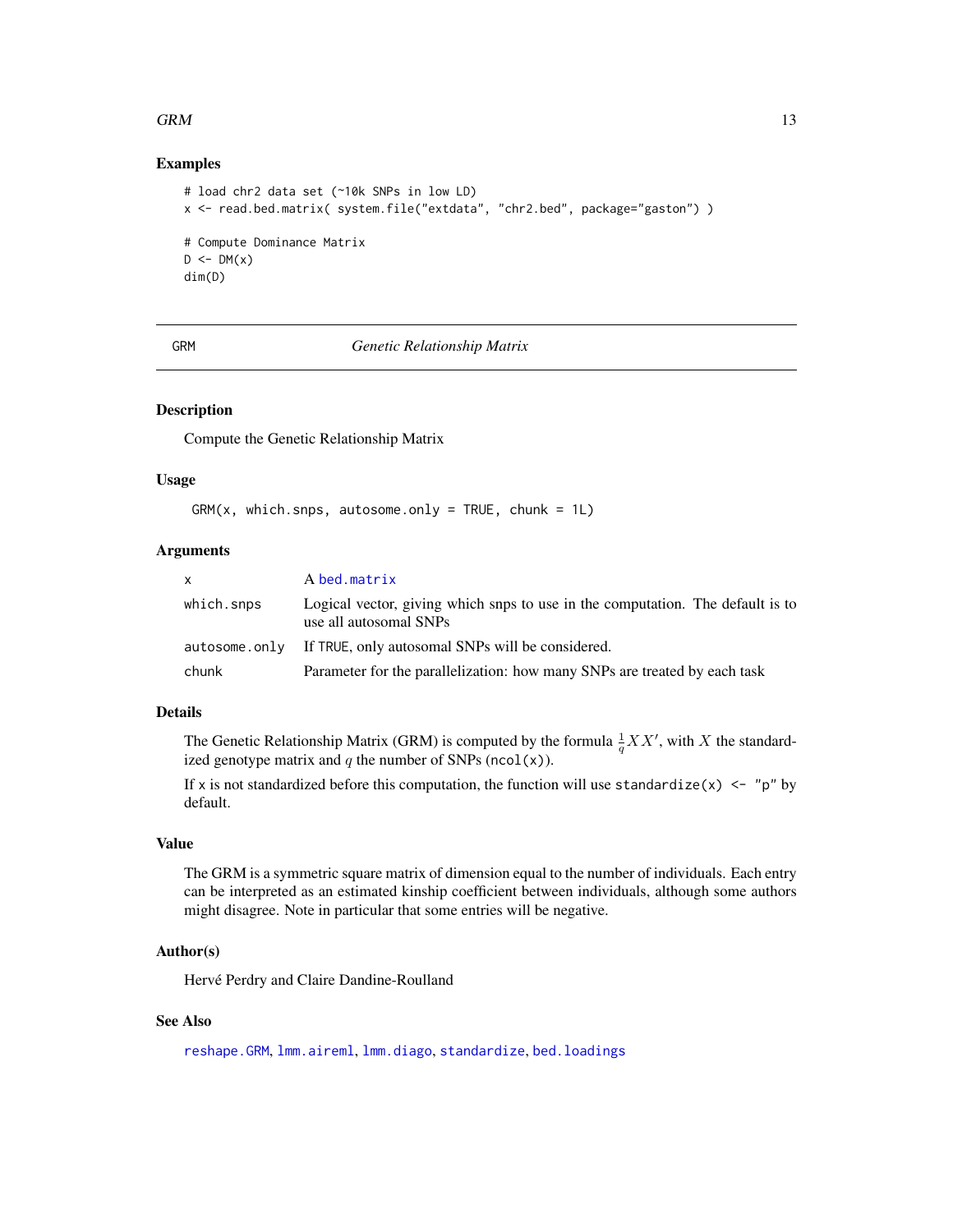#### <span id="page-12-0"></span> $GRM$  13

# Examples

```
# load chr2 data set (~10k SNPs in low LD)
x <- read.bed.matrix( system.file("extdata", "chr2.bed", package="gaston") )
# Compute Dominance Matrix
D \leftarrow DM(x)dim(D)
```
<span id="page-12-1"></span>GRM *Genetic Relationship Matrix*

# Description

Compute the Genetic Relationship Matrix

#### Usage

 $GRM(x, which.snps, autosome-only = TRUE, chunk = 1L)$ 

# Arguments

| <b>X</b>   | A bed.matrix                                                                                             |
|------------|----------------------------------------------------------------------------------------------------------|
| which.snps | Logical vector, giving which snps to use in the computation. The default is to<br>use all autosomal SNPs |
|            | autosome.only If TRUE, only autosomal SNPs will be considered.                                           |
| chunk      | Parameter for the parallelization: how many SNPs are treated by each task                                |

# Details

The Genetic Relationship Matrix (GRM) is computed by the formula  $\frac{1}{q}XX'$ , with X the standardized genotype matrix and  $q$  the number of SNPs (ncol(x)).

If x is not standardized before this computation, the function will use standardize(x)  $\leq$  "p" by default.

# Value

The GRM is a symmetric square matrix of dimension equal to the number of individuals. Each entry can be interpreted as an estimated kinship coefficient between individuals, although some authors might disagree. Note in particular that some entries will be negative.

# Author(s)

Hervé Perdry and Claire Dandine-Roulland

#### See Also

[reshape.GRM](#page-32-1), [lmm.aireml](#page-20-1), [lmm.diago](#page-23-1), [standardize](#page-9-1), [bed.loadings](#page-7-1)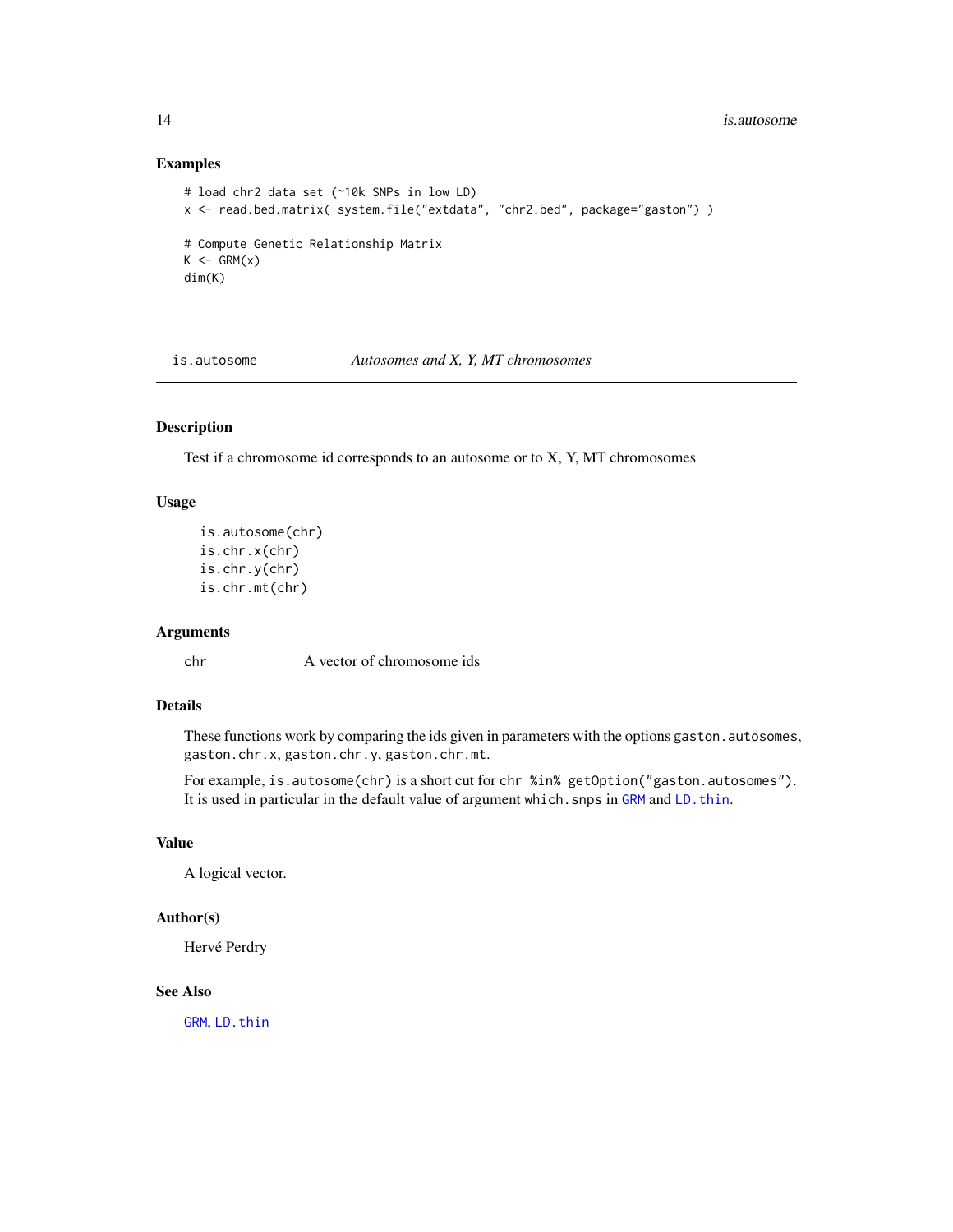# Examples

```
# load chr2 data set (~10k SNPs in low LD)
x <- read.bed.matrix( system.file("extdata", "chr2.bed", package="gaston") )
# Compute Genetic Relationship Matrix
K \leftarrow \text{GRM}(x)dim(K)
```
is.autosome *Autosomes and X, Y, MT chromosomes*

# Description

Test if a chromosome id corresponds to an autosome or to X, Y, MT chromosomes

#### Usage

```
is.autosome(chr)
is.chr.x(chr)
is.chr.y(chr)
is.chr.mt(chr)
```
# Arguments

chr A vector of chromosome ids

# Details

These functions work by comparing the ids given in parameters with the options gaston.autosomes, gaston.chr.x, gaston.chr.y, gaston.chr.mt.

For example, is.autosome(chr) is a short cut for chr %in% getOption("gaston.autosomes"). It is used in particular in the default value of argument which. snps in [GRM](#page-12-1) and LD. thin.

# Value

A logical vector.

# Author(s)

Hervé Perdry

# See Also

[GRM](#page-12-1), [LD.thin](#page-18-1)

<span id="page-13-0"></span>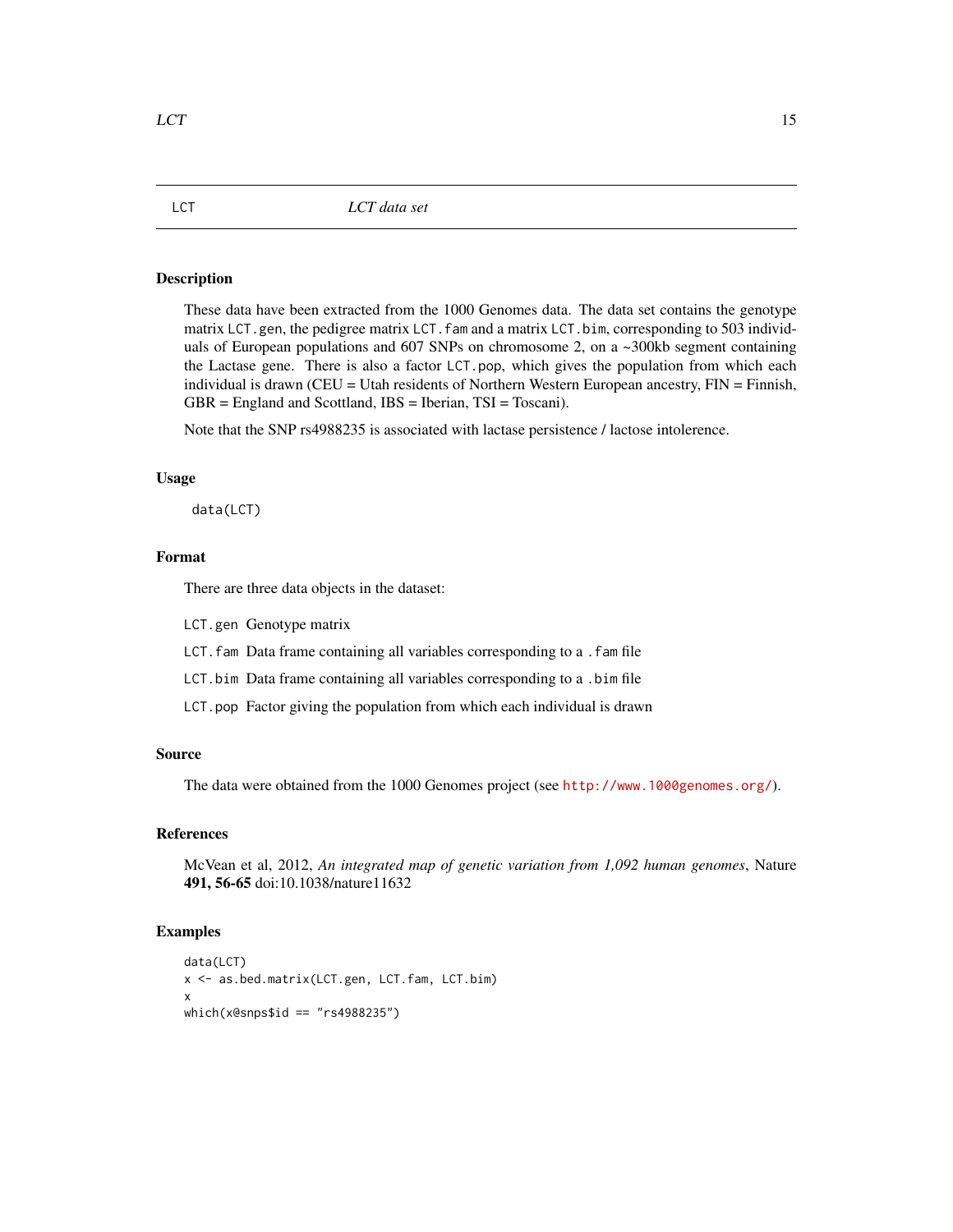<span id="page-14-0"></span>These data have been extracted from the 1000 Genomes data. The data set contains the genotype matrix LCT.gen, the pedigree matrix LCT. fam and a matrix LCT. bim, corresponding to 503 individuals of European populations and 607 SNPs on chromosome 2, on a ~300kb segment containing the Lactase gene. There is also a factor LCT.pop, which gives the population from which each individual is drawn (CEU = Utah residents of Northern Western European ancestry, FIN = Finnish, GBR = England and Scottland, IBS = Iberian, TSI = Toscani).

Note that the SNP rs4988235 is associated with lactase persistence / lactose intolerence.

# Usage

data(LCT)

# Format

There are three data objects in the dataset:

LCT.gen Genotype matrix

LCT.fam Data frame containing all variables corresponding to a .fam file

LCT.bim Data frame containing all variables corresponding to a .bim file

LCT.pop Factor giving the population from which each individual is drawn

# Source

The data were obtained from the 1000 Genomes project (see <http://www.1000genomes.org/>).

# References

McVean et al, 2012, *An integrated map of genetic variation from 1,092 human genomes*, Nature 491, 56-65 doi:10.1038/nature11632

#### Examples

```
data(LCT)
x <- as.bed.matrix(LCT.gen, LCT.fam, LCT.bim)
x
which(x@snps$id == "rs4988235")
```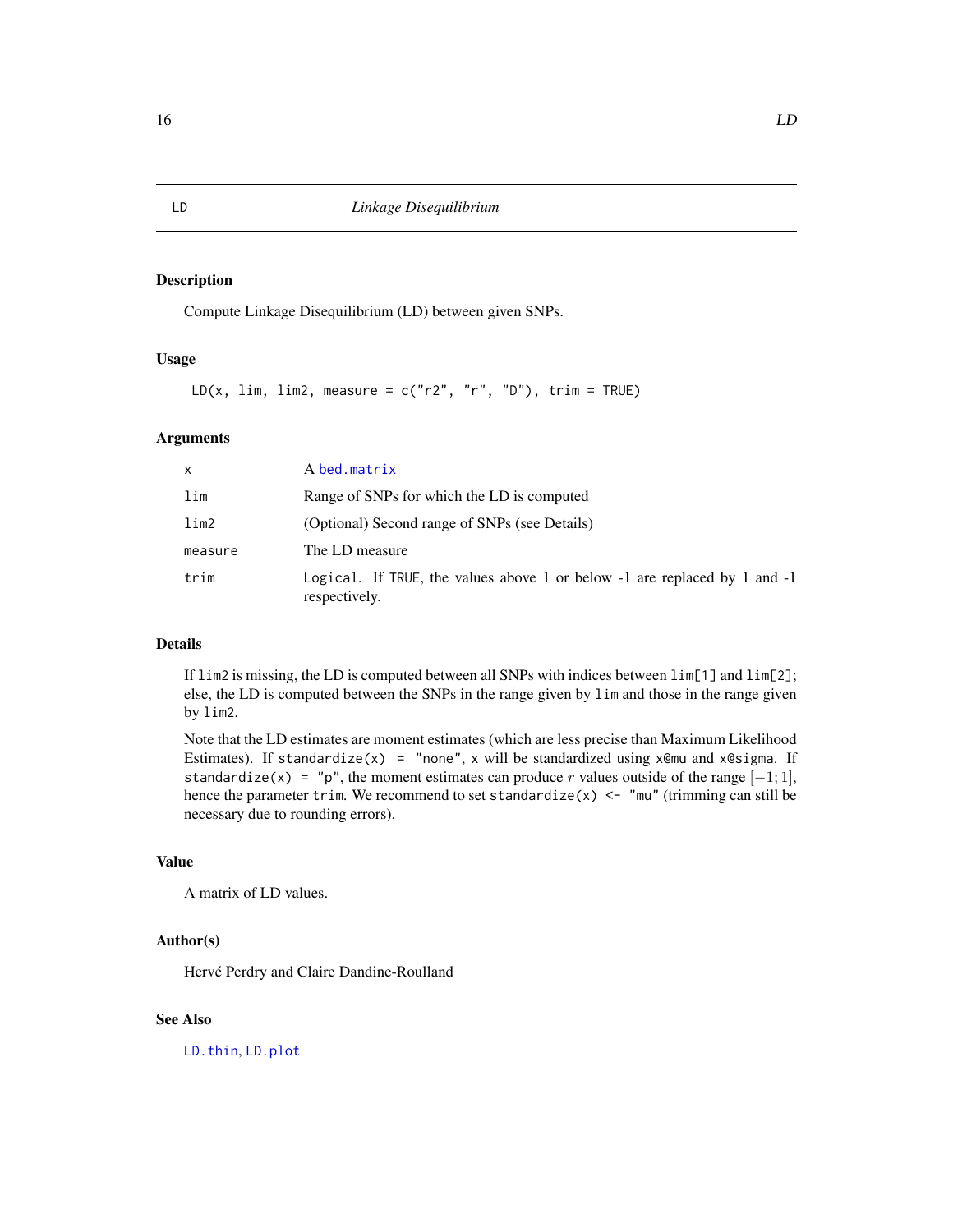Compute Linkage Disequilibrium (LD) between given SNPs.

# Usage

```
LD(x, lim, lim2, measure = c("r2", "r", "D"), trim = TRUE)
```
# Arguments

| $\mathsf{x}$ | A bed.matrix                                                                                   |
|--------------|------------------------------------------------------------------------------------------------|
| lim          | Range of SNPs for which the LD is computed                                                     |
| $\lim_{ }$   | (Optional) Second range of SNPs (see Details)                                                  |
| measure      | The LD measure                                                                                 |
| trim         | Logical. If TRUE, the values above 1 or below $-1$ are replaced by 1 and $-1$<br>respectively. |

#### Details

If lim2 is missing, the LD is computed between all SNPs with indices between lim[1] and lim[2]; else, the LD is computed between the SNPs in the range given by lim and those in the range given by lim2.

Note that the LD estimates are moment estimates (which are less precise than Maximum Likelihood Estimates). If standardize(x) = "none", x will be standardized using  $x$ @mu and  $x$ @sigma. If standardize(x) = "p", the moment estimates can produce r values outside of the range  $[-1; 1]$ , hence the parameter trim. We recommend to set standardize(x) <- "mu" (trimming can still be necessary due to rounding errors).

#### Value

A matrix of LD values.

# Author(s)

Hervé Perdry and Claire Dandine-Roulland

# See Also

[LD.thin](#page-18-1), [LD.plot](#page-16-1)

<span id="page-15-1"></span><span id="page-15-0"></span>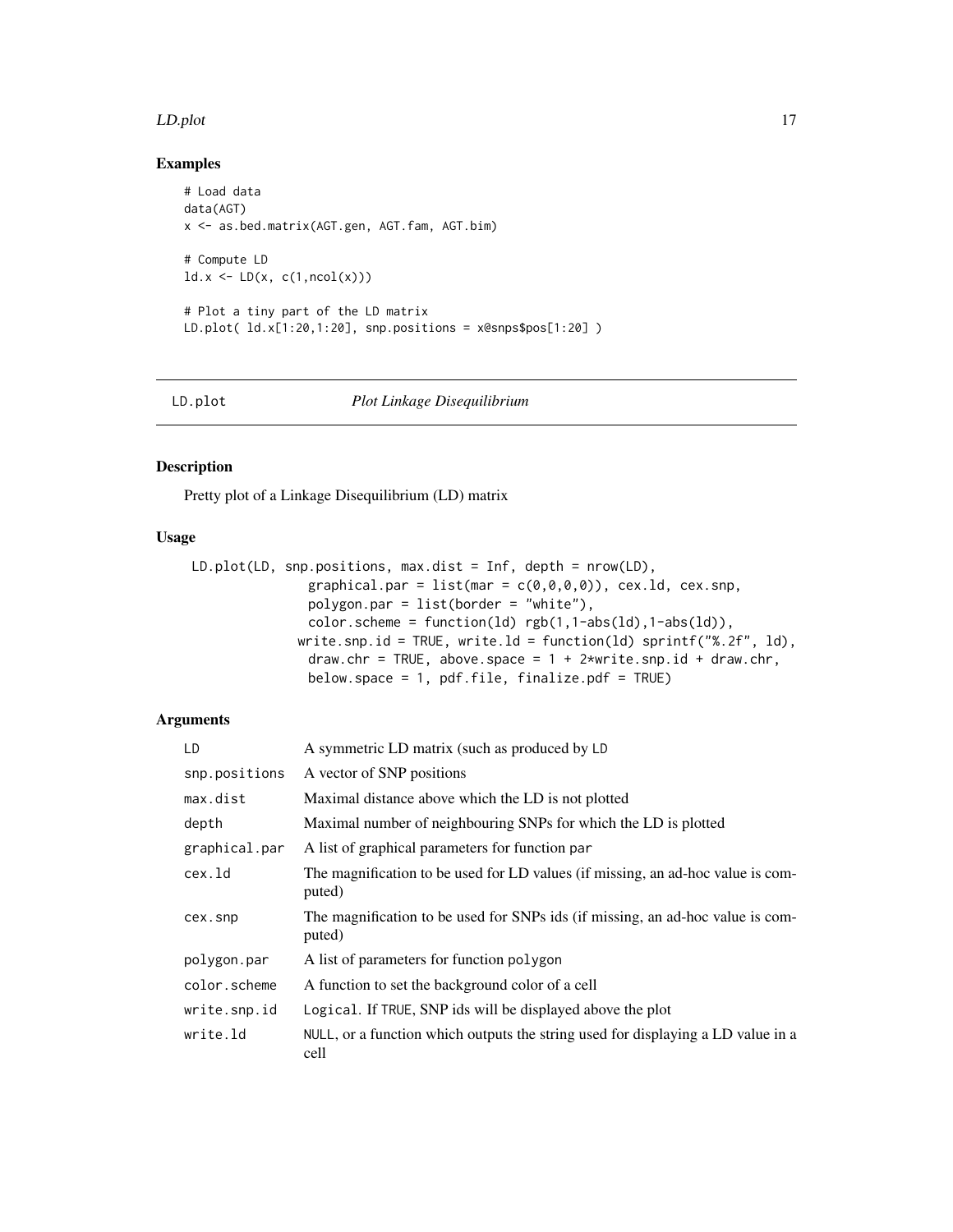#### <span id="page-16-0"></span>LD.plot the contract of the contract of the contract of the contract of the contract of the contract of the contract of the contract of the contract of the contract of the contract of the contract of the contract of the co

# Examples

```
# Load data
data(AGT)
x <- as.bed.matrix(AGT.gen, AGT.fam, AGT.bim)
# Compute LD
ld.x \leftarrow LD(x, c(1, \text{ncol}(x)))# Plot a tiny part of the LD matrix
LD.plot( ld.x[1:20,1:20], snp.positions = x@snps$pos[1:20] )
```
<span id="page-16-1"></span>

LD.plot *Plot Linkage Disequilibrium*

# Description

Pretty plot of a Linkage Disequilibrium (LD) matrix

# Usage

```
LD.plot(LD, snp.positions, max.dist = Inf, depth = nrow(LD),
                graphical.par = list(mar = c(\theta, \theta, \theta, \theta)), cex.ld, cex.snp,
                polygon.par = list(border = "white"),
                color.scheme = function(ld) rgb(1,1-abs(1d),1-abs(1d)),
              write.snp.id = TRUE, write.ld = function(ld) sprintf("%.2f", ld),
                draw.chr = TRUE, above.space = 1 + 2*write.snp.id + draw.chr,
                below.space = 1, pdf.file, finalize.pdf = TRUE)
```

| LD            | A symmetric LD matrix (such as produced by LD                                             |
|---------------|-------------------------------------------------------------------------------------------|
| snp.positions | A vector of SNP positions                                                                 |
| max.dist      | Maximal distance above which the LD is not plotted                                        |
| depth         | Maximal number of neighbouring SNPs for which the LD is plotted                           |
| graphical.par | A list of graphical parameters for function par                                           |
| cex.ld        | The magnification to be used for LD values (if missing, an ad-hoc value is com-<br>puted) |
| cex.snp       | The magnification to be used for SNPs ids (if missing, an ad-hoc value is com-<br>puted)  |
| polygon.par   | A list of parameters for function polygon                                                 |
| color.scheme  | A function to set the background color of a cell                                          |
| write.snp.id  | Logical. If TRUE, SNP ids will be displayed above the plot                                |
| write.ld      | NULL, or a function which outputs the string used for displaying a LD value in a<br>cell  |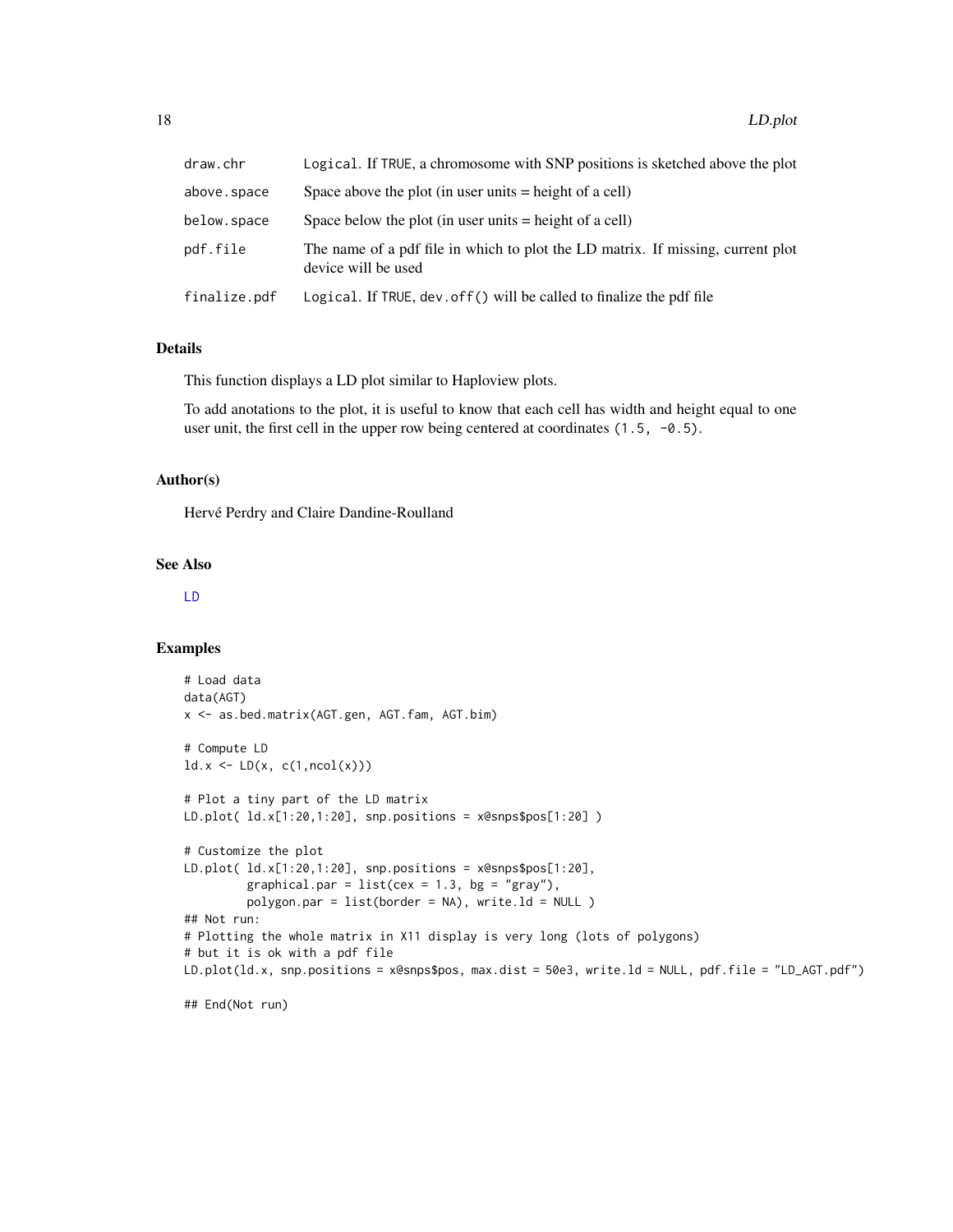<span id="page-17-0"></span>

| draw.chr     | Logical. If TRUE, a chromosome with SNP positions is sketched above the plot                           |
|--------------|--------------------------------------------------------------------------------------------------------|
| above.space  | Space above the plot (in user units $=$ height of a cell)                                              |
| below.space  | Space below the plot (in user units $=$ height of a cell)                                              |
| pdf.file     | The name of a pdf file in which to plot the LD matrix. If missing, current plot<br>device will be used |
| finalize.pdf | Logical. If TRUE, dev. of f() will be called to finalize the pdf file                                  |

#### Details

This function displays a LD plot similar to Haploview plots.

To add anotations to the plot, it is useful to know that each cell has width and height equal to one user unit, the first cell in the upper row being centered at coordinates (1.5, -0.5).

#### Author(s)

Hervé Perdry and Claire Dandine-Roulland

# See Also

[LD](#page-15-1)

#### Examples

```
# Load data
data(AGT)
x <- as.bed.matrix(AGT.gen, AGT.fam, AGT.bim)
# Compute LD
ld.x \leftarrow LD(x, c(1, \text{ncol}(x)))# Plot a tiny part of the LD matrix
LD.plot( ld.x[1:20,1:20], snp.positions = x@snps$pos[1:20] )
# Customize the plot
LD.plot( ld.x[1:20,1:20], snp.positions = x@snps$pos[1:20],
         graphical.par = list(cex = 1.3, bg = "gray"),
         polygon.par = list(border = NA), write.ld = NULL )
## Not run:
# Plotting the whole matrix in X11 display is very long (lots of polygons)
# but it is ok with a pdf file
LD.plot(ld.x, snp.positions = x@snps$pos, max.dist = 50e3, write.ld = NULL, pdf.file = "LD_AGT.pdf")
```
## End(Not run)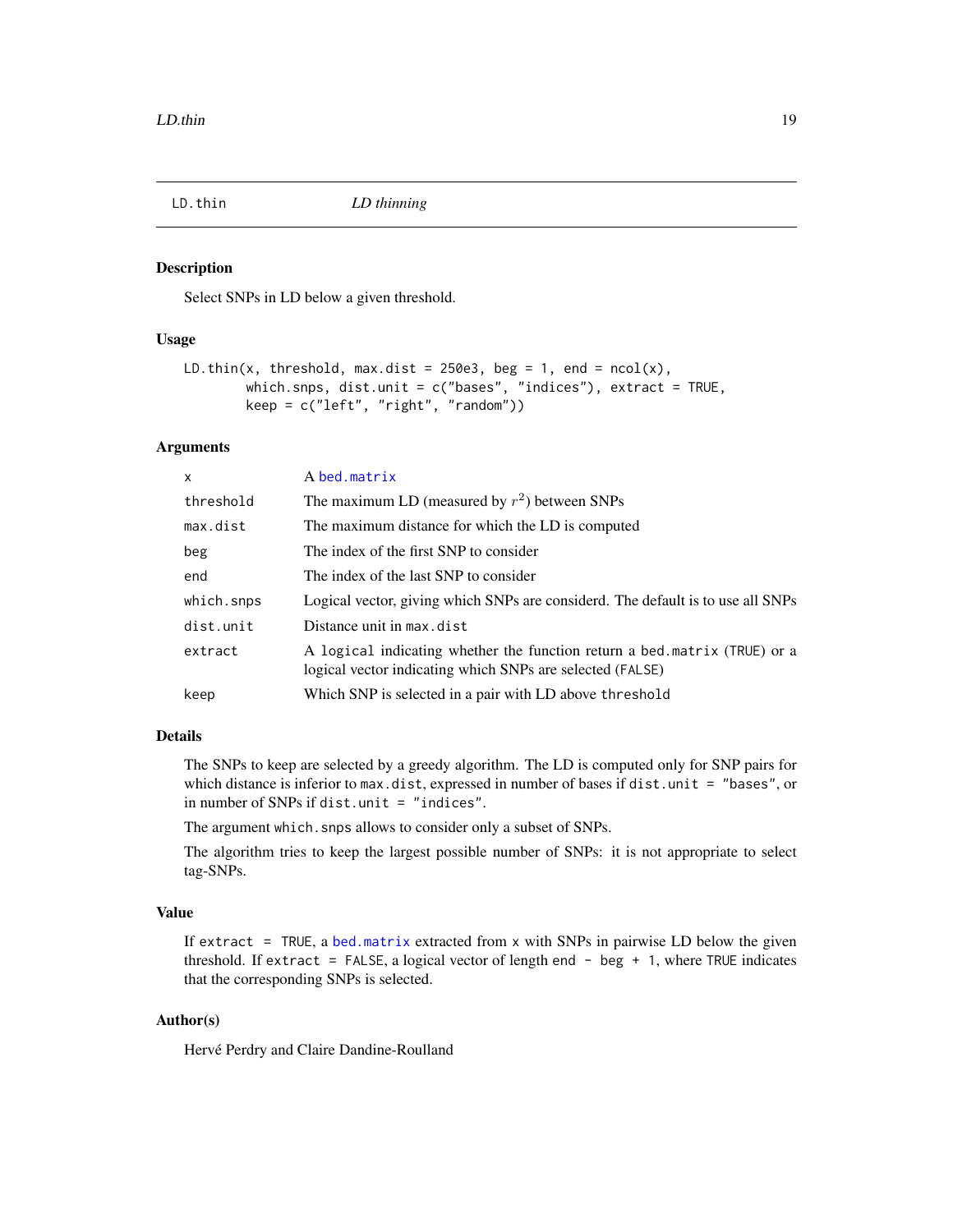<span id="page-18-1"></span><span id="page-18-0"></span>

Select SNPs in LD below a given threshold.

# Usage

```
LD.thin(x, threshold, max.dist = 250e3, beg = 1, end = ncol(x),
        which.snps, dist.unit = c("bases", "indices"), extract = TRUE,
        keep = c("left", "right", "random"))
```
# Arguments

| $\mathsf{x}$ | A bed.matrix                                                                                                                           |
|--------------|----------------------------------------------------------------------------------------------------------------------------------------|
| threshold    | The maximum LD (measured by $r^2$ ) between SNPs                                                                                       |
| max.dist     | The maximum distance for which the LD is computed                                                                                      |
| beg          | The index of the first SNP to consider                                                                                                 |
| end          | The index of the last SNP to consider                                                                                                  |
| which.snps   | Logical vector, giving which SNPs are considerd. The default is to use all SNPs                                                        |
| dist.unit    | Distance unit in max.dist                                                                                                              |
| extract      | A logical indicating whether the function return a bed matrix (TRUE) or a<br>logical vector indicating which SNPs are selected (FALSE) |
| keep         | Which SNP is selected in a pair with LD above threshold                                                                                |
|              |                                                                                                                                        |

# Details

The SNPs to keep are selected by a greedy algorithm. The LD is computed only for SNP pairs for which distance is inferior to max.dist, expressed in number of bases if dist.unit = "bases", or in number of SNPs if dist.unit = "indices".

The argument which.snps allows to consider only a subset of SNPs.

The algorithm tries to keep the largest possible number of SNPs: it is not appropriate to select tag-SNPs.

# Value

If extract = TRUE, a [bed.matrix](#page-9-1) extracted from  $x$  with SNPs in pairwise LD below the given threshold. If extract = FALSE, a logical vector of length end - beg + 1, where TRUE indicates that the corresponding SNPs is selected.

# Author(s)

Hervé Perdry and Claire Dandine-Roulland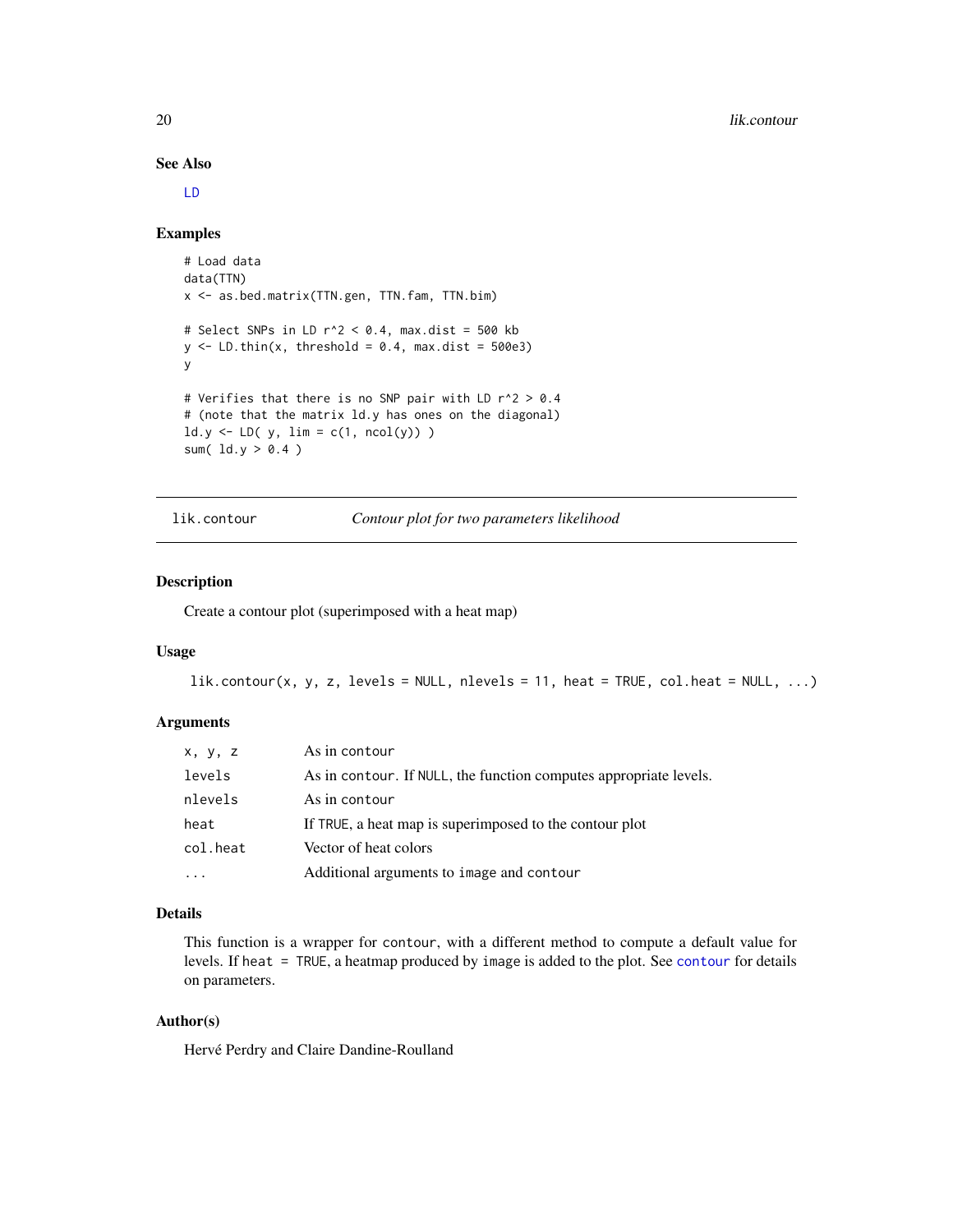See Also

#### [LD](#page-15-1)

#### Examples

```
# Load data
data(TTN)
x <- as.bed.matrix(TTN.gen, TTN.fam, TTN.bim)
# Select SNPs in LD r^2 < 0.4, max.dist = 500 kb
y \le - LD.thin(x, threshold = 0.4, max.dist = 500e3)
y
# Verifies that there is no SNP pair with LD r^2 > 0.4
# (note that the matrix ld.y has ones on the diagonal)
ld.y \leftarrow LD( y, lim = c(1, ncol(y)) )sum(ld.y > 0.4)
```
lik.contour *Contour plot for two parameters likelihood*

# Description

Create a contour plot (superimposed with a heat map)

#### Usage

```
lik.contrib(), y, z, levels = NULL, nlevels = 11, heat = TRUE, colheat = NULL, ...
```
#### Arguments

| X, Y, Z  | As in contour                                                     |
|----------|-------------------------------------------------------------------|
| levels   | As in contour. If NULL, the function computes appropriate levels. |
| nlevels  | As in contour                                                     |
| heat     | If TRUE, a heat map is superimposed to the contour plot           |
| col.heat | Vector of heat colors                                             |
|          | Additional arguments to image and contour                         |

#### Details

This function is a wrapper for contour, with a different method to compute a default value for levels. If heat = TRUE, a heatmap produced by image is added to the plot. See [contour](#page-0-0) for details on parameters.

# Author(s)

Hervé Perdry and Claire Dandine-Roulland

<span id="page-19-0"></span>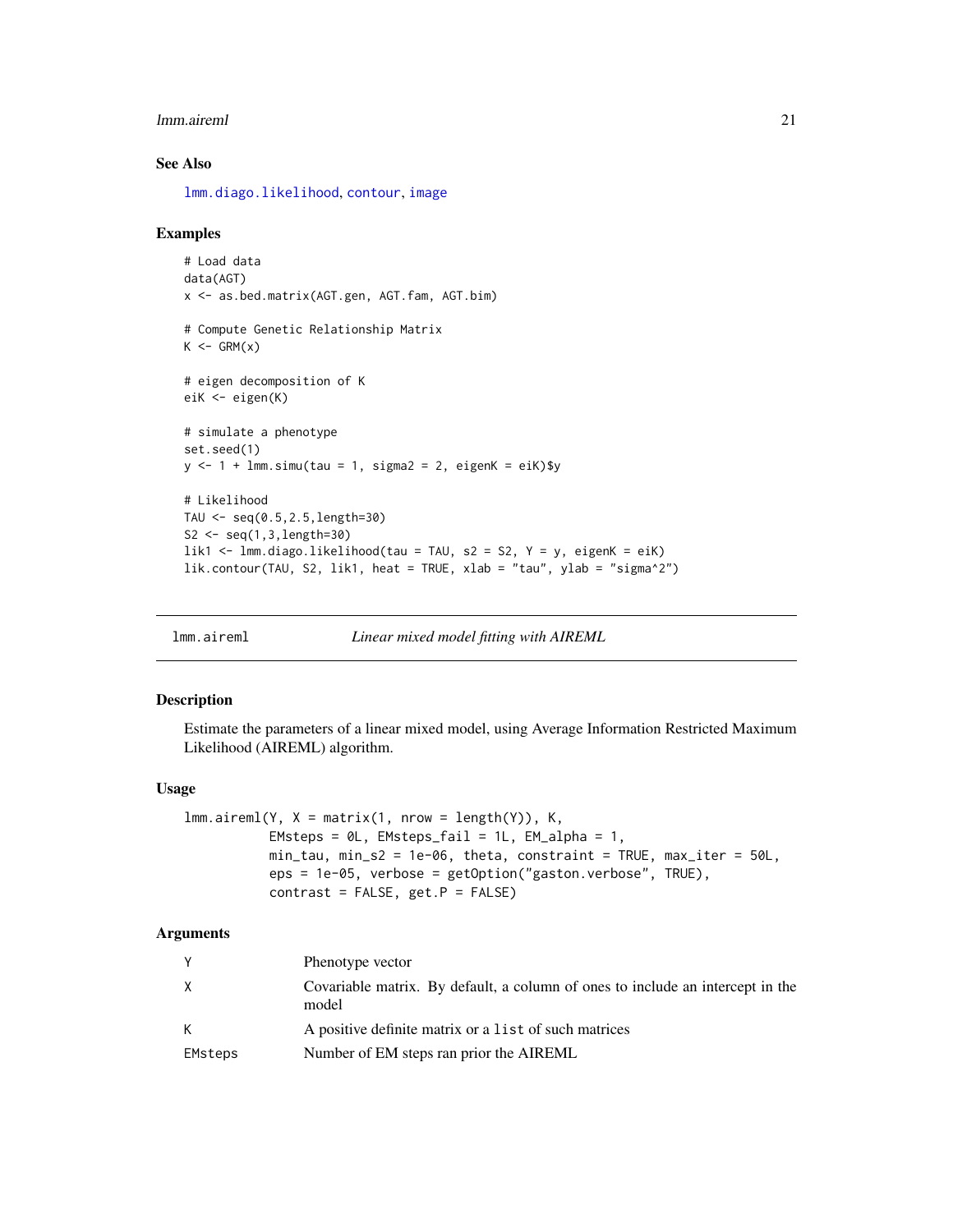#### <span id="page-20-0"></span>lmm.aireml 21

# See Also

[lmm.diago.likelihood](#page-24-1), [contour](#page-0-0), [image](#page-0-0)

#### Examples

```
# Load data
data(AGT)
x <- as.bed.matrix(AGT.gen, AGT.fam, AGT.bim)
# Compute Genetic Relationship Matrix
K \leftarrow GRM(x)# eigen decomposition of K
eiK <- eigen(K)
# simulate a phenotype
set.seed(1)
y \le -1 + \text{lmm}.simu(tau = 1, sigma2 = 2, eigenK = eiK)$y
# Likelihood
TAU \leq seq(0.5, 2.5, length=30)
S2 \leq seq(1,3, length=30)
lik1 <- lmm.diago.likelihood(tau = TAU, s2 = S2, Y = y, eigenK = eiK)
lik.contour(TAU, S2, lik1, heat = TRUE, xlab = "tau", ylab = "sigma^2")
```
<span id="page-20-1"></span>lmm.aireml *Linear mixed model fitting with AIREML*

#### Description

Estimate the parameters of a linear mixed model, using Average Information Restricted Maximum Likelihood (AIREML) algorithm.

#### Usage

```
lmm.aireml(Y, X = matrix(1, nrow = length(Y)), K,EMsteps = @L, EMsteps_fail = 1L, EM_alpha = 1,
          min_tau, min_s2 = 1e-06, theta, constraint = TRUE, max_iter = 50L,
          eps = 1e-05, verbose = getOption("gaston.verbose", TRUE),
          contrast = FALSE, get.P = FALSE)
```

|         | Phenotype vector                                                                        |
|---------|-----------------------------------------------------------------------------------------|
| X       | Covariable matrix. By default, a column of ones to include an intercept in the<br>model |
| К       | A positive definite matrix or a list of such matrices                                   |
| EMsteps | Number of EM steps ran prior the AIREML                                                 |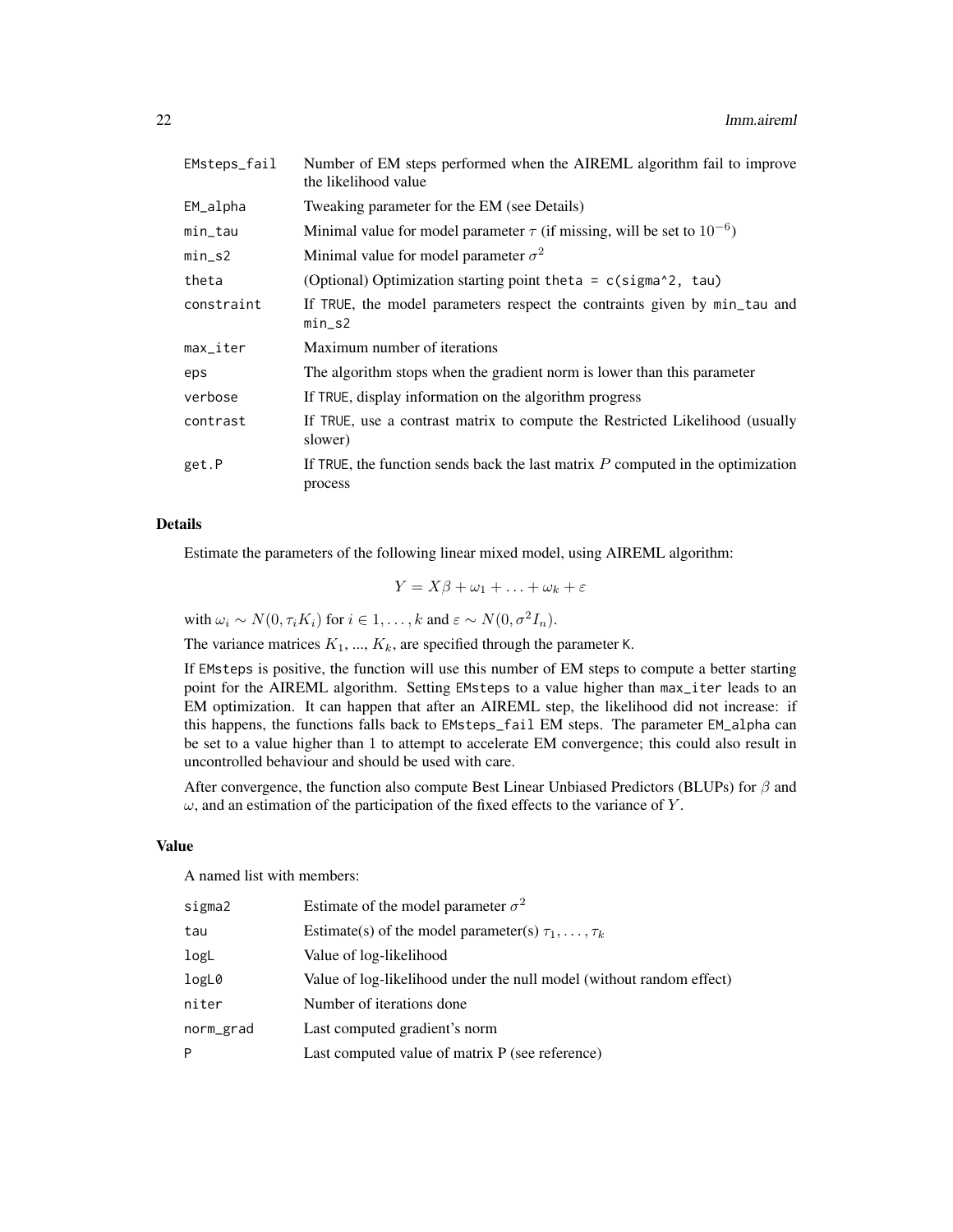| EMsteps_fail | Number of EM steps performed when the AIREML algorithm fail to improve<br>the likelihood value |  |
|--------------|------------------------------------------------------------------------------------------------|--|
| EM_alpha     | Tweaking parameter for the EM (see Details)                                                    |  |
| min_tau      | Minimal value for model parameter $\tau$ (if missing, will be set to $10^{-6}$ )               |  |
| $min\_s2$    | Minimal value for model parameter $\sigma^2$                                                   |  |
| theta        | (Optional) Optimization starting point theta = c(sigma^2, tau)                                 |  |
| constraint   | If TRUE, the model parameters respect the contraints given by min_tau and<br>$min\_s2$         |  |
| max_iter     | Maximum number of iterations                                                                   |  |
| eps          | The algorithm stops when the gradient norm is lower than this parameter                        |  |
| verbose      | If TRUE, display information on the algorithm progress                                         |  |
| contrast     | If TRUE, use a contrast matrix to compute the Restricted Likelihood (usually<br>slower)        |  |
| get.P        | If TRUE, the function sends back the last matrix $P$ computed in the optimization<br>process   |  |

# Details

Estimate the parameters of the following linear mixed model, using AIREML algorithm:

 $Y = X\beta + \omega_1 + \ldots + \omega_k + \varepsilon$ 

with  $\omega_i \sim N(0, \tau_i K_i)$  for  $i \in 1, ..., k$  and  $\varepsilon \sim N(0, \sigma^2 I_n)$ .

The variance matrices  $K_1$ , ...,  $K_k$ , are specified through the parameter K.

If EMsteps is positive, the function will use this number of EM steps to compute a better starting point for the AIREML algorithm. Setting EMsteps to a value higher than max\_iter leads to an EM optimization. It can happen that after an AIREML step, the likelihood did not increase: if this happens, the functions falls back to EMsteps\_fail EM steps. The parameter EM\_alpha can be set to a value higher than 1 to attempt to accelerate EM convergence; this could also result in uncontrolled behaviour and should be used with care.

After convergence, the function also compute Best Linear Unbiased Predictors (BLUPs) for  $\beta$  and  $\omega$ , and an estimation of the participation of the fixed effects to the variance of Y.

# Value

A named list with members:

| sigma2    | Estimate of the model parameter $\sigma^2$                           |
|-----------|----------------------------------------------------------------------|
| tau       | Estimate(s) of the model parameter(s) $\tau_1, \ldots, \tau_k$       |
| logL      | Value of log-likelihood                                              |
| logL0     | Value of log-likelihood under the null model (without random effect) |
| niter     | Number of iterations done                                            |
| norm_grad | Last computed gradient's norm                                        |
| Þ         | Last computed value of matrix P (see reference)                      |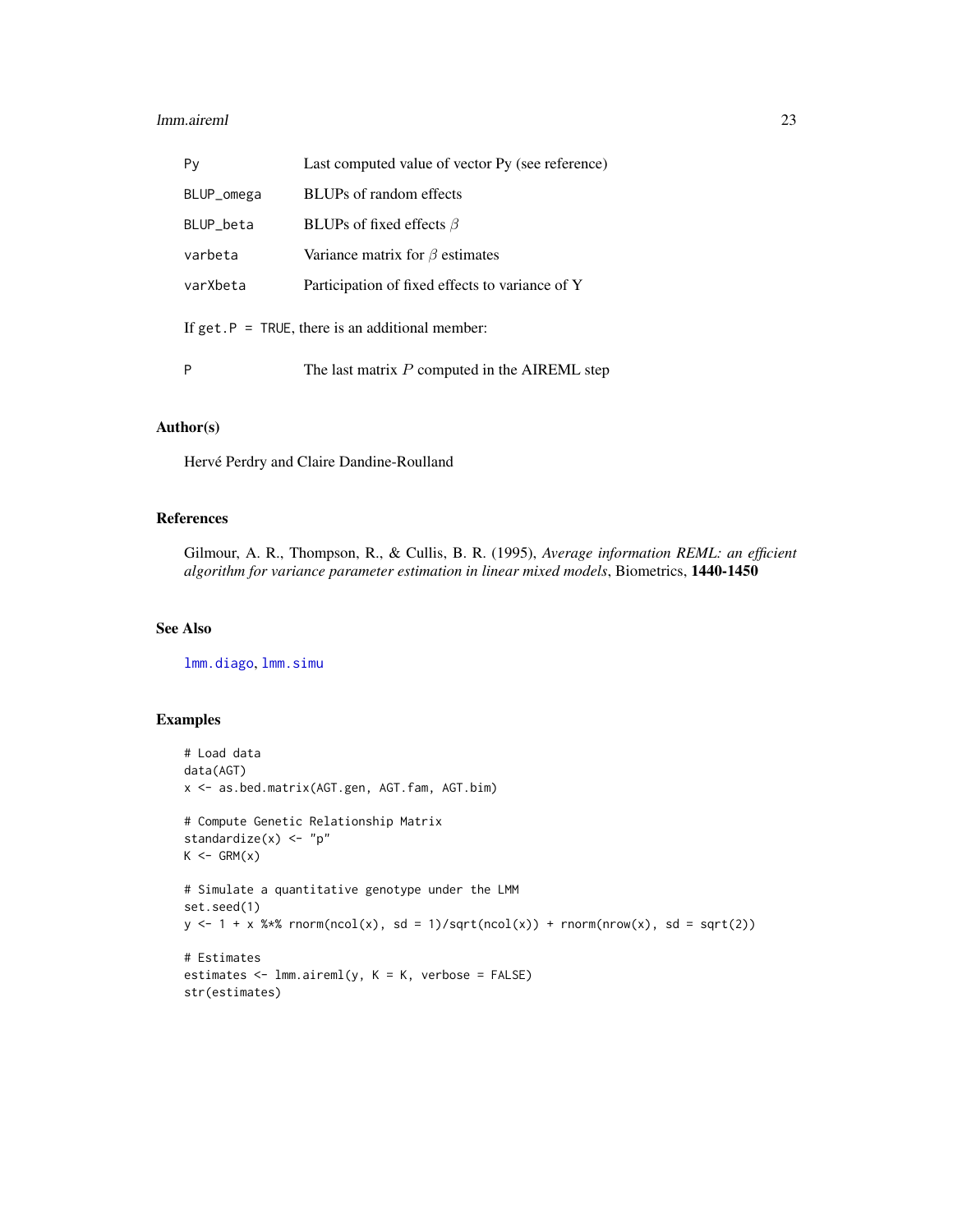#### <span id="page-22-0"></span>lmm.aireml 23

| Py                                                         | Last computed value of vector Py (see reference) |  |
|------------------------------------------------------------|--------------------------------------------------|--|
| BLUP_omega                                                 | BLUPs of random effects                          |  |
| BLUP_beta                                                  | BLUPs of fixed effects $\beta$                   |  |
| varbeta                                                    | Variance matrix for $\beta$ estimates            |  |
| varXbeta                                                   | Participation of fixed effects to variance of Y  |  |
| If get. $P = \text{TRUE}$ , there is an additional member: |                                                  |  |
| P                                                          | The last matrix $P$ computed in the AIREML step  |  |

# Author(s)

Hervé Perdry and Claire Dandine-Roulland

# References

Gilmour, A. R., Thompson, R., & Cullis, B. R. (1995), *Average information REML: an efficient algorithm for variance parameter estimation in linear mixed models*, Biometrics, 1440-1450

#### See Also

[lmm.diago](#page-23-1), [lmm.simu](#page-26-1)

# Examples

```
# Load data
data(AGT)
x <- as.bed.matrix(AGT.gen, AGT.fam, AGT.bim)
# Compute Genetic Relationship Matrix
standardize(x) <- "p"
K \leftarrow \text{GRM}(x)# Simulate a quantitative genotype under the LMM
set.seed(1)
y \le -1 + x %*% rnorm(ncol(x), sd = 1)/sqrt(ncol(x)) + rnorm(nrow(x), sd = sqrt(2))
# Estimates
estimates <- lmm.aireml(y, K = K, verbose = FALSE)
str(estimates)
```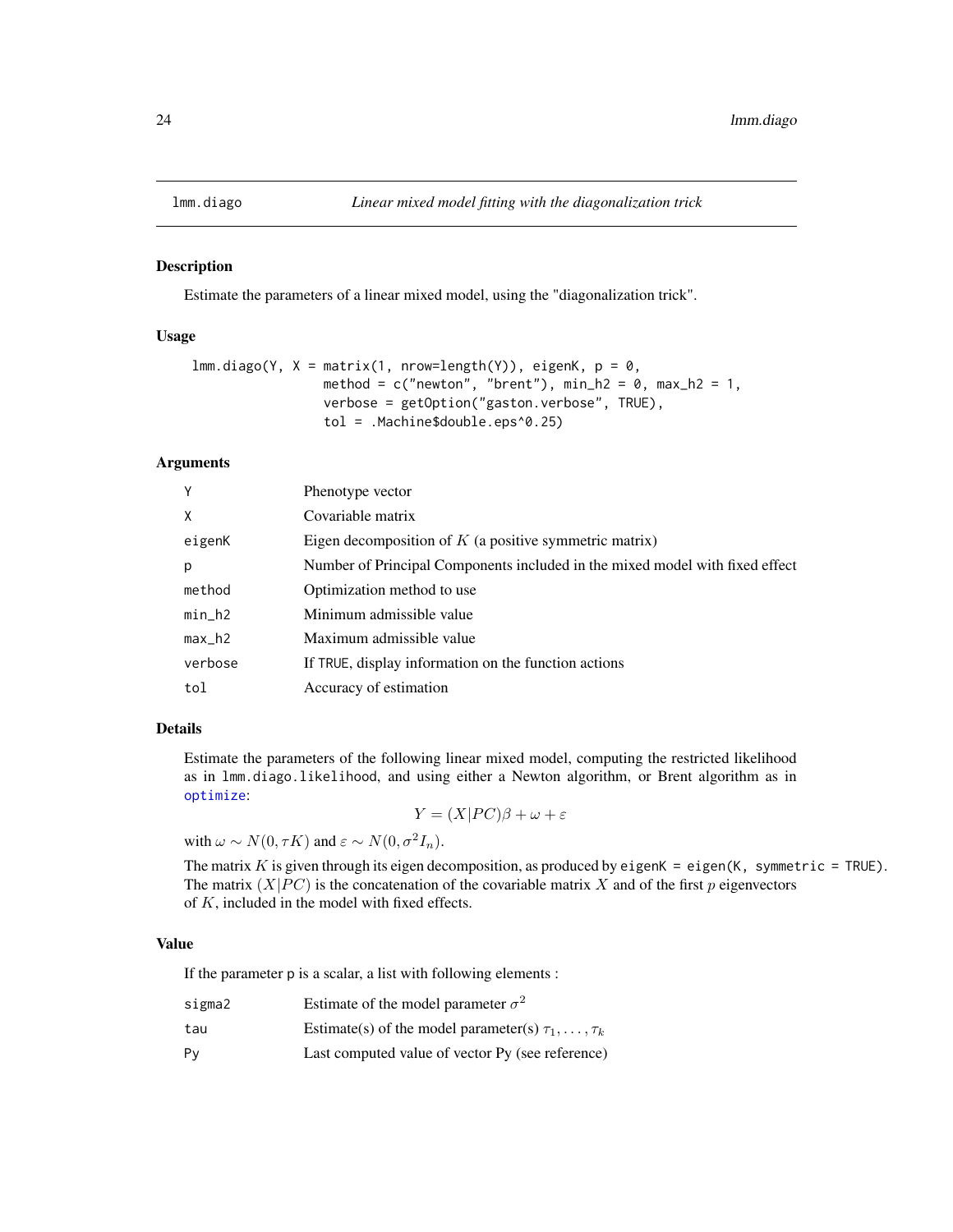<span id="page-23-1"></span><span id="page-23-0"></span>

Estimate the parameters of a linear mixed model, using the "diagonalization trick".

# Usage

```
lmm.diago(Y, X = matrix(1, nrow=length(Y)), eigenK, p = 0,method = c("newton", "brent"), min_h2 = 0, max_h2 = 1,verbose = getOption("gaston.verbose", TRUE),
                 tol = .Machine$double.eps^0.25)
```
# Arguments

| Y        | Phenotype vector                                                             |
|----------|------------------------------------------------------------------------------|
| X        | Covariable matrix                                                            |
| eigenK   | Eigen decomposition of $K$ (a positive symmetric matrix)                     |
| p        | Number of Principal Components included in the mixed model with fixed effect |
| method   | Optimization method to use.                                                  |
| $min_h2$ | Minimum admissible value                                                     |
| $max_h2$ | Maximum admissible value                                                     |
| verbose  | If TRUE, display information on the function actions                         |
| tol      | Accuracy of estimation                                                       |

# Details

Estimate the parameters of the following linear mixed model, computing the restricted likelihood as in lmm.diago.likelihood, and using either a Newton algorithm, or Brent algorithm as in [optimize](#page-0-0):

 $Y = (X|PC)\beta + \omega + \varepsilon$ 

with  $\omega \sim N(0, \tau K)$  and  $\varepsilon \sim N(0, \sigma^2 I_n)$ .

The matrix  $K$  is given through its eigen decomposition, as produced by eigen $K = eig$ en(K, symmetric = TRUE). The matrix  $(X|PC)$  is the concatenation of the covariable matrix X and of the first p eigenvectors of K, included in the model with fixed effects.

#### Value

If the parameter p is a scalar, a list with following elements :

| sigma2 | Estimate of the model parameter $\sigma^2$                     |
|--------|----------------------------------------------------------------|
| tau    | Estimate(s) of the model parameter(s) $\tau_1, \ldots, \tau_k$ |
| Pv     | Last computed value of vector Py (see reference)               |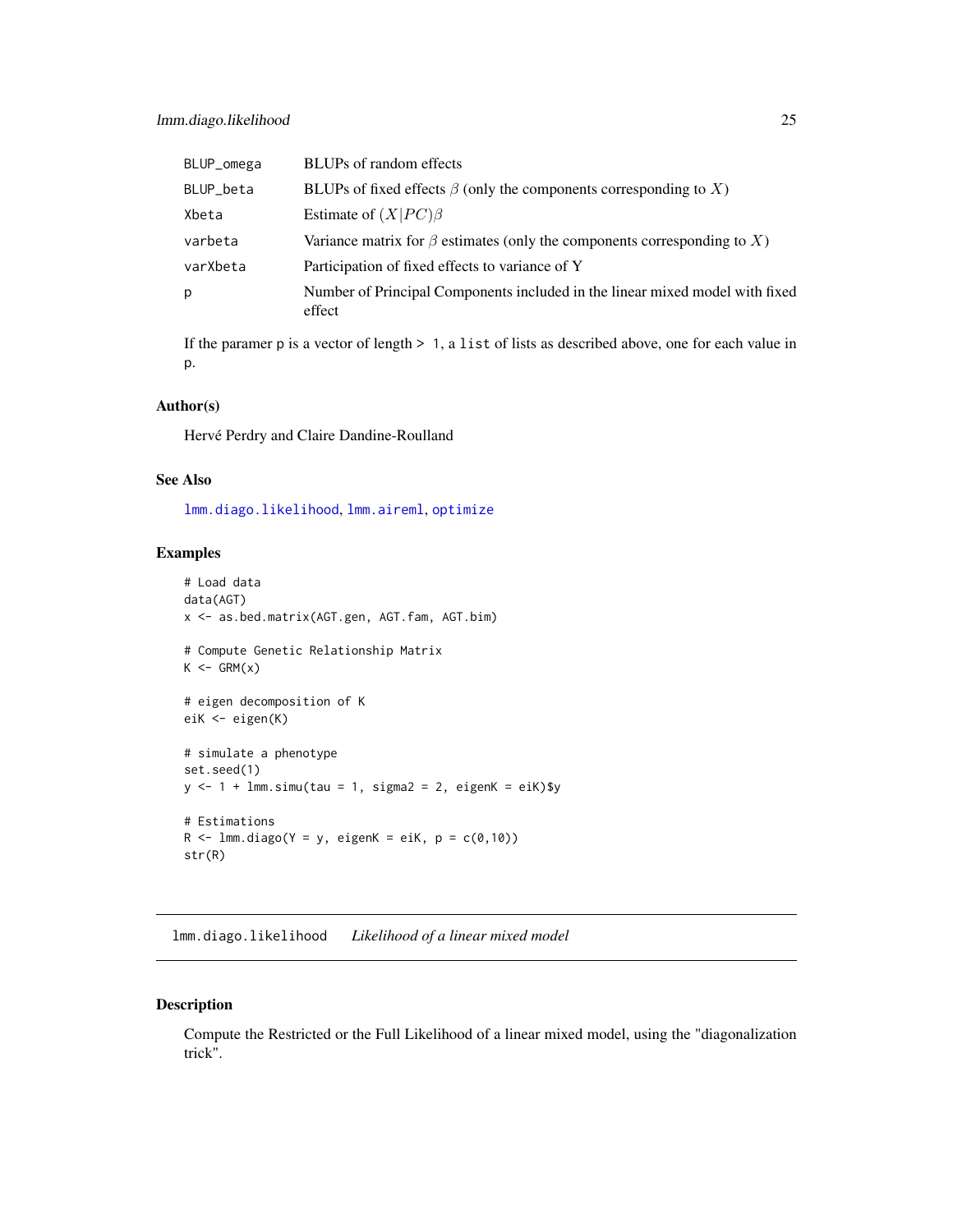<span id="page-24-0"></span>

| BLUP_omega | BLUPs of random effects                                                                |
|------------|----------------------------------------------------------------------------------------|
| BLUP_beta  | BLUPs of fixed effects $\beta$ (only the components corresponding to X)                |
| Xbeta      | Estimate of $(X PC)\beta$                                                              |
| varbeta    | Variance matrix for $\beta$ estimates (only the components corresponding to X)         |
| varXbeta   | Participation of fixed effects to variance of Y                                        |
| р          | Number of Principal Components included in the linear mixed model with fixed<br>effect |
|            |                                                                                        |

If the paramer p is a vector of length > 1, a list of lists as described above, one for each value in p.

#### Author(s)

Hervé Perdry and Claire Dandine-Roulland

# See Also

[lmm.diago.likelihood](#page-24-1), [lmm.aireml](#page-20-1), [optimize](#page-0-0)

#### Examples

```
# Load data
data(AGT)
x <- as.bed.matrix(AGT.gen, AGT.fam, AGT.bim)
# Compute Genetic Relationship Matrix
K \leftarrow \text{GRM}(x)# eigen decomposition of K
eiK <- eigen(K)
# simulate a phenotype
set.seed(1)
y \le -1 + \text{lmm.simu(tau = 1, sigma2 = 2, eigenK = eik)}# Estimations
R <- lmm.diago(Y = y, eigenK = eiK, p = c(0,10))
str(R)
```
<span id="page-24-1"></span>lmm.diago.likelihood *Likelihood of a linear mixed model*

# Description

Compute the Restricted or the Full Likelihood of a linear mixed model, using the "diagonalization trick".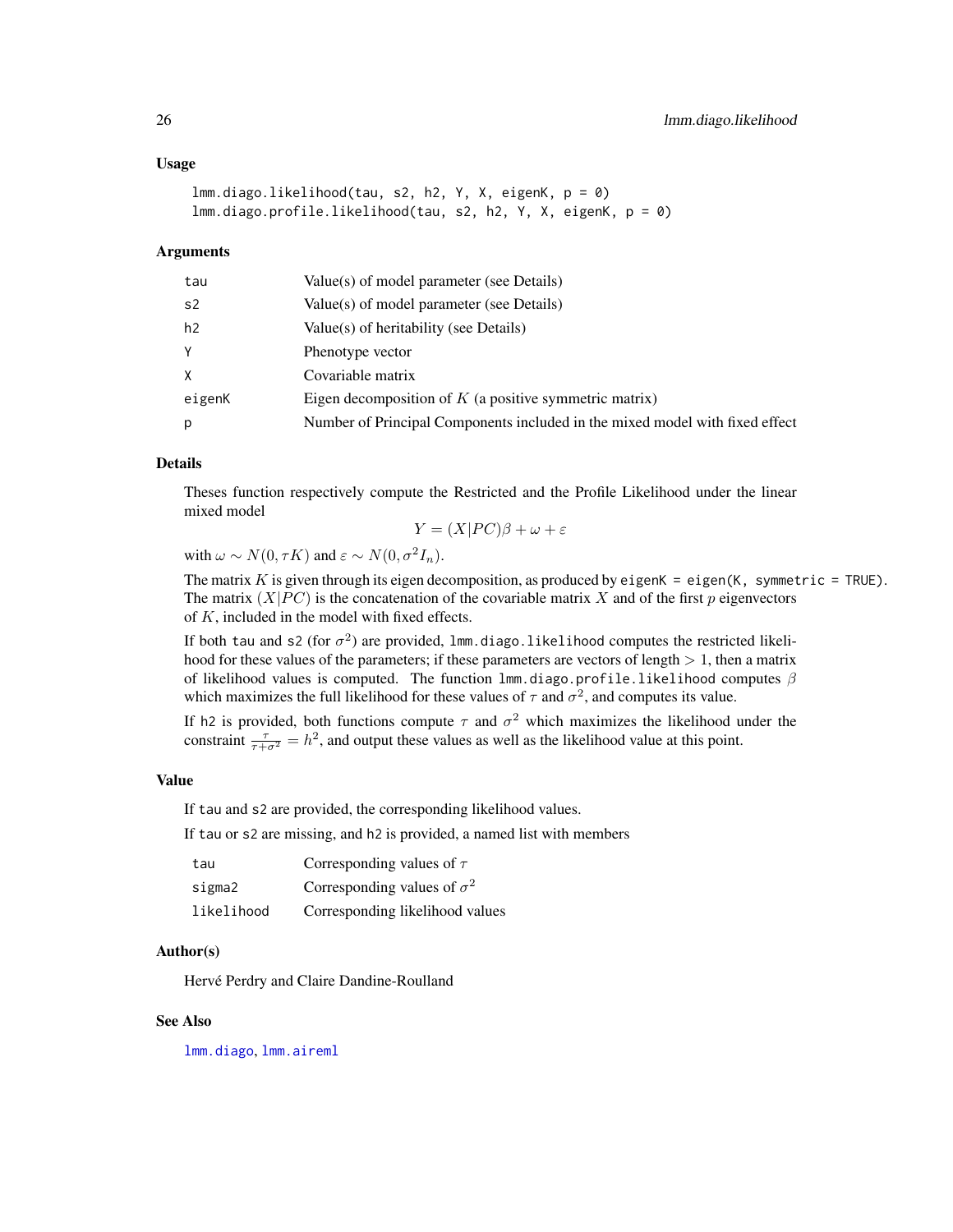#### <span id="page-25-0"></span>Usage

```
lmm.diago.likelihood(tau, s2, h2, Y, X, eigenK, p = 0)
lmm.diago.profile.likelihood(tau, s2, h2, Y, X, eigenK, p = 0)
```
#### Arguments

| tau    | Value(s) of model parameter (see Details)                                    |
|--------|------------------------------------------------------------------------------|
| s2     | Value(s) of model parameter (see Details)                                    |
| h2     | Value(s) of heritability (see Details)                                       |
| Y      | Phenotype vector                                                             |
| X      | Covariable matrix                                                            |
| eigenK | Eigen decomposition of $K$ (a positive symmetric matrix)                     |
| p      | Number of Principal Components included in the mixed model with fixed effect |

#### Details

Theses function respectively compute the Restricted and the Profile Likelihood under the linear mixed model

$$
Y = (X|PC)\beta + \omega + \varepsilon
$$

with  $\omega \sim N(0, \tau K)$  and  $\varepsilon \sim N(0, \sigma^2 I_n)$ .

The matrix K is given through its eigen decomposition, as produced by eigen $K = eig$ en $(K, s)$ ymmetric = TRUE). The matrix  $(X|PC)$  is the concatenation of the covariable matrix X and of the first p eigenvectors of  $K$ , included in the model with fixed effects.

If both tau and s2 (for  $\sigma^2$ ) are provided, lmm.diago.likelihood computes the restricted likelihood for these values of the parameters; if these parameters are vectors of length  $> 1$ , then a matrix of likelihood values is computed. The function lmm.diago.profile.likelihood computes  $\beta$ which maximizes the full likelihood for these values of  $\tau$  and  $\sigma^2$ , and computes its value.

If h2 is provided, both functions compute  $\tau$  and  $\sigma^2$  which maximizes the likelihood under the constraint  $\frac{\tau}{\tau+\sigma^2} = h^2$ , and output these values as well as the likelihood value at this point.

#### Value

If tau and s2 are provided, the corresponding likelihood values.

If tau or s2 are missing, and h2 is provided, a named list with members

| tau        | Corresponding values of $\tau$     |
|------------|------------------------------------|
| sigma2     | Corresponding values of $\sigma^2$ |
| likelihood | Corresponding likelihood values    |

#### Author(s)

Hervé Perdry and Claire Dandine-Roulland

#### See Also

[lmm.diago](#page-23-1), [lmm.aireml](#page-20-1)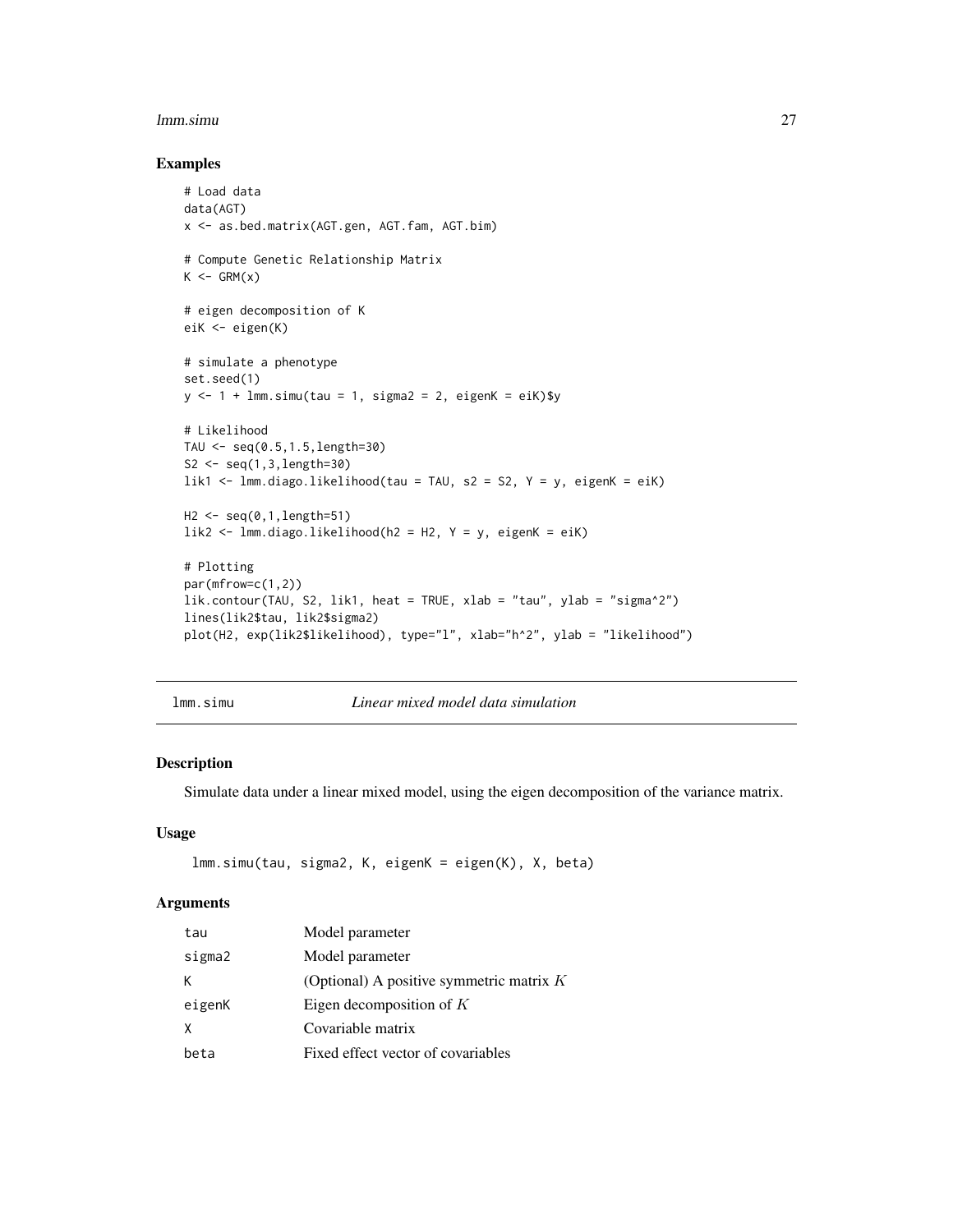#### <span id="page-26-0"></span>lmm.simu 27

#### Examples

```
# Load data
data(AGT)
x <- as.bed.matrix(AGT.gen, AGT.fam, AGT.bim)
# Compute Genetic Relationship Matrix
K \leftarrow \text{GRM}(x)# eigen decomposition of K
eiK <- eigen(K)
# simulate a phenotype
set.seed(1)
y \le -1 + \text{lmm}.simu(tau = 1, sigma2 = 2, eigenK = eiK)$y
# Likelihood
TAU \leq seq(0.5,1.5, length=30)
S2 \leq seq(1,3, length=30)
lik1 <- lmm.diago.likelihood(tau = TAU, s2 = S2, Y = y, eigenK = eiK)
H2 <- seq(0,1,length=51)
lik2 <- lmm.diago.likelihood(h2 = H2, Y = y, eigenK = eiK)
# Plotting
par(mfrow=c(1,2))
lik.contour(TAU, S2, lik1, heat = TRUE, xlab = "tau", ylab = "sigma^2")
lines(lik2$tau, lik2$sigma2)
plot(H2, exp(lik2$likelihood), type="l", xlab="h^2", ylab = "likelihood")
```
<span id="page-26-1"></span>lmm.simu *Linear mixed model data simulation*

# Description

Simulate data under a linear mixed model, using the eigen decomposition of the variance matrix.

#### Usage

```
lmm.simu(tau, sigma2, K, eigenK = eigen(K), X, beta)
```

| tau    | Model parameter                            |  |
|--------|--------------------------------------------|--|
| sigma2 | Model parameter                            |  |
| K.     | (Optional) A positive symmetric matrix $K$ |  |
| eigenK | Eigen decomposition of $K$                 |  |
| X      | Covariable matrix                          |  |
| beta   | Fixed effect vector of covariables         |  |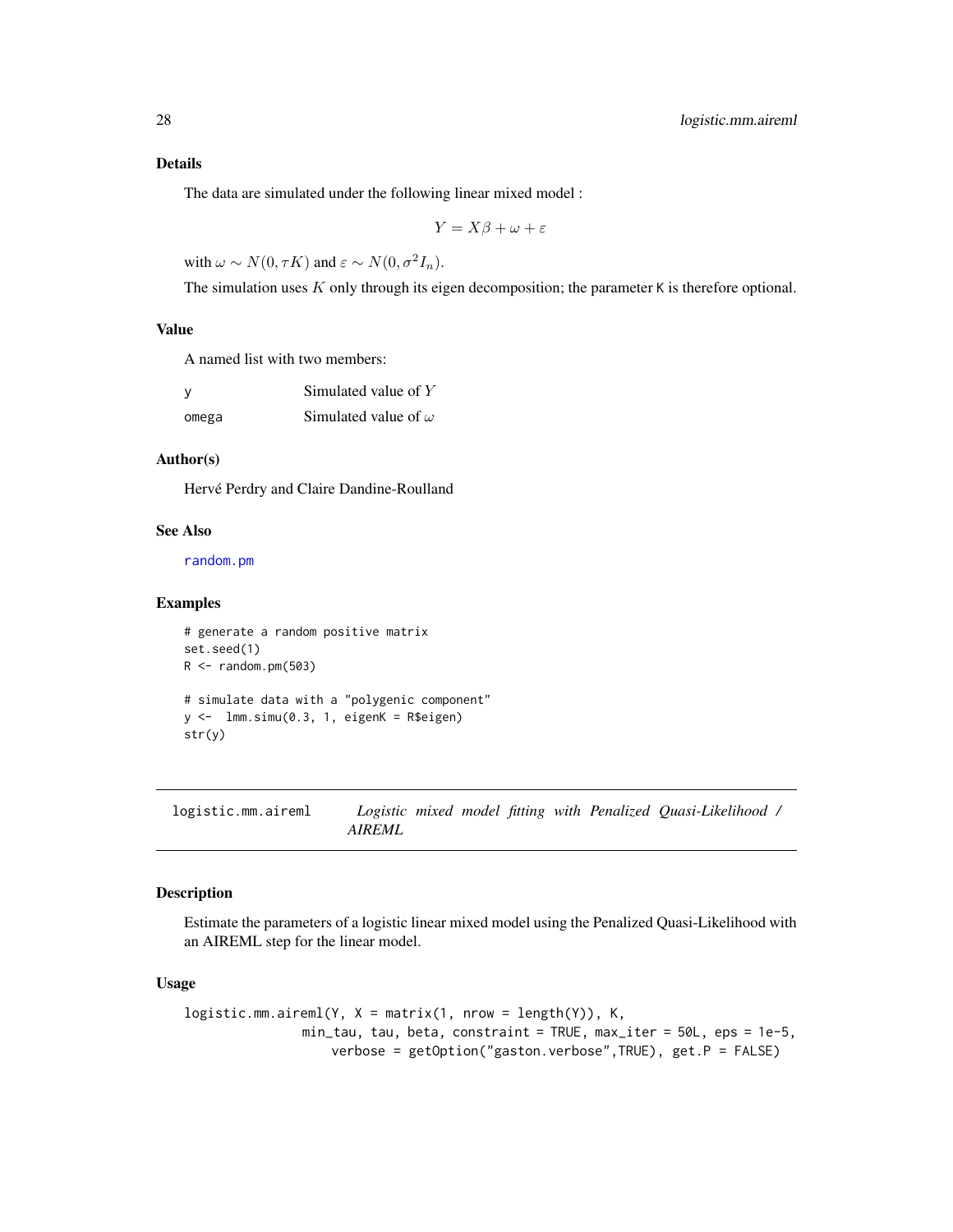# <span id="page-27-0"></span>Details

The data are simulated under the following linear mixed model :

$$
Y = X\beta + \omega + \varepsilon
$$

with  $\omega \sim N(0, \tau K)$  and  $\varepsilon \sim N(0, \sigma^2 I_n)$ .

The simulation uses  $K$  only through its eigen decomposition; the parameter  $K$  is therefore optional.

# Value

A named list with two members:

| <b>V</b> | Simulated value of $Y$      |
|----------|-----------------------------|
| omega    | Simulated value of $\omega$ |

# Author(s)

Hervé Perdry and Claire Dandine-Roulland

# See Also

[random.pm](#page-29-1)

#### Examples

```
# generate a random positive matrix
set.seed(1)
R < - random.pm(503)
# simulate data with a "polygenic component"
y \leftarrow \text{lmm.simu}(0.3, 1, \text{eigenK} = \text{R$eigen})str(y)
```
<span id="page-27-1"></span>logistic.mm.aireml *Logistic mixed model fitting with Penalized Quasi-Likelihood / AIREML*

# Description

Estimate the parameters of a logistic linear mixed model using the Penalized Quasi-Likelihood with an AIREML step for the linear model.

#### Usage

```
logistic.mm.aireml(Y, X = matrix(1, nrow = length(Y)), K,min_tau, tau, beta, constraint = TRUE, max_iter = 50L, eps = 1e-5,
                   verbose = getOption("gaston.verbose",TRUE), get.P = FALSE)
```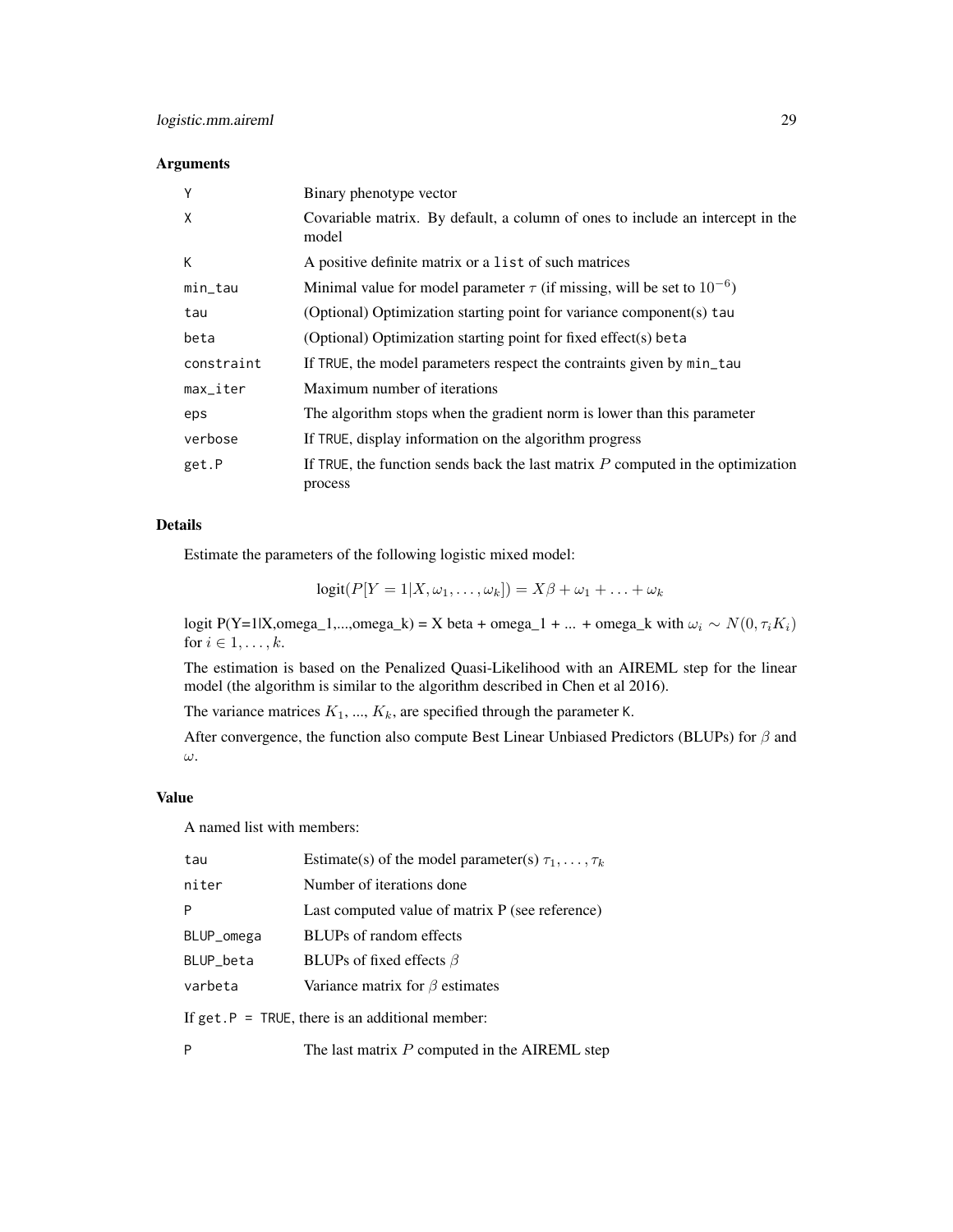# Arguments

| Y                      | Binary phenotype vector                                                                      |
|------------------------|----------------------------------------------------------------------------------------------|
| X                      | Covariable matrix. By default, a column of ones to include an intercept in the<br>model      |
| К                      | A positive definite matrix or a list of such matrices                                        |
| min_tau                | Minimal value for model parameter $\tau$ (if missing, will be set to $10^{-6}$ )             |
| tau                    | (Optional) Optimization starting point for variance component(s) tau                         |
| beta                   | (Optional) Optimization starting point for fixed effect(s) beta                              |
| constraint             | If TRUE, the model parameters respect the contraints given by min_tau                        |
| $max$ <sub>Liter</sub> | Maximum number of iterations                                                                 |
| eps                    | The algorithm stops when the gradient norm is lower than this parameter                      |
| verbose                | If TRUE, display information on the algorithm progress                                       |
| get.P                  | If TRUE, the function sends back the last matrix $P$ computed in the optimization<br>process |

# Details

Estimate the parameters of the following logistic mixed model:

 $logit(P[Y = 1 | X, \omega_1, \ldots, \omega_k]) = X\beta + \omega_1 + \ldots + \omega_k$ 

logit P(Y=1|X,omega\_1,...,omega\_k) = X beta + omega\_1 + ... + omega\_k with  $\omega_i \sim N(0, \tau_i K_i)$ for  $i \in 1, \ldots, k$ .

The estimation is based on the Penalized Quasi-Likelihood with an AIREML step for the linear model (the algorithm is similar to the algorithm described in Chen et al 2016).

The variance matrices  $K_1$ , ...,  $K_k$ , are specified through the parameter K.

After convergence, the function also compute Best Linear Unbiased Predictors (BLUPs) for  $\beta$  and ω.

#### Value

A named list with members:

| tau                                                | Estimate(s) of the model parameter(s) $\tau_1, \ldots, \tau_k$ |  |
|----------------------------------------------------|----------------------------------------------------------------|--|
| niter                                              | Number of iterations done                                      |  |
| P                                                  | Last computed value of matrix $P$ (see reference)              |  |
| BLUP_omega                                         | BLUPs of random effects                                        |  |
| BLUP_beta                                          | BLUPs of fixed effects $\beta$                                 |  |
| varbeta                                            | Variance matrix for $\beta$ estimates                          |  |
| If $get.P = TRUE$ , there is an additional member: |                                                                |  |
| P                                                  | The last matrix $P$ computed in the AIREML step                |  |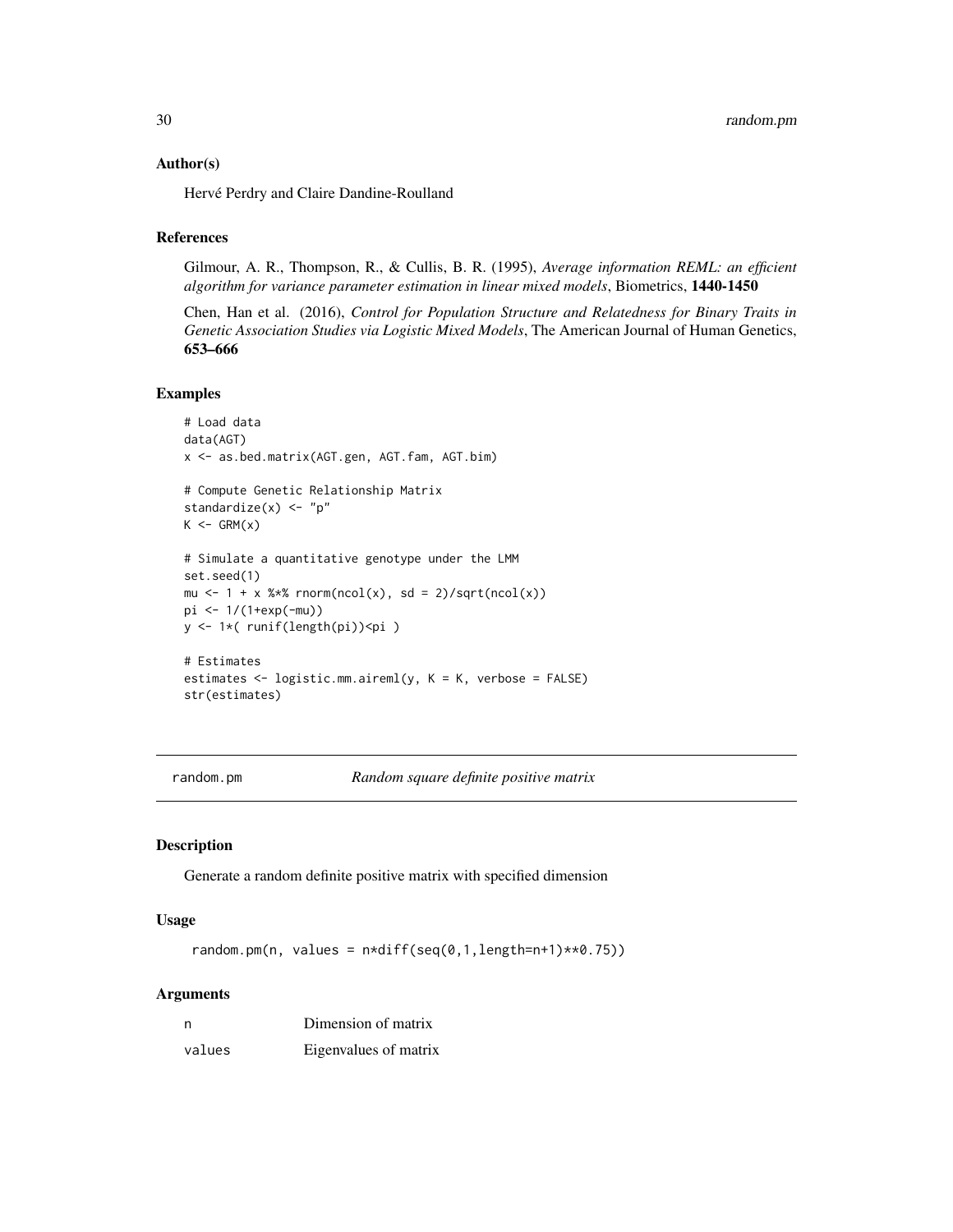#### <span id="page-29-0"></span>Author(s)

Hervé Perdry and Claire Dandine-Roulland

#### References

Gilmour, A. R., Thompson, R., & Cullis, B. R. (1995), *Average information REML: an efficient algorithm for variance parameter estimation in linear mixed models*, Biometrics, 1440-1450

Chen, Han et al. (2016), *Control for Population Structure and Relatedness for Binary Traits in Genetic Association Studies via Logistic Mixed Models*, The American Journal of Human Genetics, 653–666

# Examples

```
# Load data
data(AGT)
x <- as.bed.matrix(AGT.gen, AGT.fam, AGT.bim)
# Compute Genetic Relationship Matrix
standardize(x) <- "p"
K \leq - GRM(x)# Simulate a quantitative genotype under the LMM
set.seed(1)
mu \leftarrow 1 + x %*% rnorm(ncol(x), sd = 2)/sqrt(ncol(x))
pi <- 1/(1+exp(-mu))
y <- 1*( runif(length(pi))<pi )
# Estimates
estimates <- logistic.mm.aireml(y, K = K, verbose = FALSE)
str(estimates)
```
<span id="page-29-1"></span>random.pm *Random square definite positive matrix*

# Description

Generate a random definite positive matrix with specified dimension

#### Usage

random.pm(n, values =  $n*diff(seq(0,1,length=n+1)**0.75))$ 

| n      | Dimension of matrix   |
|--------|-----------------------|
| values | Eigenvalues of matrix |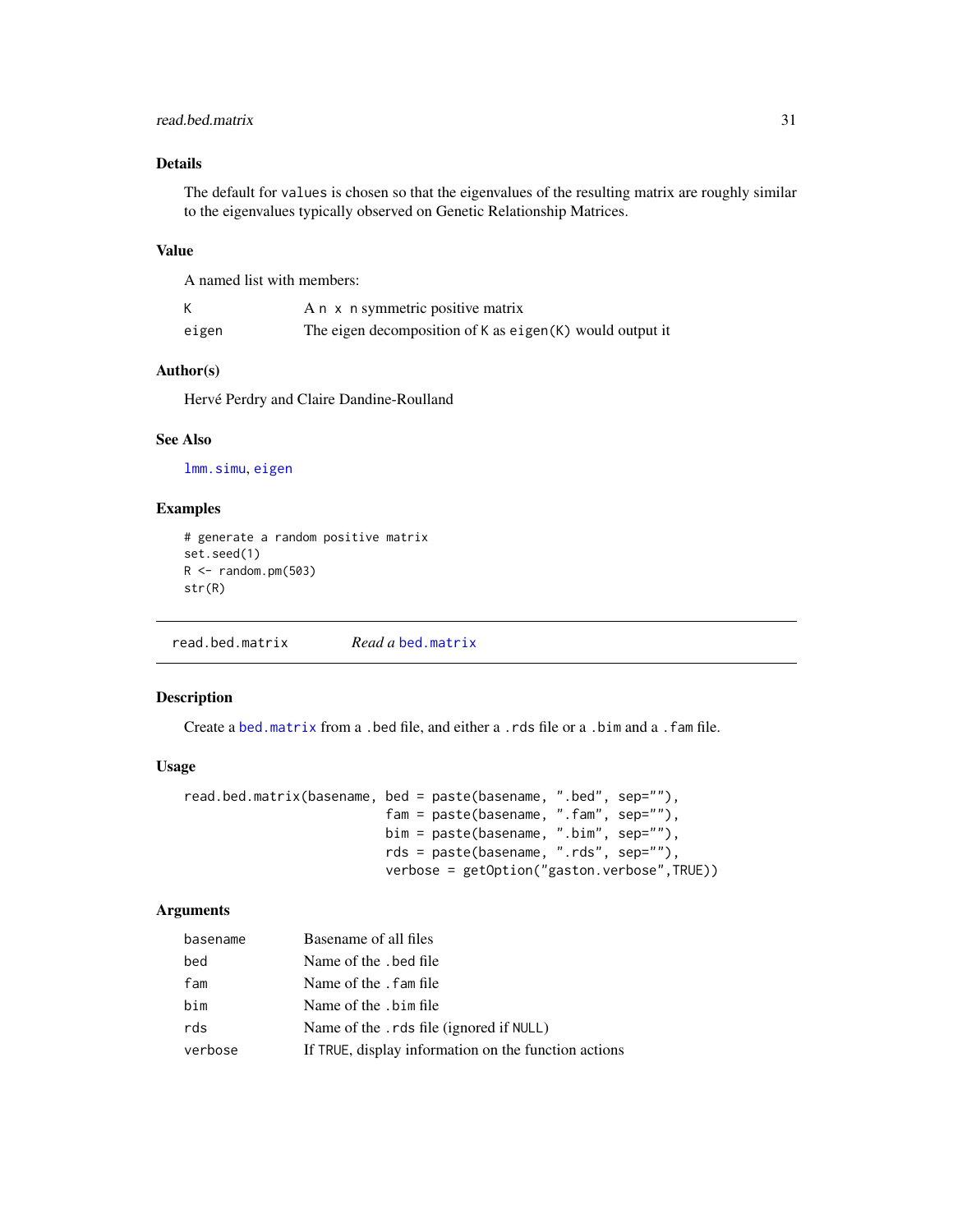# <span id="page-30-0"></span>read.bed.matrix 31

# Details

The default for values is chosen so that the eigenvalues of the resulting matrix are roughly similar to the eigenvalues typically observed on Genetic Relationship Matrices.

# Value

A named list with members:

|       | A n x n symmetric positive matrix                        |
|-------|----------------------------------------------------------|
| eigen | The eigen decomposition of K as eigen(K) would output it |

# Author(s)

Hervé Perdry and Claire Dandine-Roulland

# See Also

[lmm.simu](#page-26-1), [eigen](#page-0-0)

# Examples

```
# generate a random positive matrix
set.seed(1)
R < - random.pm(503)
str(R)
```
<span id="page-30-1"></span>read.bed.matrix *Read a* [bed.matrix](#page-9-1)

# Description

Create a [bed.matrix](#page-9-1) from a .bed file, and either a .rds file or a .bim and a .fam file.

#### Usage

```
read.bed.matrix(basename, bed = paste(basename, ".bed", sep=""),
                          fam = paste(basename, ".fam", sep=""),
                          bim = paste(basename, ".bim", sep=""),
                          rds = paste(basename, ".rds", sep=""),
                          verbose = getOption("gaston.verbose",TRUE))
```

| basename | Basename of all files                                |
|----------|------------------------------------------------------|
| bed      | Name of the . bed file                               |
| fam      | Name of the . fam file                               |
| bim      | Name of the . bim file                               |
| rds      | Name of the . rds file (ignored if NULL)             |
| verbose  | If TRUE, display information on the function actions |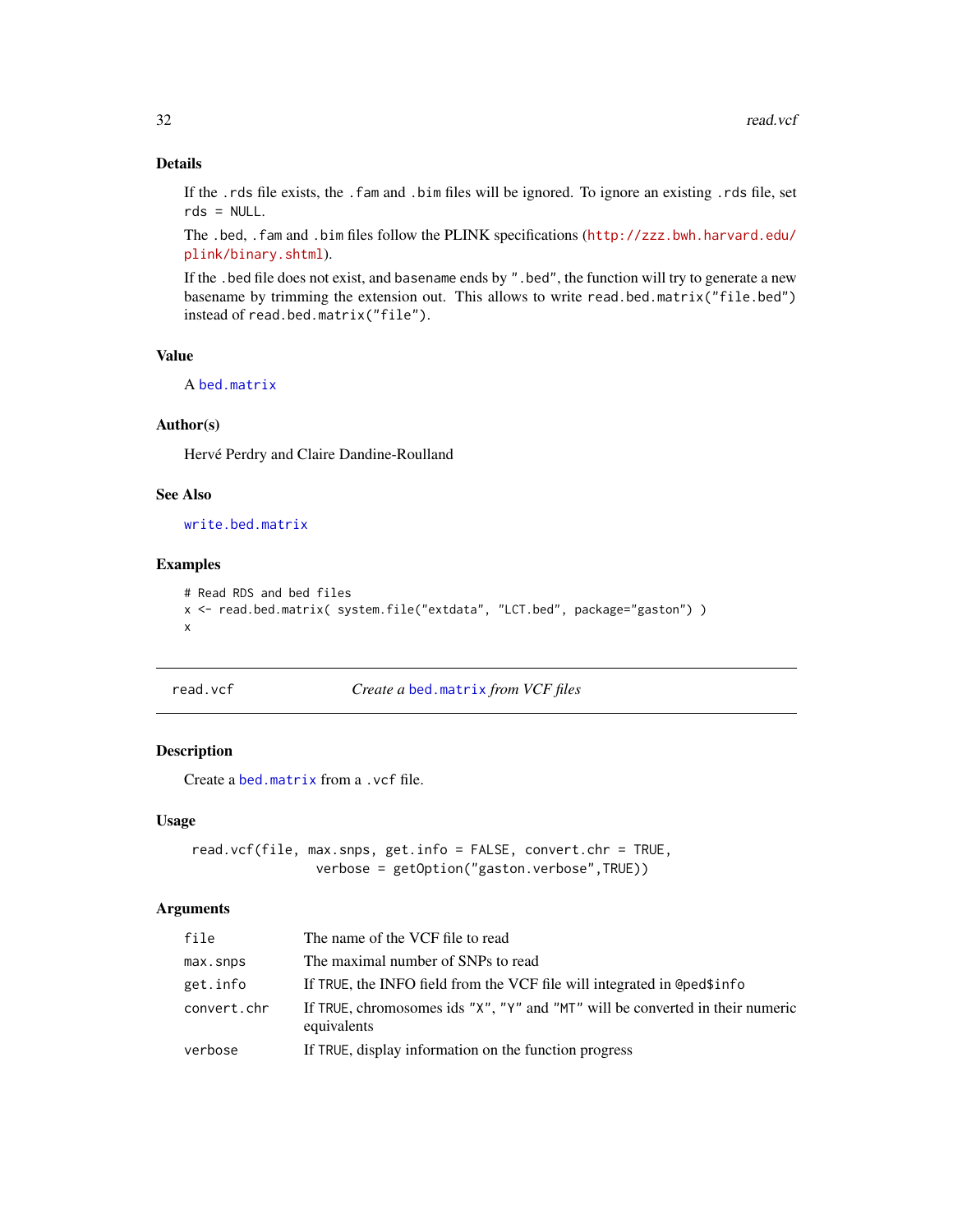# Details

If the .rds file exists, the .fam and .bim files will be ignored. To ignore an existing .rds file, set rds = NULL.

The .bed, .fam and .bim files follow the PLINK specifications ([http://zzz.bwh.harvard.edu/](http://zzz.bwh.harvard.edu/plink/binary.shtml) [plink/binary.shtml](http://zzz.bwh.harvard.edu/plink/binary.shtml)).

If the .bed file does not exist, and basename ends by ".bed", the function will try to generate a new basename by trimming the extension out. This allows to write read.bed.matrix("file.bed") instead of read.bed.matrix("file").

# Value

A [bed.matrix](#page-9-1)

#### Author(s)

Hervé Perdry and Claire Dandine-Roulland

#### See Also

[write.bed.matrix](#page-46-1)

# Examples

```
# Read RDS and bed files
x <- read.bed.matrix( system.file("extdata", "LCT.bed", package="gaston") )
x
```
<span id="page-31-1"></span>

read.vcf *Create a* [bed.matrix](#page-9-1) *from VCF files*

# Description

Create a [bed.matrix](#page-9-1) from a .vcf file.

#### Usage

```
read.vcf(file, max.snps, get.info = FALSE, convert.chr = TRUE,
               verbose = getOption("gaston.verbose",TRUE))
```

| file        | The name of the VCF file to read                                                             |
|-------------|----------------------------------------------------------------------------------------------|
| max.snps    | The maximal number of SNPs to read                                                           |
| get.info    | If TRUE, the INFO field from the VCF file will integrated in @ped\$info                      |
| convert.chr | If TRUE, chromosomes ids "X", "Y" and "MT" will be converted in their numeric<br>equivalents |
| verbose     | If TRUE, display information on the function progress                                        |

<span id="page-31-0"></span>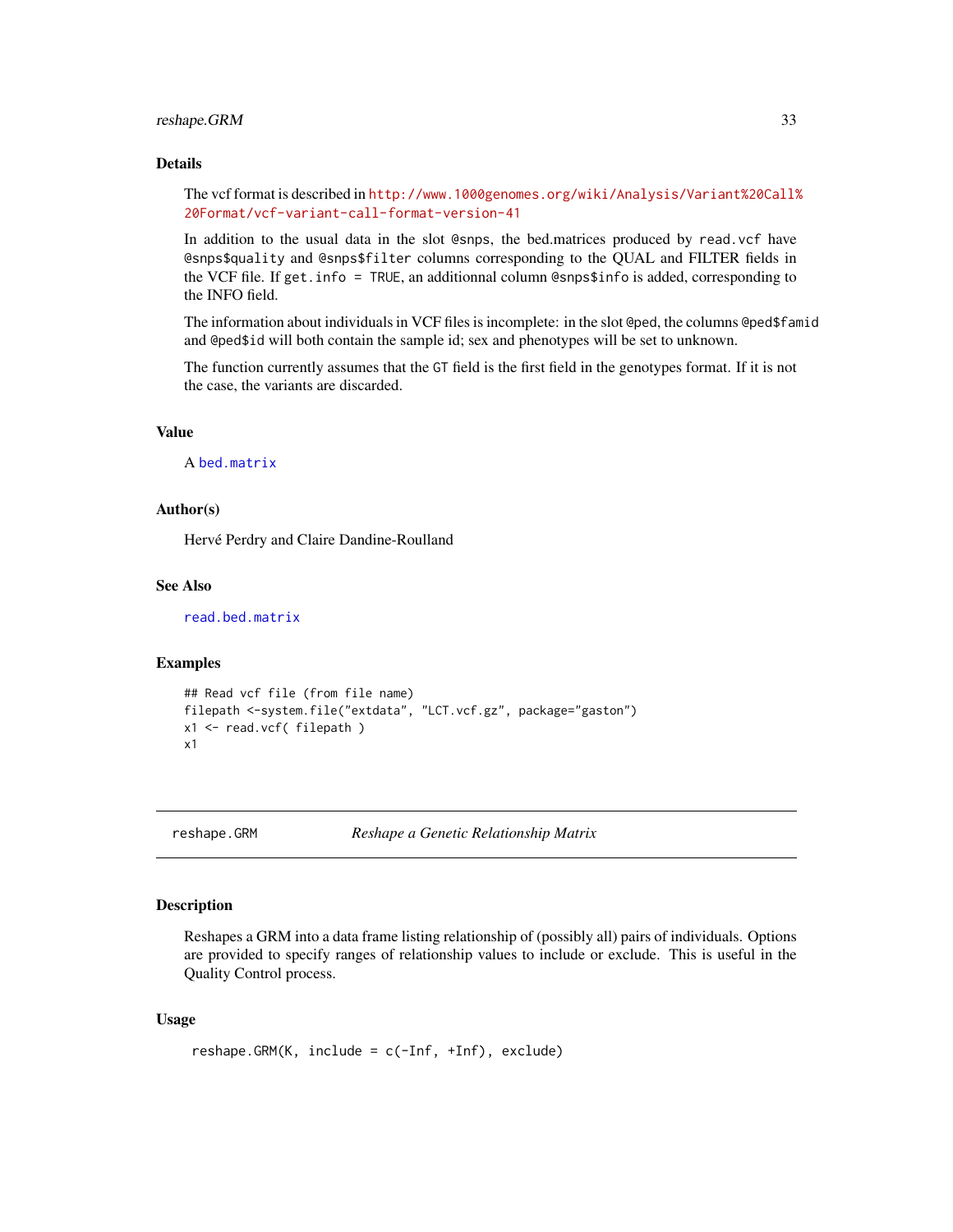# <span id="page-32-0"></span>reshape.GRM 33

# Details

The vcf format is described in [http://www.1000genomes.org/wiki/Analysis/Variant%20Call%](http://www.1000genomes.org/wiki/Analysis/Variant%20Call%20Format/vcf-variant-call-format-version-41) [20Format/vcf-variant-call-format-version-41](http://www.1000genomes.org/wiki/Analysis/Variant%20Call%20Format/vcf-variant-call-format-version-41)

In addition to the usual data in the slot @snps, the bed.matrices produced by read.vcf have @snps\$quality and @snps\$filter columns corresponding to the QUAL and FILTER fields in the VCF file. If get.info = TRUE, an additionnal column @snps\$info is added, corresponding to the INFO field.

The information about individuals in VCF files is incomplete: in the slot @ped, the columns @ped\$famid and @ped\$id will both contain the sample id; sex and phenotypes will be set to unknown.

The function currently assumes that the GT field is the first field in the genotypes format. If it is not the case, the variants are discarded.

#### Value

A [bed.matrix](#page-9-1)

# Author(s)

Hervé Perdry and Claire Dandine-Roulland

#### See Also

[read.bed.matrix](#page-30-1)

#### Examples

```
## Read vcf file (from file name)
filepath <-system.file("extdata", "LCT.vcf.gz", package="gaston")
x1 <- read.vcf( filepath )
x1
```
<span id="page-32-1"></span>reshape.GRM *Reshape a Genetic Relationship Matrix*

#### Description

Reshapes a GRM into a data frame listing relationship of (possibly all) pairs of individuals. Options are provided to specify ranges of relationship values to include or exclude. This is useful in the Quality Control process.

# Usage

```
reshape.GRM(K, include = c(-Inf, +Inf), exclude)
```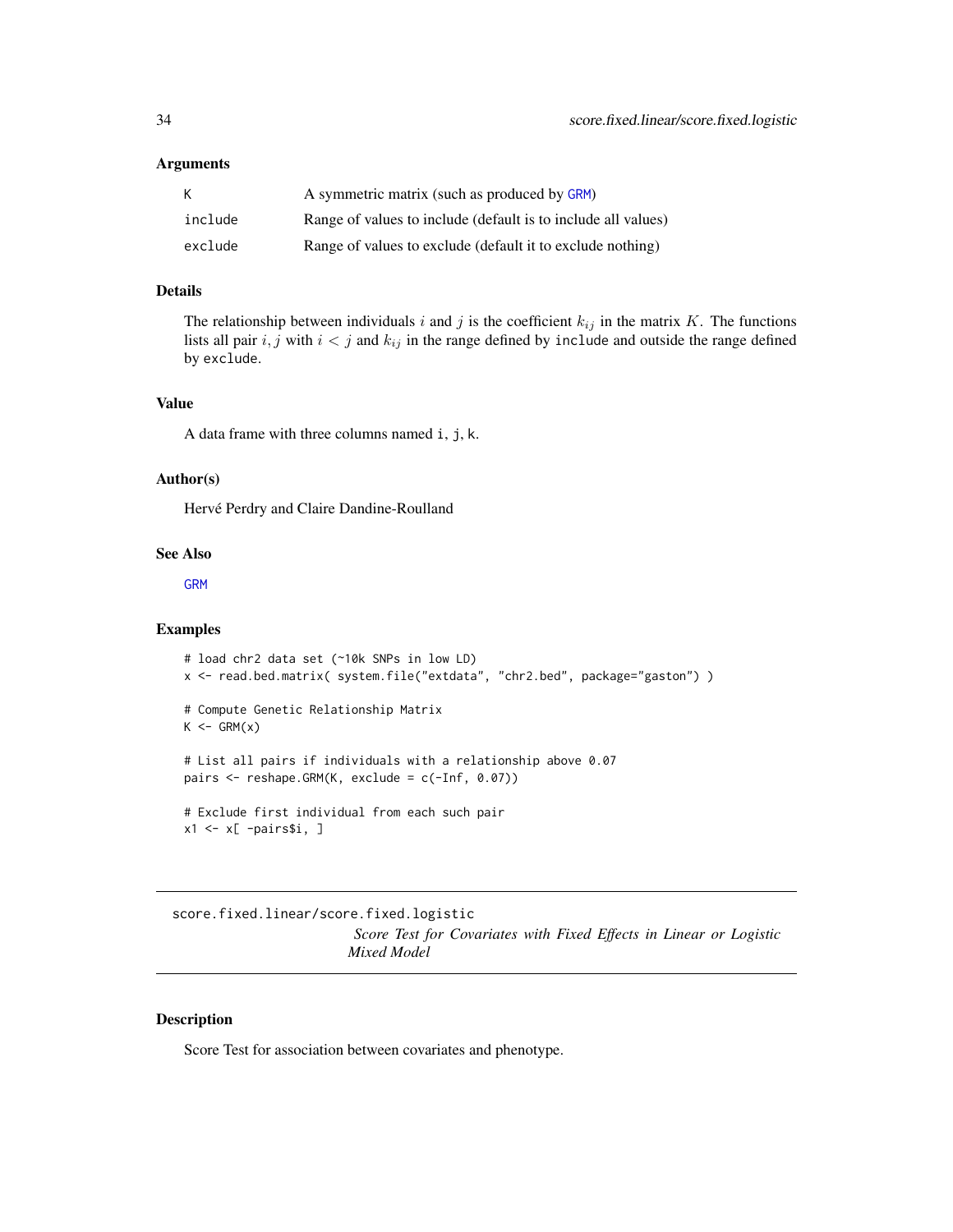#### <span id="page-33-0"></span>**Arguments**

| К       | A symmetric matrix (such as produced by GRM)                  |
|---------|---------------------------------------------------------------|
| include | Range of values to include (default is to include all values) |
| exclude | Range of values to exclude (default it to exclude nothing)    |

# Details

The relationship between individuals i and j is the coefficient  $k_{ij}$  in the matrix K. The functions lists all pair  $i, j$  with  $i < j$  and  $k_{ij}$  in the range defined by include and outside the range defined by exclude.

# Value

A data frame with three columns named i, j, k.

#### Author(s)

Hervé Perdry and Claire Dandine-Roulland

#### See Also

[GRM](#page-12-1)

#### Examples

```
# load chr2 data set (~10k SNPs in low LD)
x <- read.bed.matrix( system.file("extdata", "chr2.bed", package="gaston") )
# Compute Genetic Relationship Matrix
K \leftarrow GRM(x)# List all pairs if individuals with a relationship above 0.07
pairs <- reshape.GRM(K, exclude = c(-Inf, 0.07))
# Exclude first individual from each such pair
x1 \leftarrow x[ -pairs$i, ]
```
score.fixed.linear/score.fixed.logistic *Score Test for Covariates with Fixed Effects in Linear or Logistic Mixed Model*

# Description

Score Test for association between covariates and phenotype.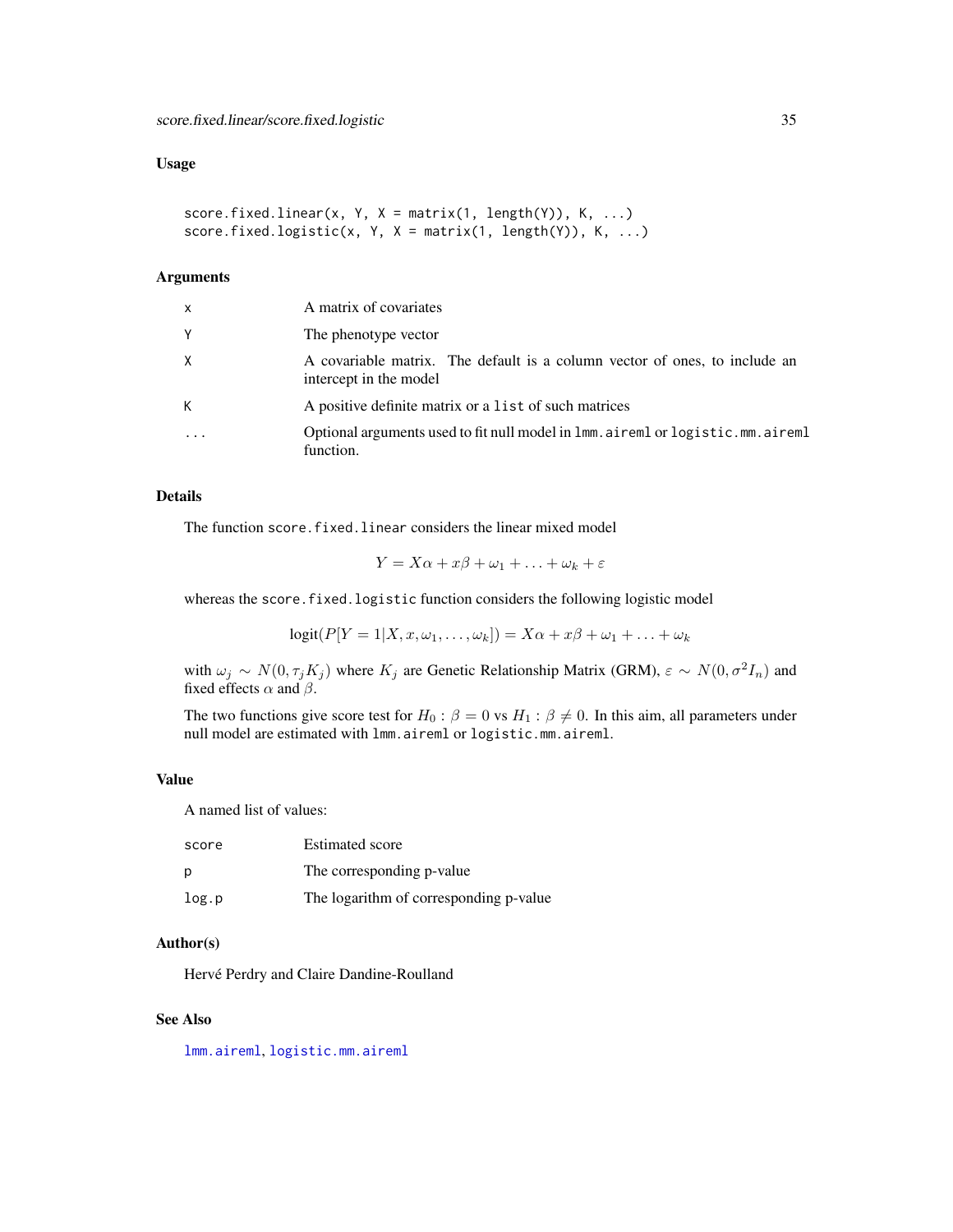# <span id="page-34-0"></span>Usage

```
score.fixed.linear(x, Y, X = matrix(1, length(Y)), K, ...)
score.fixed.logistic(x, Y, X = matrix(1, length(Y)), K, ...)
```
#### Arguments

| X | A matrix of covariates                                                                               |
|---|------------------------------------------------------------------------------------------------------|
| Υ | The phenotype vector                                                                                 |
| X | A covariable matrix. The default is a column vector of ones, to include an<br>intercept in the model |
| К | A positive definite matrix or a list of such matrices                                                |
|   | Optional arguments used to fit null model in 1mm. aireml or logistic.mm. aireml<br>function.         |

# Details

The function score.fixed.linear considers the linear mixed model

$$
Y = X\alpha + x\beta + \omega_1 + \ldots + \omega_k + \varepsilon
$$

whereas the score.fixed.logistic function considers the following logistic model

$$
logit(P[Y = 1|X, x, \omega_1, \ldots, \omega_k]) = X\alpha + x\beta + \omega_1 + \ldots + \omega_k
$$

with  $\omega_j \sim N(0, \tau_j K_j)$  where  $K_j$  are Genetic Relationship Matrix (GRM),  $\varepsilon \sim N(0, \sigma^2 I_n)$  and fixed effects  $\alpha$  and  $\beta$ .

The two functions give score test for  $H_0$ :  $\beta = 0$  vs  $H_1$ :  $\beta \neq 0$ . In this aim, all parameters under null model are estimated with lmm.aireml or logistic.mm.aireml.

# Value

A named list of values:

| score | <b>Estimated score</b>                 |
|-------|----------------------------------------|
| р     | The corresponding p-value              |
| log.p | The logarithm of corresponding p-value |

#### Author(s)

Hervé Perdry and Claire Dandine-Roulland

# See Also

[lmm.aireml](#page-20-1), [logistic.mm.aireml](#page-27-1)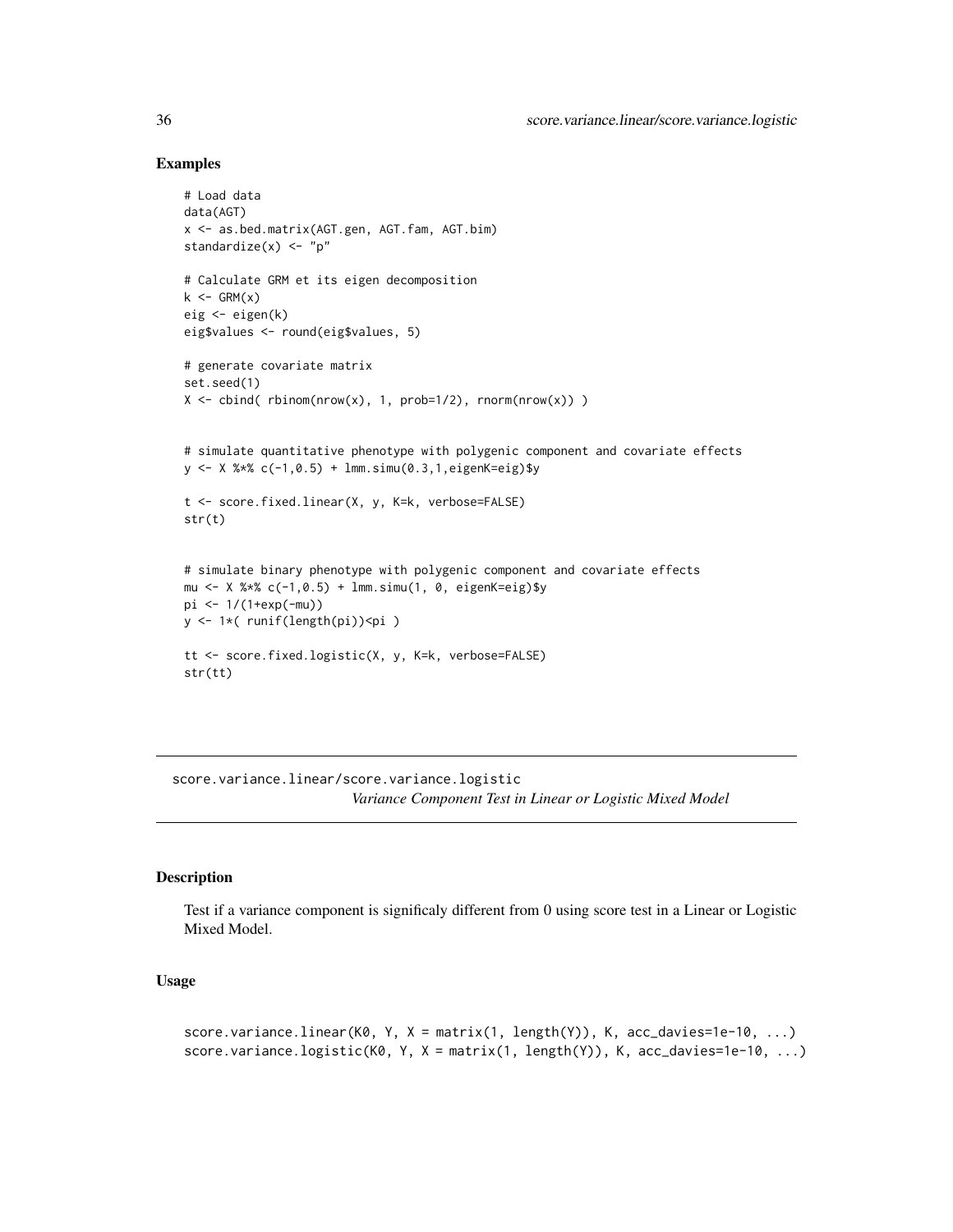# Examples

```
# Load data
data(AGT)
x <- as.bed.matrix(AGT.gen, AGT.fam, AGT.bim)
standardize(x) <- "p"
# Calculate GRM et its eigen decomposition
k \leq - GRM(x)eig <- eigen(k)
eig$values <- round(eig$values, 5)
# generate covariate matrix
set.seed(1)
X \leftarrow \text{cbind}(\text{rbinom}(nrow(x), 1, prob=1/2), rnorm(nrow(x)) )# simulate quantitative phenotype with polygenic component and covariate effects
y \le - X %*% c(-1, 0.5) + \text{lmm.simu}(0.3, 1, \text{eigenK=eig})$y
t <- score.fixed.linear(X, y, K=k, verbose=FALSE)
str(t)
# simulate binary phenotype with polygenic component and covariate effects
mu <- X %*% c(-1,0.5) + lmm.simu(1, 0, eigenK=eig)$y
pi <- 1/(1+exp(-mu))
y <- 1*( runif(length(pi))<pi )
tt <- score.fixed.logistic(X, y, K=k, verbose=FALSE)
str(tt)
```
score.variance.linear/score.variance.logistic *Variance Component Test in Linear or Logistic Mixed Model*

#### Description

Test if a variance component is significaly different from 0 using score test in a Linear or Logistic Mixed Model.

#### Usage

```
score.variance.linear(K0, Y, X = matrix(1, length(Y)), K, acc_davies=1e-10, ...)
score.variance.logistic(K0, Y, X = matrix(1, length(Y)), K, acc_davies=1e-10, \dots)
```
<span id="page-35-0"></span>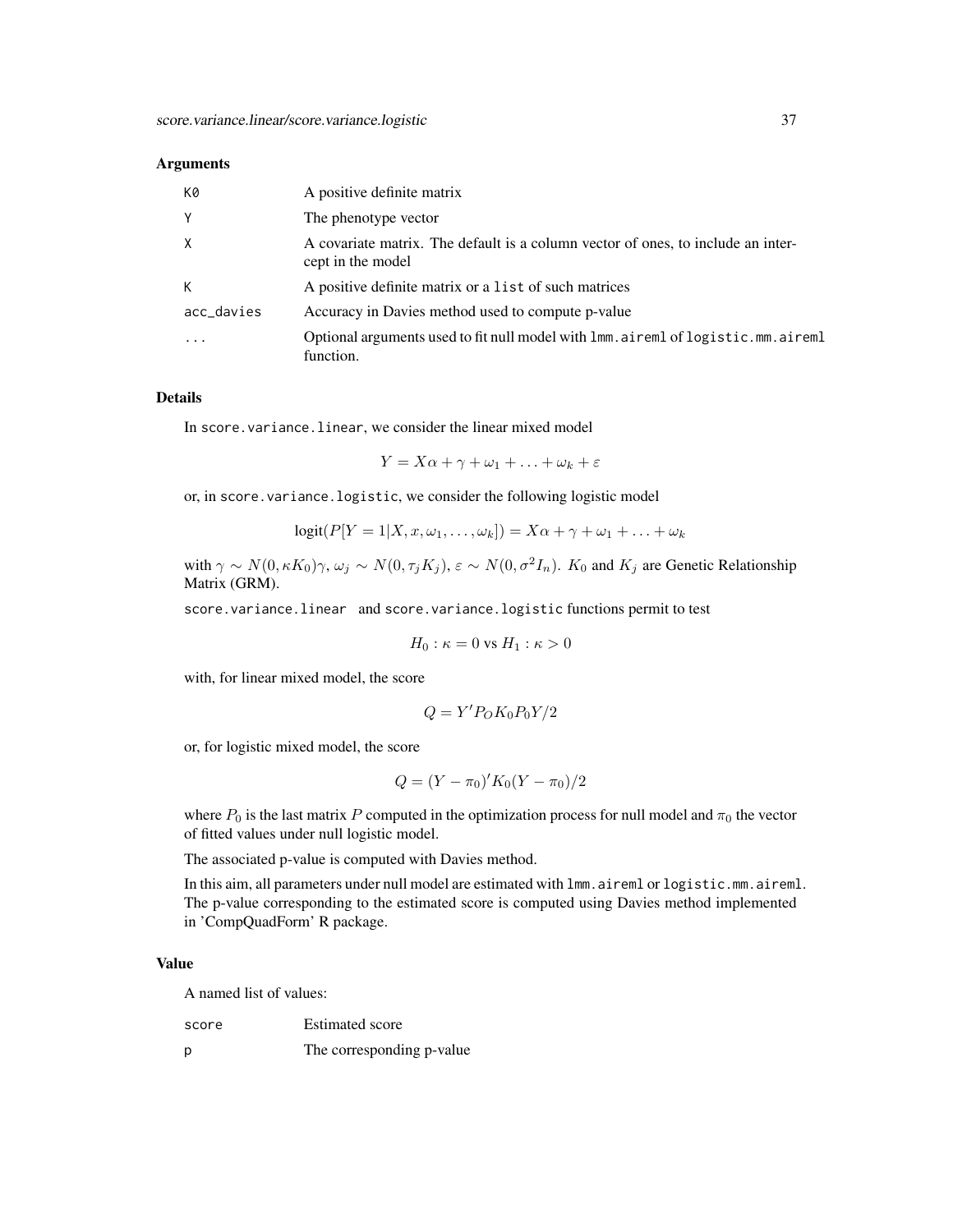#### **Arguments**

| K0         | A positive definite matrix                                                                            |
|------------|-------------------------------------------------------------------------------------------------------|
| Y          | The phenotype vector                                                                                  |
| X          | A covariate matrix. The default is a column vector of ones, to include an inter-<br>cept in the model |
| К          | A positive definite matrix or a list of such matrices                                                 |
| acc_davies | Accuracy in Davies method used to compute p-value                                                     |
|            | Optional arguments used to fit null model with lmm. aireml of logistic.mm. aireml<br>function.        |

#### Details

In score. variance. linear, we consider the linear mixed model

$$
Y = X\alpha + \gamma + \omega_1 + \ldots + \omega_k + \varepsilon
$$

or, in score.variance.logistic, we consider the following logistic model

$$
logit(P[Y = 1|X, x, \omega_1, \ldots, \omega_k]) = X\alpha + \gamma + \omega_1 + \ldots + \omega_k
$$

with  $\gamma \sim N(0, \kappa K_0)\gamma$ ,  $\omega_j \sim N(0, \tau_j K_j)$ ,  $\varepsilon \sim N(0, \sigma^2 I_n)$ .  $K_0$  and  $K_j$  are Genetic Relationship Matrix (GRM).

score.variance.linear and score.variance.logistic functions permit to test

$$
H_0: \kappa = 0 \text{ vs } H_1: \kappa > 0
$$

with, for linear mixed model, the score

$$
Q = Y^\prime P_O K_0 P_0 Y/2
$$

or, for logistic mixed model, the score

$$
Q = (Y - \pi_0)' K_0 (Y - \pi_0) / 2
$$

where  $P_0$  is the last matrix P computed in the optimization process for null model and  $\pi_0$  the vector of fitted values under null logistic model.

The associated p-value is computed with Davies method.

In this aim, all parameters under null model are estimated with lmm.aireml or logistic.mm.aireml. The p-value corresponding to the estimated score is computed using Davies method implemented in 'CompQuadForm' R package.

# Value

A named list of values:

p The corresponding p-value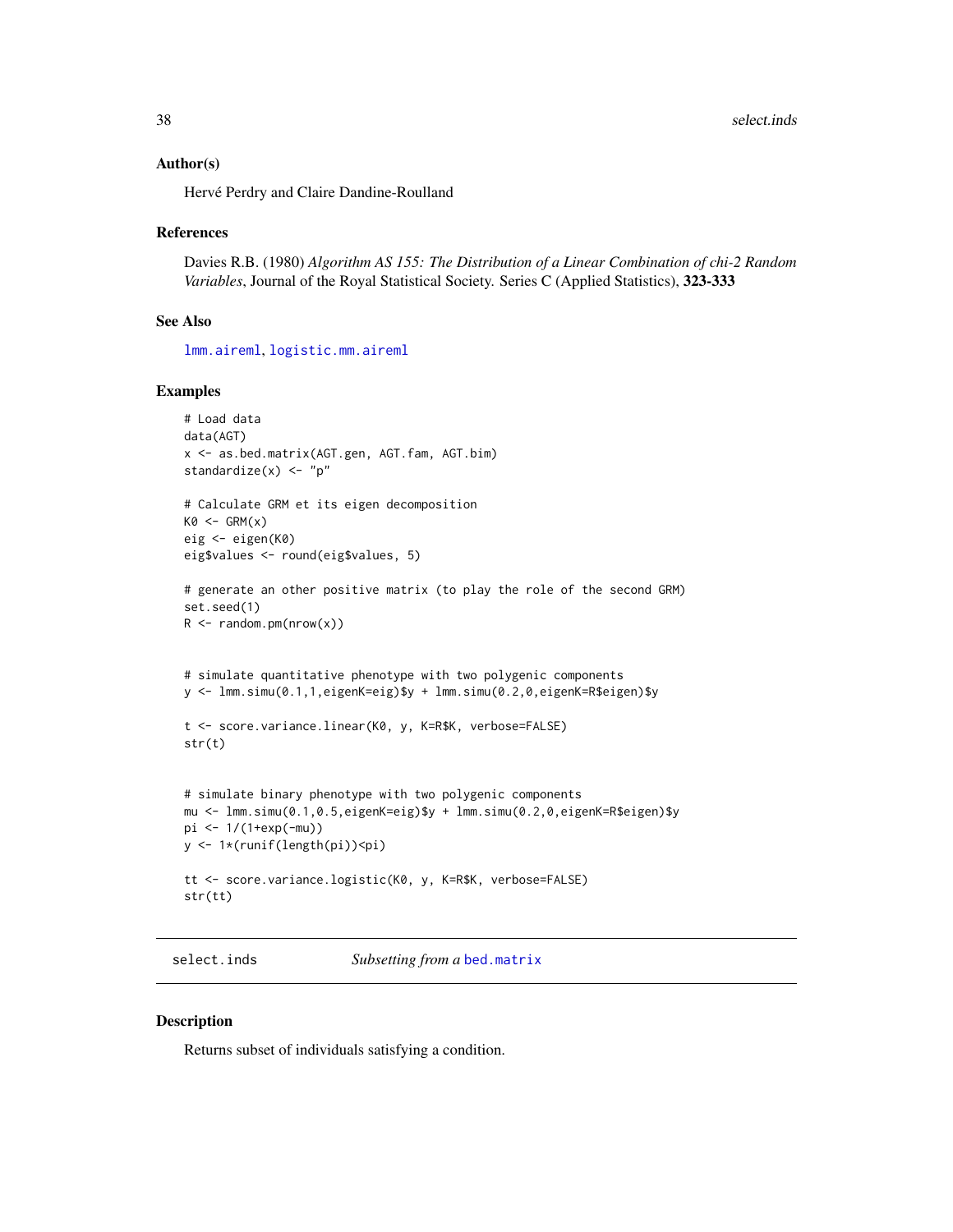#### <span id="page-37-0"></span>Author(s)

Hervé Perdry and Claire Dandine-Roulland

#### References

Davies R.B. (1980) *Algorithm AS 155: The Distribution of a Linear Combination of chi-2 Random Variables*, Journal of the Royal Statistical Society. Series C (Applied Statistics), 323-333

#### See Also

[lmm.aireml](#page-20-1), [logistic.mm.aireml](#page-27-1)

#### Examples

```
# Load data
data(AGT)
x <- as.bed.matrix(AGT.gen, AGT.fam, AGT.bim)
standardize(x) <- "p"
# Calculate GRM et its eigen decomposition
KØ \leftarrow GRM(x)eig <- eigen(K0)
eig$values <- round(eig$values, 5)
# generate an other positive matrix (to play the role of the second GRM)
set.seed(1)
R \leq - \text{random.pm(nrow(x))}# simulate quantitative phenotype with two polygenic components
y <- lmm.simu(0.1,1,eigenK=eig)$y + lmm.simu(0.2,0,eigenK=R$eigen)$y
t <- score.variance.linear(K0, y, K=R$K, verbose=FALSE)
str(t)
# simulate binary phenotype with two polygenic components
mu <- lmm.simu(0.1,0.5,eigenK=eig)$y + lmm.simu(0.2,0,eigenK=R$eigen)$y
pi <- 1/(1+exp(-mu))
y <- 1*(runif(length(pi))<pi)
tt <- score.variance.logistic(K0, y, K=R$K, verbose=FALSE)
str(tt)
```
<span id="page-37-1"></span>select.inds *Subsetting from a* [bed.matrix](#page-9-1)

#### Description

Returns subset of individuals satisfying a condition.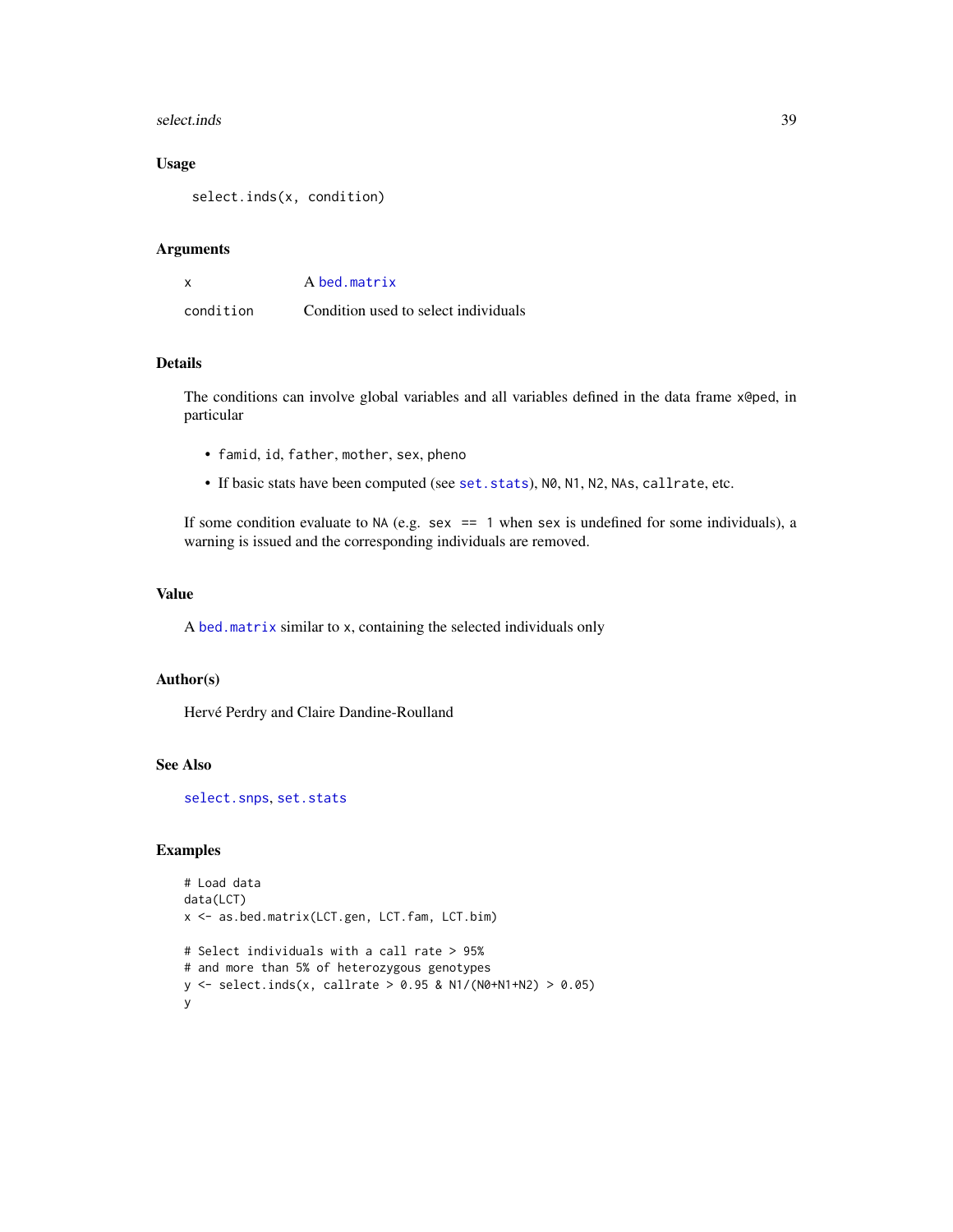#### <span id="page-38-0"></span>select.inds 39

# Usage

select.inds(x, condition)

#### Arguments

|           | A bed.matrix                         |
|-----------|--------------------------------------|
| condition | Condition used to select individuals |

# Details

The conditions can involve global variables and all variables defined in the data frame x@ped, in particular

- famid, id, father, mother, sex, pheno
- If basic stats have been computed (see [set.stats](#page-42-1)), N0, N1, N2, NAs, callrate, etc.

If some condition evaluate to NA (e.g. sex  $== 1$  when sex is undefined for some individuals), a warning is issued and the corresponding individuals are removed.

#### Value

A [bed.matrix](#page-9-1) similar to x, containing the selected individuals only

#### Author(s)

Hervé Perdry and Claire Dandine-Roulland

# See Also

[select.snps](#page-39-1), [set.stats](#page-42-1)

# Examples

```
# Load data
data(LCT)
x <- as.bed.matrix(LCT.gen, LCT.fam, LCT.bim)
# Select individuals with a call rate > 95%
# and more than 5% of heterozygous genotypes
y <- select.inds(x, callrate > 0.95 & N1/(N0+N1+N2) > 0.05)
y
```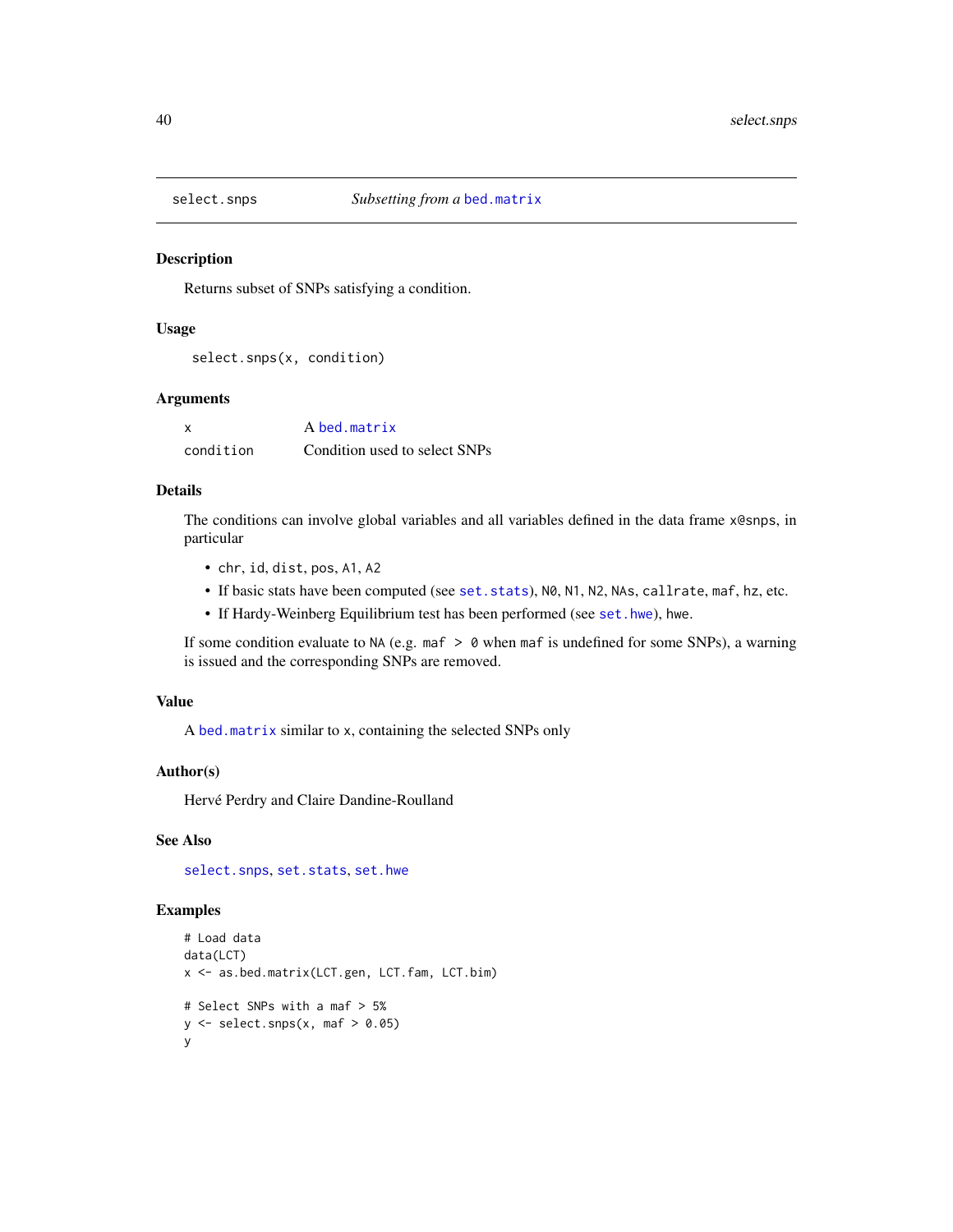<span id="page-39-1"></span><span id="page-39-0"></span>

Returns subset of SNPs satisfying a condition.

#### Usage

```
select.snps(x, condition)
```
#### Arguments

| X         | A bed.matrix                  |
|-----------|-------------------------------|
| condition | Condition used to select SNPs |

# Details

The conditions can involve global variables and all variables defined in the data frame x@snps, in particular

- chr, id, dist, pos, A1, A2
- If basic stats have been computed (see [set.stats](#page-42-1)), N0, N1, N2, NAs, callrate, maf, hz, etc.
- If Hardy-Weinberg Equilibrium test has been performed (see [set.hwe](#page-41-1)), hwe.

If some condition evaluate to NA (e.g. maf  $> 0$  when maf is undefined for some SNPs), a warning is issued and the corresponding SNPs are removed.

# Value

A [bed.matrix](#page-9-1) similar to x, containing the selected SNPs only

#### Author(s)

Hervé Perdry and Claire Dandine-Roulland

#### See Also

[select.snps](#page-39-1), [set.stats](#page-42-1), [set.hwe](#page-41-1)

# Examples

```
# Load data
data(LCT)
x <- as.bed.matrix(LCT.gen, LCT.fam, LCT.bim)
# Select SNPs with a maf > 5%
y \leftarrow select.snps(x, maf > 0.05)
y
```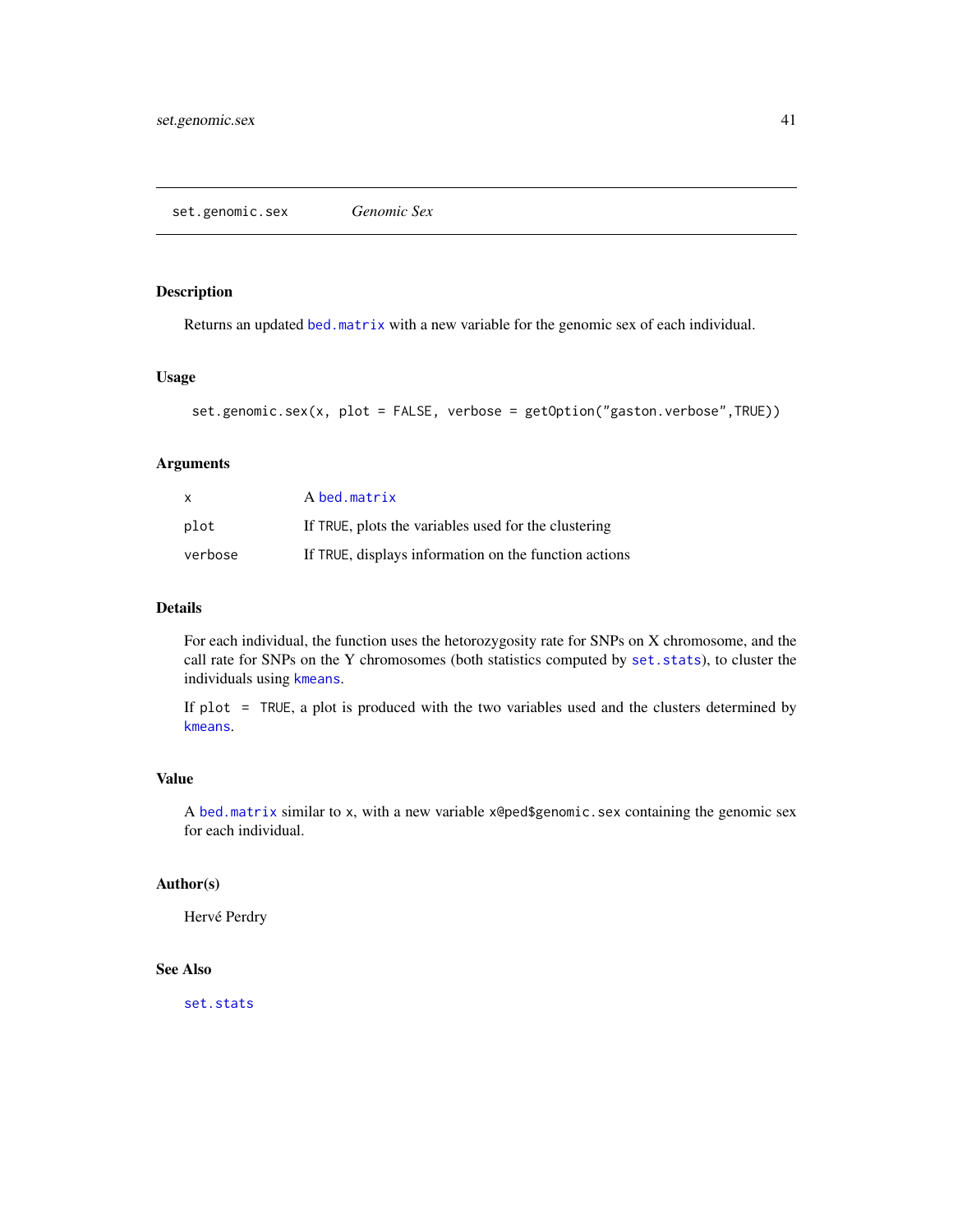<span id="page-40-1"></span><span id="page-40-0"></span>Returns an updated [bed.matrix](#page-9-1) with a new variable for the genomic sex of each individual.

# Usage

```
set.genomic.sex(x, plot = FALSE, verbose = getOption("gaston.verbose",TRUE))
```
# Arguments

| $\mathsf{x}$ | A bed.matrix                                          |
|--------------|-------------------------------------------------------|
| plot         | If TRUE, plots the variables used for the clustering  |
| verbose      | If TRUE, displays information on the function actions |

# Details

For each individual, the function uses the hetorozygosity rate for SNPs on X chromosome, and the call rate for SNPs on the Y chromosomes (both statistics computed by [set.stats](#page-42-1)), to cluster the individuals using [kmeans](#page-0-0).

If plot = TRUE, a plot is produced with the two variables used and the clusters determined by [kmeans](#page-0-0).

# Value

A [bed.matrix](#page-9-1) similar to x, with a new variable x@ped\$genomic.sex containing the genomic sex for each individual.

# Author(s)

Hervé Perdry

# See Also

[set.stats](#page-42-1)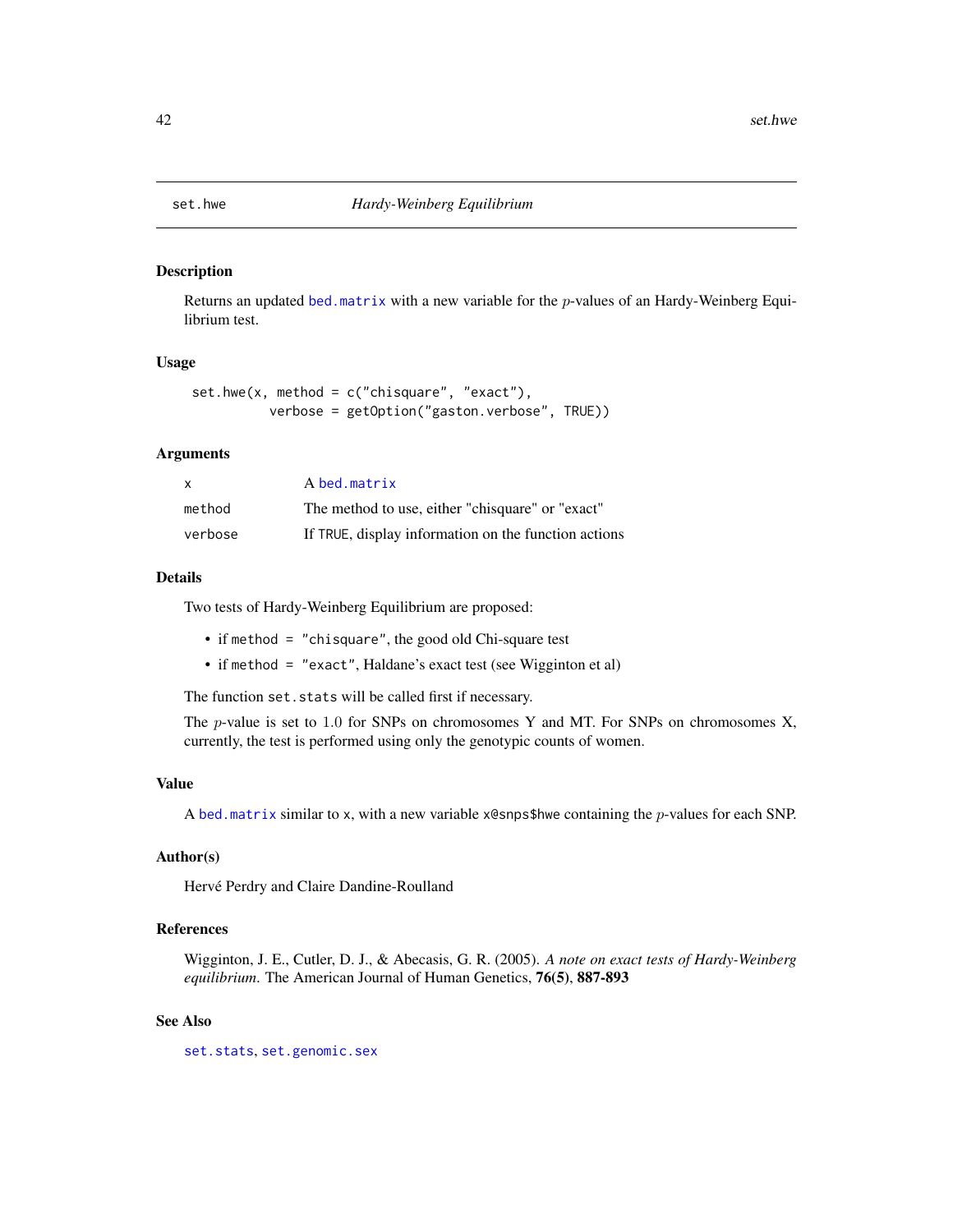<span id="page-41-1"></span><span id="page-41-0"></span>

Returns an updated [bed.matrix](#page-9-1) with a new variable for the p-values of an Hardy-Weinberg Equilibrium test.

#### Usage

```
set.hwe(x, method = c("chisquare", "exact"),
          verbose = getOption("gaston.verbose", TRUE))
```
# Arguments

| x       | A bed.matrix                                         |
|---------|------------------------------------------------------|
| method  | The method to use, either "chisquare" or "exact"     |
| verbose | If TRUE, display information on the function actions |

# Details

Two tests of Hardy-Weinberg Equilibrium are proposed:

- if method = "chisquare", the good old Chi-square test
- if method = "exact", Haldane's exact test (see Wigginton et al)

The function set.stats will be called first if necessary.

The  $p$ -value is set to 1.0 for SNPs on chromosomes Y and MT. For SNPs on chromosomes X, currently, the test is performed using only the genotypic counts of women.

#### Value

A [bed.matrix](#page-9-1) similar to x, with a new variable  $x$ @snps\$hwe containing the p-values for each SNP.

#### Author(s)

Hervé Perdry and Claire Dandine-Roulland

# References

Wigginton, J. E., Cutler, D. J., & Abecasis, G. R. (2005). *A note on exact tests of Hardy-Weinberg equilibrium*. The American Journal of Human Genetics, 76(5), 887-893

# See Also

[set.stats](#page-42-1), [set.genomic.sex](#page-40-1)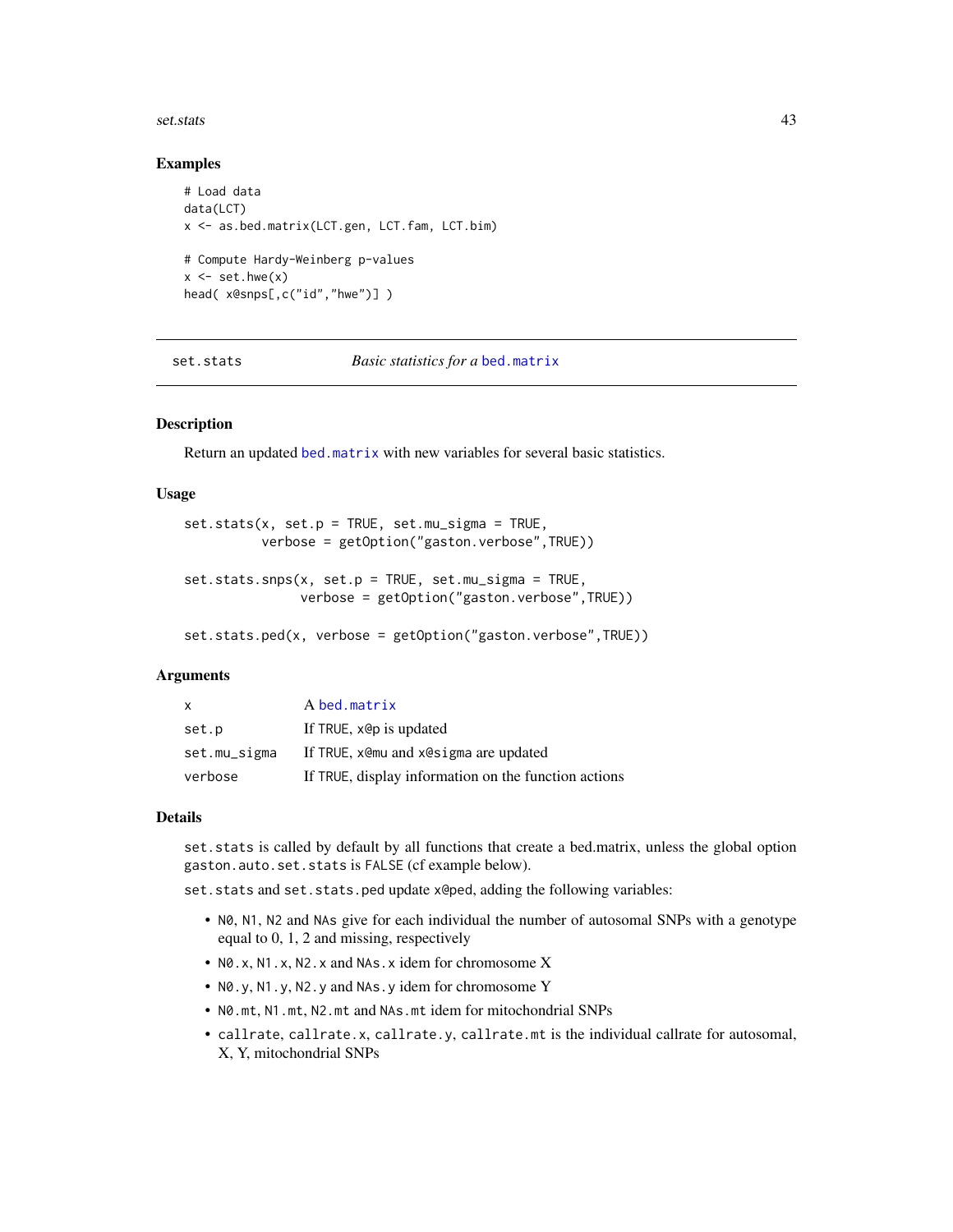#### <span id="page-42-0"></span>set.stats 43

#### Examples

```
# Load data
data(LCT)
x <- as.bed.matrix(LCT.gen, LCT.fam, LCT.bim)
# Compute Hardy-Weinberg p-values
x \leq -set.hwe(x)head( x@snps[,c("id","hwe")] )
```
<span id="page-42-1"></span>set.stats *Basic statistics for a* [bed.matrix](#page-9-1)

# Description

Return an updated [bed.matrix](#page-9-1) with new variables for several basic statistics.

#### Usage

```
set.stats(x, set.p = TRUE, set.mu_sigma = TRUE,
          verbose = getOption("gaston.verbose",TRUE))
set.stats.snps(x, set.p = TRUE, set.mu_sigma = TRUE,
               verbose = getOption("gaston.verbose",TRUE))
```
set.stats.ped(x, verbose = getOption("gaston.verbose",TRUE))

# Arguments

| $\mathsf{x}$ | A bed.matrix                                         |
|--------------|------------------------------------------------------|
| set.p        | If TRUE, x@p is updated                              |
| set.mu_sigma | If TRUE, xemu and xesigma are updated                |
| verbose      | If TRUE, display information on the function actions |

#### Details

set.stats is called by default by all functions that create a bed.matrix, unless the global option gaston.auto.set.stats is FALSE (cf example below).

set.stats and set.stats.ped update x@ped, adding the following variables:

- N0, N1, N2 and NAs give for each individual the number of autosomal SNPs with a genotype equal to 0, 1, 2 and missing, respectively
- N0.x, N1.x, N2.x and NAs.x idem for chromosome X
- N0.y, N1.y, N2.y and NAs.y idem for chromosome Y
- N0.mt, N1.mt, N2.mt and NAs.mt idem for mitochondrial SNPs
- callrate, callrate.x, callrate.y, callrate.mt is the individual callrate for autosomal, X, Y, mitochondrial SNPs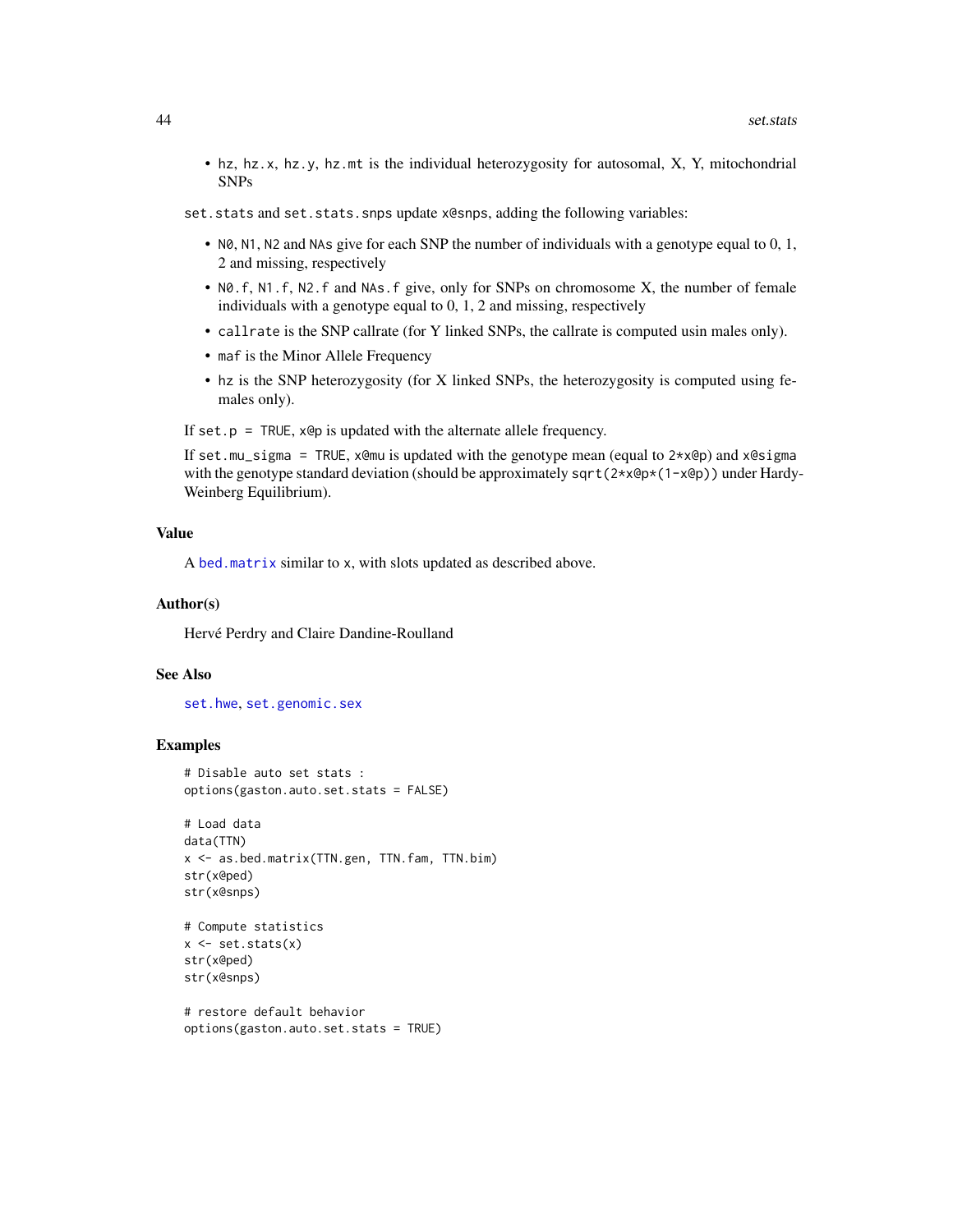- <span id="page-43-0"></span>• hz, hz.x, hz.y, hz.mt is the individual heterozygosity for autosomal, X, Y, mitochondrial SNPs
- set.stats and set.stats.snps update x@snps, adding the following variables:
	- N0, N1, N2 and NAs give for each SNP the number of individuals with a genotype equal to 0, 1, 2 and missing, respectively
	- N0.f, N1.f, N2.f and NAs.f give, only for SNPs on chromosome X, the number of female individuals with a genotype equal to 0, 1, 2 and missing, respectively
	- callrate is the SNP callrate (for Y linked SNPs, the callrate is computed usin males only).
	- maf is the Minor Allele Frequency
	- hz is the SNP heterozygosity (for X linked SNPs, the heterozygosity is computed using females only).

If set.p = TRUE,  $x \circ p$  is updated with the alternate allele frequency.

If set.mu\_sigma = TRUE, x@mu is updated with the genotype mean (equal to  $2 \star x \circ p$ ) and x@sigma with the genotype standard deviation (should be approximately sqrt( $2 \star x \cdot (\theta x + x \cdot \theta y)$ ) under Hardy-Weinberg Equilibrium).

#### Value

A [bed.matrix](#page-9-1) similar to x, with slots updated as described above.

#### Author(s)

Hervé Perdry and Claire Dandine-Roulland

#### See Also

[set.hwe](#page-41-1), [set.genomic.sex](#page-40-1)

#### Examples

```
# Disable auto set stats :
options(gaston.auto.set.stats = FALSE)
```

```
# Load data
data(TTN)
x <- as.bed.matrix(TTN.gen, TTN.fam, TTN.bim)
str(x@ped)
str(x@snps)
```

```
# Compute statistics
x \leftarrow set.stats(x)str(x@ped)
str(x@snps)
```

```
# restore default behavior
options(gaston.auto.set.stats = TRUE)
```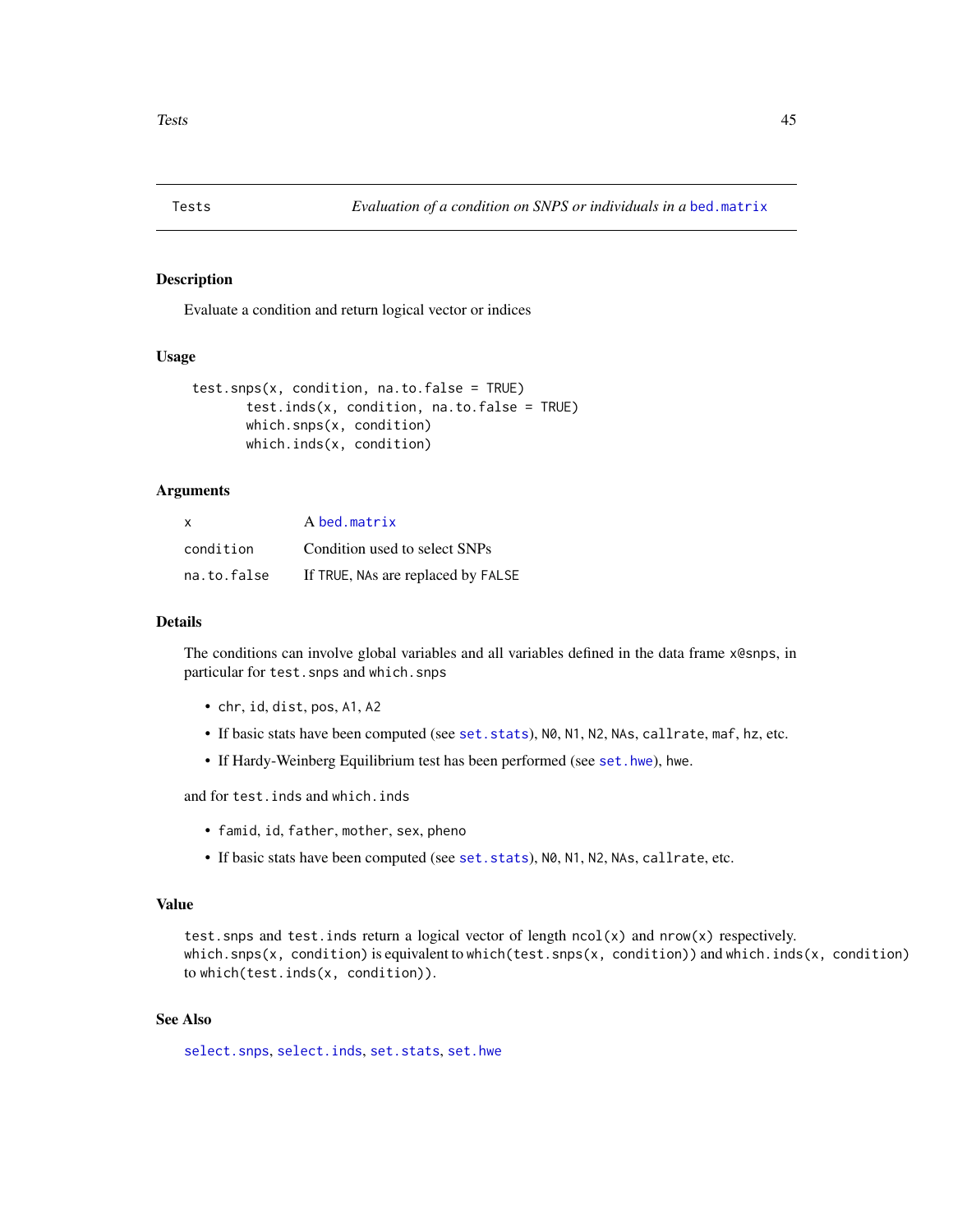<span id="page-44-0"></span>

Evaluate a condition and return logical vector or indices

# Usage

```
test.snps(x, condition, na.to.false = TRUE)
       test.inds(x, condition, na.to.false = TRUE)
       which.snps(x, condition)
       which.inds(x, condition)
```
# Arguments

| $\times$    | A bed.matrix                       |  |
|-------------|------------------------------------|--|
| condition   | Condition used to select SNPs      |  |
| na.to.false | If TRUE, NAs are replaced by FALSE |  |

#### Details

The conditions can involve global variables and all variables defined in the data frame x@snps, in particular for test.snps and which.snps

- chr, id, dist, pos, A1, A2
- If basic stats have been computed (see [set.stats](#page-42-1)), N0, N1, N2, NAs, callrate, maf, hz, etc.
- If Hardy-Weinberg Equilibrium test has been performed (see [set.hwe](#page-41-1)), hwe.

and for test.inds and which.inds

- famid, id, father, mother, sex, pheno
- If basic stats have been computed (see [set.stats](#page-42-1)), N0, N1, N2, NAs, callrate, etc.

# Value

test. snps and test. inds return a logical vector of length  $ncol(x)$  and  $nrow(x)$  respectively. which.snps(x, condition) is equivalent to which(test.snps(x, condition)) and which.inds(x, condition) to which(test.inds(x, condition)).

# See Also

[select.snps](#page-39-1), [select.inds](#page-37-1), [set.stats](#page-42-1), [set.hwe](#page-41-1)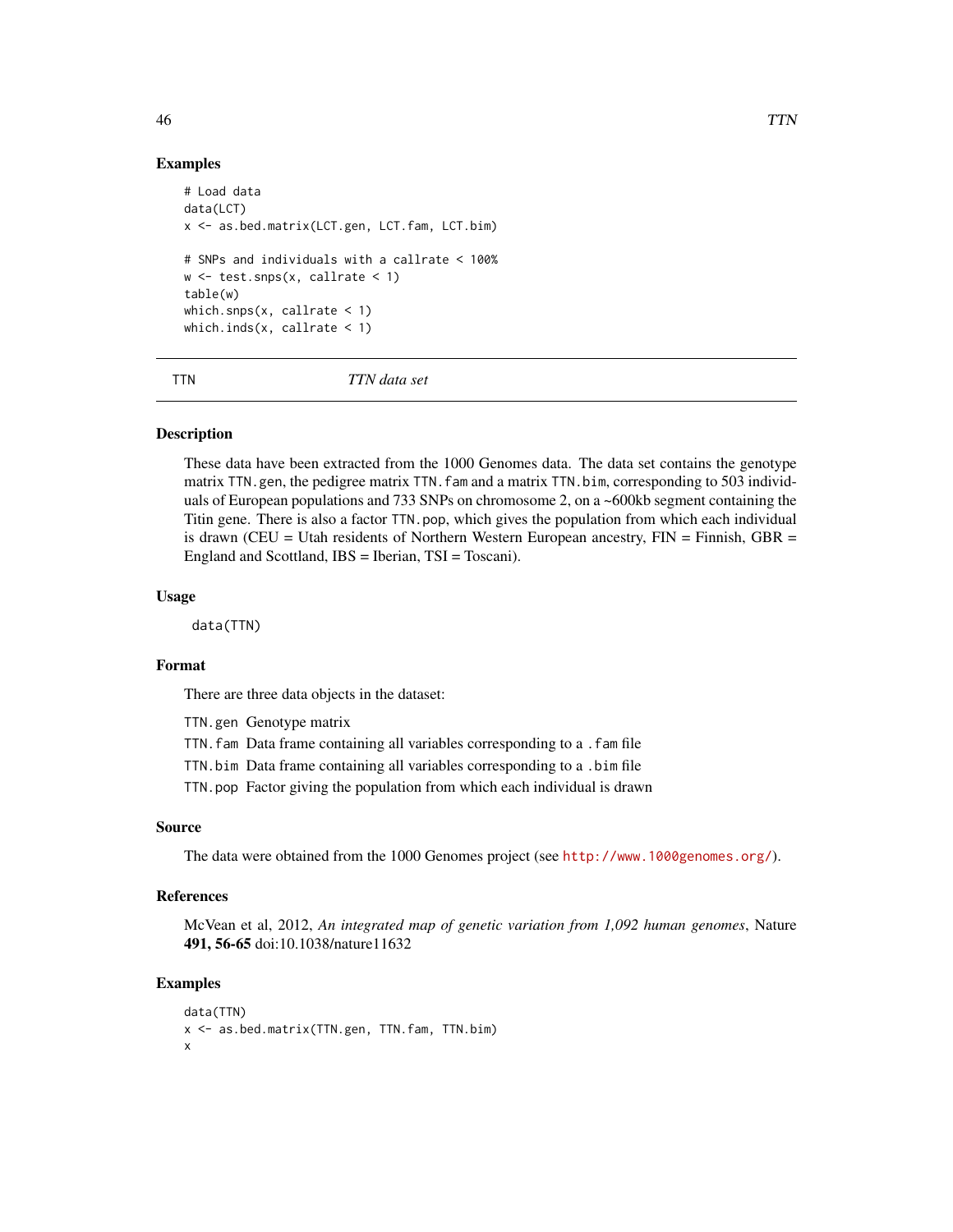#### Examples

```
# Load data
data(LCT)
x <- as.bed.matrix(LCT.gen, LCT.fam, LCT.bim)
# SNPs and individuals with a callrate < 100%
w <- test.snps(x, callrate < 1)
table(w)
which.snps(x, callrate \leq 1)
which.inds(x, callrate \langle 1 \rangle
```
TTN *TTN data set*

# Description

These data have been extracted from the 1000 Genomes data. The data set contains the genotype matrix TTN.gen, the pedigree matrix TTN. fam and a matrix TTN. bim, corresponding to 503 individuals of European populations and 733 SNPs on chromosome 2, on a ~600kb segment containing the Titin gene. There is also a factor TTN.pop, which gives the population from which each individual is drawn (CEU = Utah residents of Northern Western European ancestry,  $FIN = Finnish$ , GBR = England and Scottland, IBS = Iberian, TSI = Toscani).

# Usage

data(TTN)

#### Format

There are three data objects in the dataset:

TTN.gen Genotype matrix

TTN.fam Data frame containing all variables corresponding to a .fam file

TTN.bim Data frame containing all variables corresponding to a .bim file

TTN.pop Factor giving the population from which each individual is drawn

# Source

The data were obtained from the 1000 Genomes project (see <http://www.1000genomes.org/>).

#### References

McVean et al, 2012, *An integrated map of genetic variation from 1,092 human genomes*, Nature 491, 56-65 doi:10.1038/nature11632

# Examples

```
data(TTN)
x <- as.bed.matrix(TTN.gen, TTN.fam, TTN.bim)
x
```
<span id="page-45-0"></span>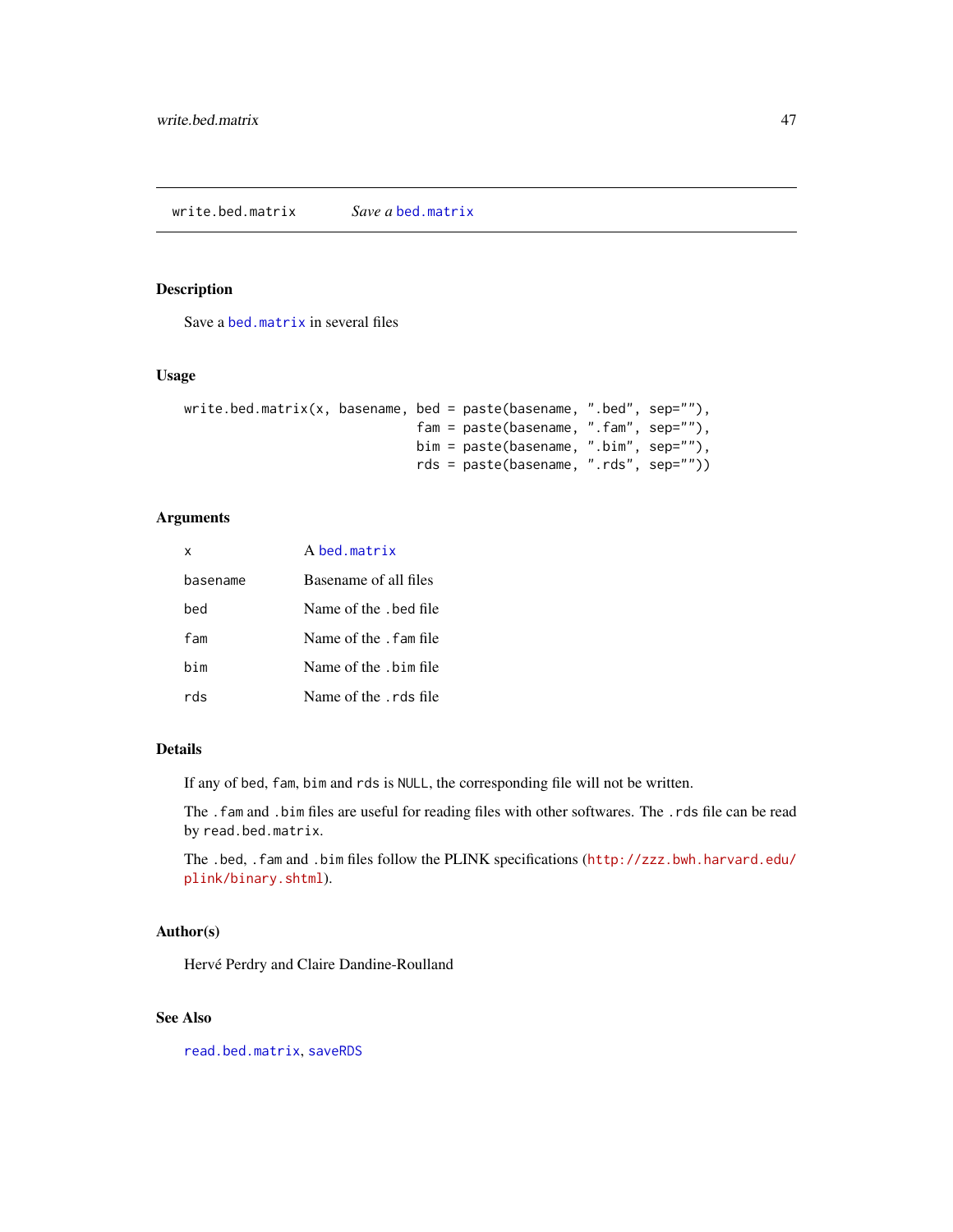<span id="page-46-1"></span><span id="page-46-0"></span>Save a [bed.matrix](#page-9-1) in several files

# Usage

```
write. bed.matrix(x, basename, bed = paste(basename, ".bed", sep=""),fam = paste(basename, ".fam", sep=""),
                              bim = paste(basename, ".bim", sep=""),
                              rds = paste(basename, ".rds", sep=""))
```
# Arguments

| X        | A hed matrix           |
|----------|------------------------|
| basename | Basename of all files  |
| hed      | Name of the . bed file |
| fam      | Name of the . fam file |
| bim      | Name of the .bim file  |
| rds      | Name of the rds file   |

# Details

If any of bed, fam, bim and rds is NULL, the corresponding file will not be written.

The .fam and .bim files are useful for reading files with other softwares. The .rds file can be read by read.bed.matrix.

The .bed, .fam and .bim files follow the PLINK specifications ([http://zzz.bwh.harvard.edu/](http://zzz.bwh.harvard.edu/plink/binary.shtml) [plink/binary.shtml](http://zzz.bwh.harvard.edu/plink/binary.shtml)).

# Author(s)

Hervé Perdry and Claire Dandine-Roulland

# See Also

[read.bed.matrix](#page-30-1), [saveRDS](#page-0-0)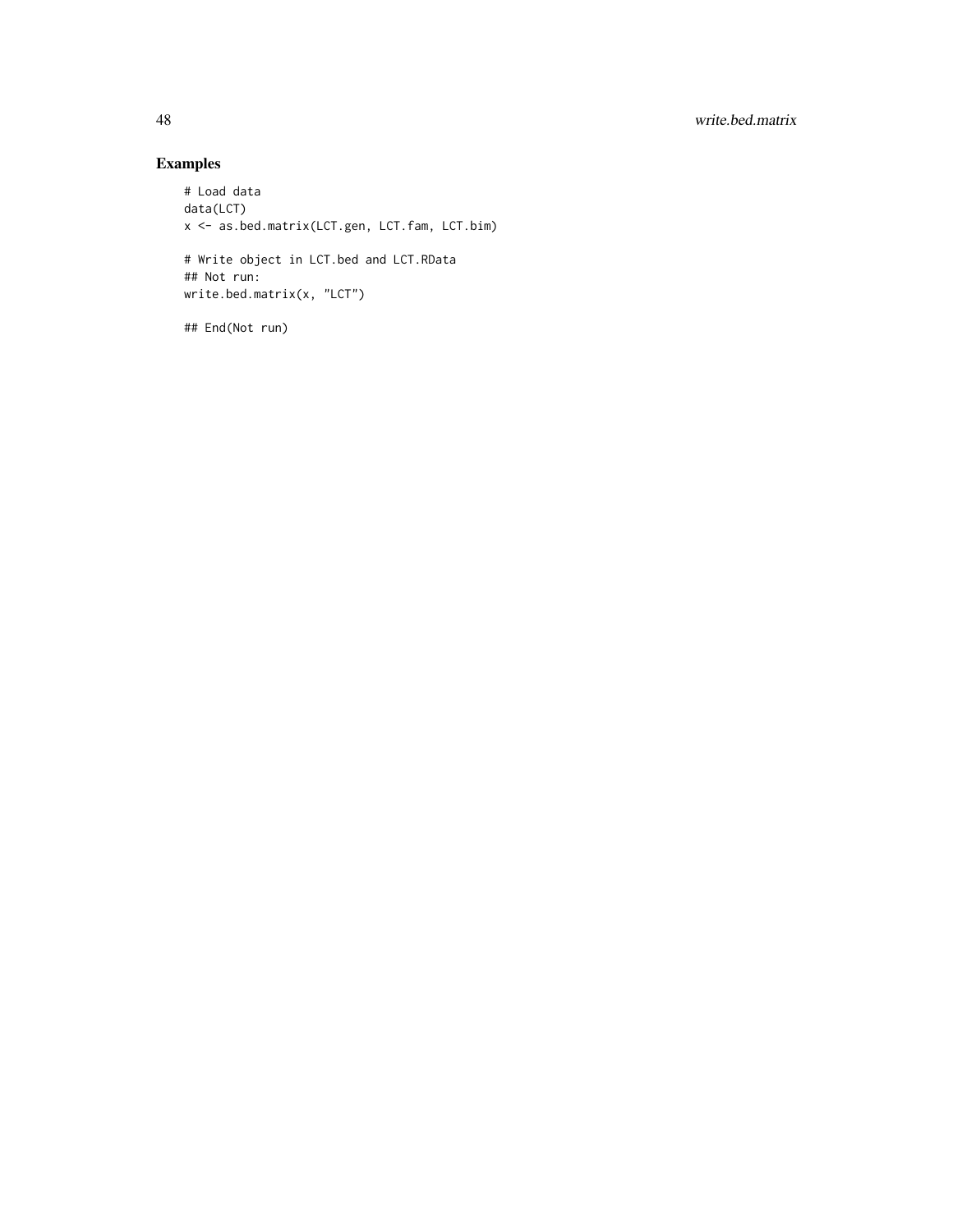# Examples

```
# Load data
data(LCT)
x <- as.bed.matrix(LCT.gen, LCT.fam, LCT.bim)
# Write object in LCT.bed and LCT.RData
## Not run:
write.bed.matrix(x, "LCT")
```
## End(Not run)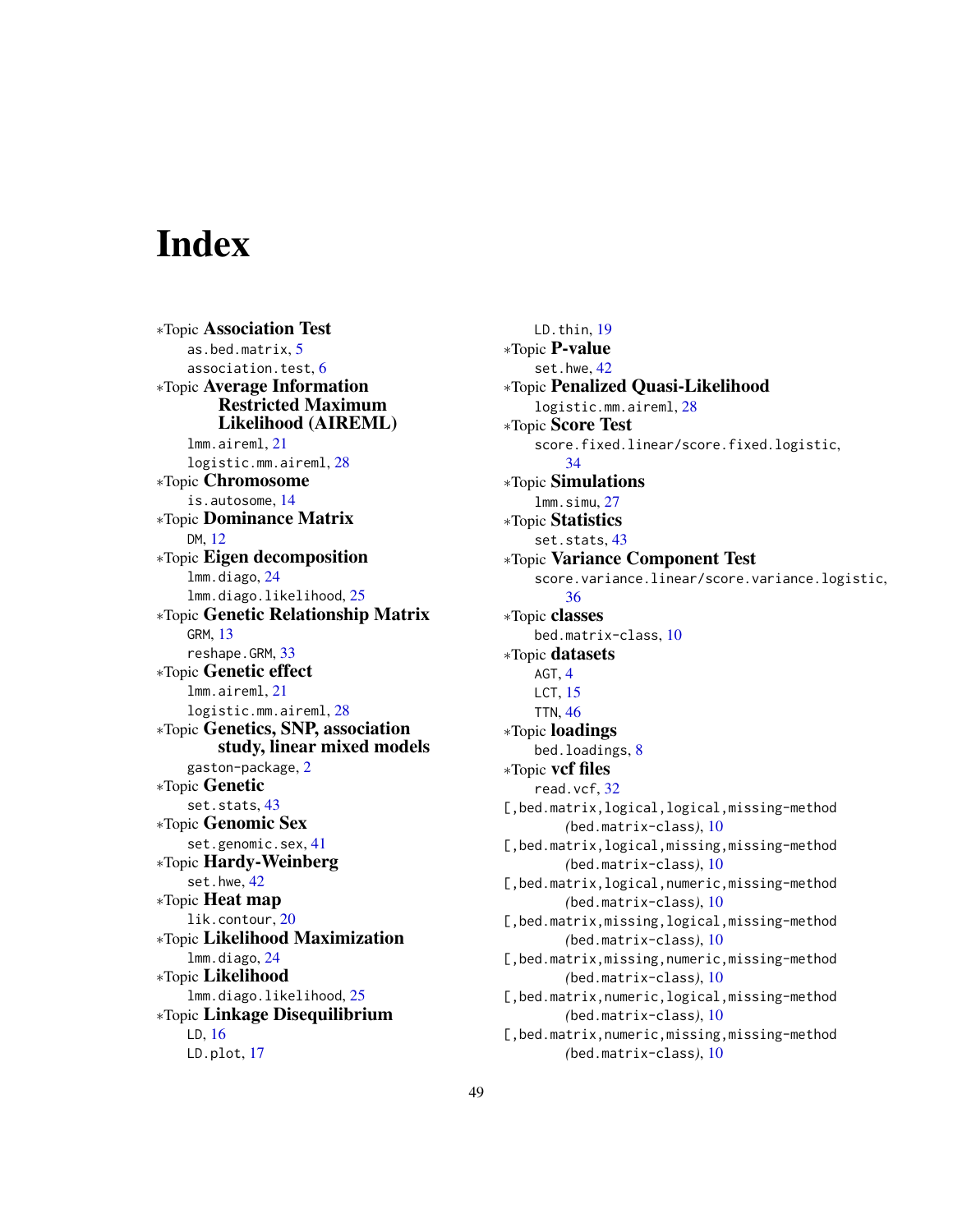# <span id="page-48-0"></span>**Index**

∗Topic Association Test as.bed.matrix, [5](#page-4-0) association.test, [6](#page-5-0) ∗Topic Average Information Restricted Maximum Likelihood (AIREML) lmm.aireml, [21](#page-20-0) logistic.mm.aireml, [28](#page-27-0) ∗Topic Chromosome is.autosome, [14](#page-13-0) ∗Topic Dominance Matrix DM, [12](#page-11-0) ∗Topic Eigen decomposition lmm.diago, [24](#page-23-0) lmm.diago.likelihood, [25](#page-24-0) ∗Topic Genetic Relationship Matrix GRM, [13](#page-12-0) reshape.GRM, [33](#page-32-0) ∗Topic Genetic effect lmm.aireml, [21](#page-20-0) logistic.mm.aireml, [28](#page-27-0) ∗Topic Genetics, SNP, association study, linear mixed models gaston-package, [2](#page-1-0) ∗Topic Genetic set.stats, [43](#page-42-0) ∗Topic Genomic Sex set.genomic.sex, [41](#page-40-0) ∗Topic Hardy-Weinberg set.hwe, [42](#page-41-0) ∗Topic Heat map lik.contour, [20](#page-19-0) ∗Topic Likelihood Maximization lmm.diago, [24](#page-23-0) ∗Topic Likelihood lmm.diago.likelihood, [25](#page-24-0) ∗Topic Linkage Disequilibrium LD, [16](#page-15-0) LD.plot, [17](#page-16-0)

LD.thin, [19](#page-18-0) ∗Topic P-value set.hwe, [42](#page-41-0) ∗Topic Penalized Quasi-Likelihood logistic.mm.aireml, [28](#page-27-0) ∗Topic Score Test score.fixed.linear/score.fixed.logistic, [34](#page-33-0) ∗Topic Simulations lmm.simu, [27](#page-26-0) ∗Topic Statistics set.stats, [43](#page-42-0) ∗Topic Variance Component Test score.variance.linear/score.variance.logistic, [36](#page-35-0) ∗Topic classes bed.matrix-class, [10](#page-9-0) ∗Topic datasets AGT, [4](#page-3-0) LCT, [15](#page-14-0) TTN, [46](#page-45-0) ∗Topic loadings bed.loadings, [8](#page-7-0) ∗Topic vcf files read.vcf, [32](#page-31-0) [, bed.matrix, logical, logical, missing-method *(*bed.matrix-class*)*, [10](#page-9-0) [, bed.matrix, logical, missing, missing-method *(*bed.matrix-class*)*, [10](#page-9-0) [,bed.matrix,logical,numeric,missing-method *(*bed.matrix-class*)*, [10](#page-9-0) [, bed.matrix, missing, logical, missing-method *(*bed.matrix-class*)*, [10](#page-9-0) [, bed.matrix, missing, numeric, missing-method *(*bed.matrix-class*)*, [10](#page-9-0) [, bed.matrix, numeric, logical, missing-method *(*bed.matrix-class*)*, [10](#page-9-0) [, bed.matrix, numeric, missing, missing-method *(*bed.matrix-class*)*, [10](#page-9-0)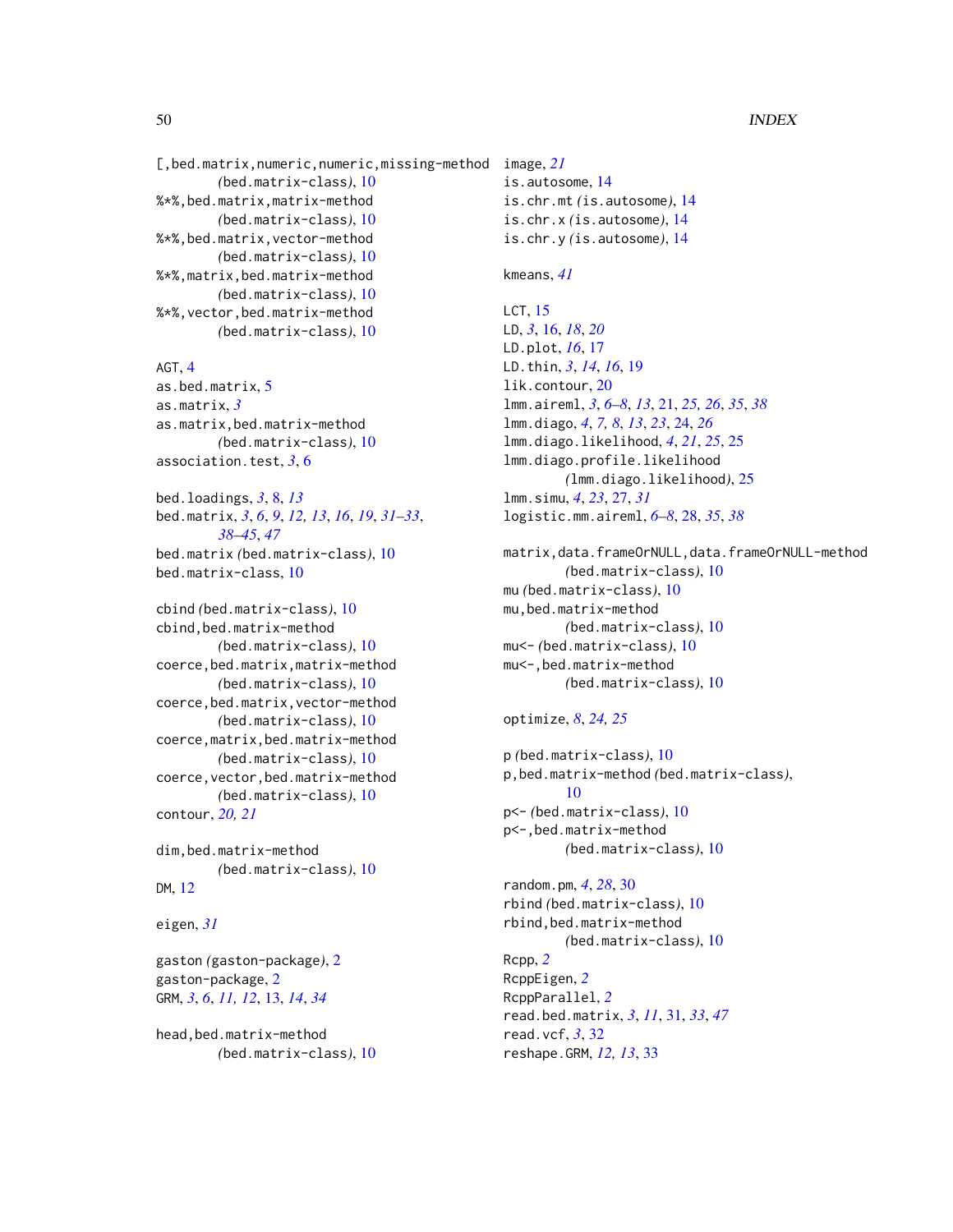[,bed.matrix,numeric,numeric,missing-method image, *[21](#page-20-0) (*bed.matrix-class*)*, [10](#page-9-0) %\*%,bed.matrix,matrix-method *(*bed.matrix-class*)*, [10](#page-9-0) %\*%,bed.matrix,vector-method *(*bed.matrix-class*)*, [10](#page-9-0) %\*%,matrix,bed.matrix-method *(*bed.matrix-class*)*, [10](#page-9-0) %\*%,vector,bed.matrix-method *(*bed.matrix-class*)*, [10](#page-9-0)

AGT, [4](#page-3-0) as.bed.matrix, [5](#page-4-0) as.matrix, *[3](#page-2-0)* as.matrix,bed.matrix-method *(*bed.matrix-class*)*, [10](#page-9-0) association.test, *[3](#page-2-0)*, [6](#page-5-0)

bed.loadings, *[3](#page-2-0)*, [8,](#page-7-0) *[13](#page-12-0)* bed.matrix, *[3](#page-2-0)*, *[6](#page-5-0)*, *[9](#page-8-0)*, *[12,](#page-11-0) [13](#page-12-0)*, *[16](#page-15-0)*, *[19](#page-18-0)*, *[31–](#page-30-0)[33](#page-32-0)*, *[38](#page-37-0)[–45](#page-44-0)*, *[47](#page-46-0)* bed.matrix *(*bed.matrix-class*)*, [10](#page-9-0) bed.matrix-class, [10](#page-9-0)

cbind *(*bed.matrix-class*)*, [10](#page-9-0) cbind,bed.matrix-method *(*bed.matrix-class*)*, [10](#page-9-0) coerce,bed.matrix,matrix-method *(*bed.matrix-class*)*, [10](#page-9-0) coerce,bed.matrix,vector-method *(*bed.matrix-class*)*, [10](#page-9-0) coerce,matrix,bed.matrix-method *(*bed.matrix-class*)*, [10](#page-9-0) coerce,vector,bed.matrix-method *(*bed.matrix-class*)*, [10](#page-9-0) contour, *[20,](#page-19-0) [21](#page-20-0)*

dim,bed.matrix-method *(*bed.matrix-class*)*, [10](#page-9-0) DM, [12](#page-11-0)

eigen, *[31](#page-30-0)*

gaston *(*gaston-package*)*, [2](#page-1-0) gaston-package, [2](#page-1-0) GRM, *[3](#page-2-0)*, *[6](#page-5-0)*, *[11,](#page-10-0) [12](#page-11-0)*, [13,](#page-12-0) *[14](#page-13-0)*, *[34](#page-33-0)*

head,bed.matrix-method *(*bed.matrix-class*)*, [10](#page-9-0) is.autosome, [14](#page-13-0) is.chr.mt *(*is.autosome*)*, [14](#page-13-0) is.chr.x *(*is.autosome*)*, [14](#page-13-0) is.chr.y *(*is.autosome*)*, [14](#page-13-0)

kmeans, *[41](#page-40-0)*

```
LCT, 15
LD, 3, 16, 18, 20
LD.plot, 16, 17
LD.thin, 3, 14, 16, 19
lik.contour, 20
lmm.aireml, 3, 6–8, 13, 21, 25, 26, 35, 38
lmm.diago, 4, 7, 8, 13, 23, 24, 26
lmm.diago.likelihood, 4, 21, 25, 25
lmm.diago.profile.likelihood
         (lmm.diago.likelihood), 25
lmm.simu, 4, 23, 27, 31
logistic.mm.aireml, 6–8, 28, 35, 38
```

```
matrix,data.frameOrNULL,data.frameOrNULL-method
        (bed.matrix-class), 10
mu (bed.matrix-class), 10
mu,bed.matrix-method
        (bed.matrix-class), 10
mu<- (bed.matrix-class), 10
mu<-,bed.matrix-method
        (bed.matrix-class), 10
```

```
optimize, 8, 24, 25
```
p *(*bed.matrix-class*)*, [10](#page-9-0) p,bed.matrix-method *(*bed.matrix-class*)*, [10](#page-9-0) p<- *(*bed.matrix-class*)*, [10](#page-9-0) p<-,bed.matrix-method *(*bed.matrix-class*)*, [10](#page-9-0)

random.pm, *[4](#page-3-0)*, *[28](#page-27-0)*, [30](#page-29-0) rbind *(*bed.matrix-class*)*, [10](#page-9-0) rbind,bed.matrix-method *(*bed.matrix-class*)*, [10](#page-9-0) Rcpp, *[2](#page-1-0)* RcppEigen, *[2](#page-1-0)* RcppParallel, *[2](#page-1-0)* read.bed.matrix, *[3](#page-2-0)*, *[11](#page-10-0)*, [31,](#page-30-0) *[33](#page-32-0)*, *[47](#page-46-0)* read.vcf, *[3](#page-2-0)*, [32](#page-31-0) reshape.GRM, *[12,](#page-11-0) [13](#page-12-0)*, [33](#page-32-0)